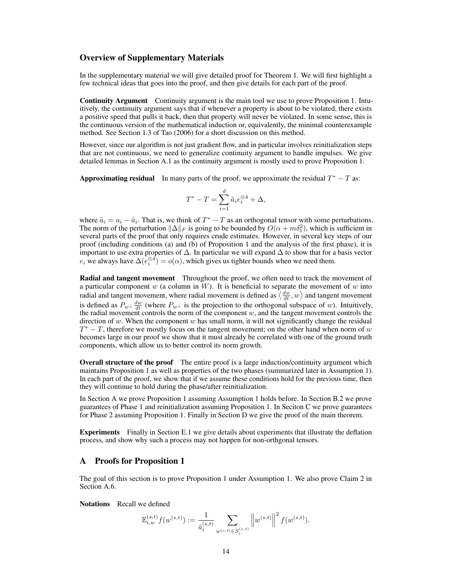# Overview of Supplementary Materials

In the supplementary material we will give detailed proof for Theorem [1.](#page--1-0) We will first highlight a few technical ideas that goes into the proof, and then give details for each part of the proof.

Continuity Argument Continuity argument is the main tool we use to prove Proposition [1.](#page--1-1) Intuitively, the continuity argument says that if whenever a property is about to be violated, there exists a positive speed that pulls it back, then that property will never be violated. In some sense, this is the continuous version of the mathematical induction or, equivalently, the minimal counterexample method. See Section 1.3 of [Tao](#page--1-2) [\(2006\)](#page--1-2) for a short discussion on this method.

However, since our algorithm is not just gradient flow, and in particular involves reinitialization steps that are not continuous, we need to generalize continuity argument to handle impulses. We give detailed lemmas in Section [A.1](#page-2-0) as the continuity argument is mostly used to prove Proposition [1.](#page--1-1)

Approximating residual In many parts of the proof, we approximate the residual  $T^* - T$  as:

$$
T^* - T = \sum_{i=1}^d \tilde{a}_i e_i^{\otimes 4} + \Delta,
$$

where  $\tilde{a}_i = a_i - \hat{a}_i$ . That is, we think of  $T^* - T$  as an orthogonal tensor with some perturbations. The norm of the perturbation  $\|\Delta\|_F$  is going to be bounded by  $O(\alpha + m\delta_1^2)$ , which is sufficient in several parts of the proof that only requires crude estimates. However, in several key steps of our proof (including conditions (a) and (b) of Proposition [1](#page--1-1) and the analysis of the first phase), it is important to use extra properties of  $\Delta$ . In particular we will expand  $\Delta$  to show that for a basis vector  $e_i$  we always have  $\Delta(e_i^{\otimes 4}) = o(\alpha)$ , which gives us tighter bounds when we need them.

Radial and tangent movement Throughout the proof, we often need to track the movement of a particular component w (a column in W). It is beneficial to separate the movement of w into radial and tangent movement, where radial movement is defined as  $\langle \frac{dw}{dt}, w \rangle$  and tangent movement is defined as  $P_{w^{\perp}} \frac{dw}{dt}$  (where  $P_{w^{\perp}}$  is the projection to the orthogonal subspace of w). Intuitively, the radial movement controls the norm of the component  $w$ , and the tangent movement controls the direction of w. When the component  $w$  has small norm, it will not significantly change the residual  $T^* - T$ , therefore we mostly focus on the tangent movement; on the other hand when norm of w becomes large in our proof we show that it must already be correlated with one of the ground truth components, which allow us to better control its norm growth.

**Overall structure of the proof** The entire proof is a large induction/continuity argument which maintains Proposition [1](#page--1-1) as well as properties of the two phases (summarized later in Assumption [1\)](#page-1-0). In each part of the proof, we show that if we assume these conditions hold for the previous time, then they will continue to hold during the phase/after reinitialization.

In Section [A](#page-0-0) we prove Proposition [1](#page--1-1) assuming Assumption [1](#page-1-0) holds before. In Section [B.2](#page-15-0) we prove guarantees of Phase 1 and reinitialization assuming Proposition [1.](#page--1-1) In Seciton [C](#page-25-0) we prove guarantees for Phase 2 assuming Proposition [1.](#page--1-1) Finally in Section [D](#page-28-0) we give the proof of the main theorem.

Experiments Finally in Section [E.1](#page-28-1) we give details about experiments that illustrate the deflation process, and show why such a process may not happen for non-orthgonal tensors.

## <span id="page-0-0"></span>A Proofs for Proposition [1](#page--1-1)

The goal of this section is to prove Proposition [1](#page--1-1) under Assumption [1.](#page-1-0) We also prove Claim [2](#page--1-3) in Section [A.6.](#page-13-0)

Notations Recall we defined

$$
\mathbb{E}_{i,w}^{(s,t)} f(w^{(s,t)}) := \frac{1}{\hat{a}_i^{(s,t)}} \sum_{w^{(s,t)} \in S_i^{(s,t)}} \left\| w^{(s,t)} \right\|^2 f(w^{(s,t)}).
$$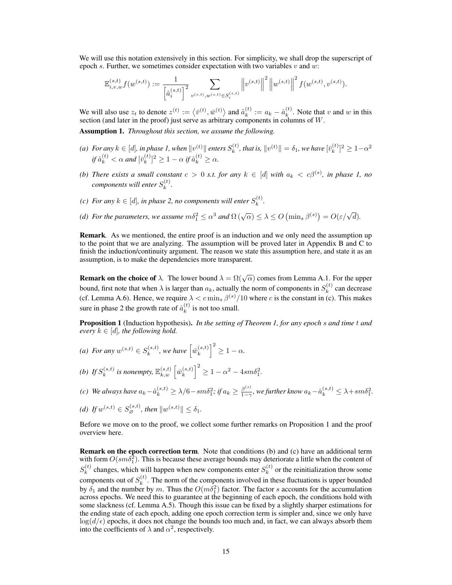We will use this notation extensively in this section. For simplicity, we shall drop the superscript of epoch s. Further, we sometimes consider expectation with two variables  $v$  and  $w$ :

$$
\mathbb{E}_{i,v,w}^{(s,t)} f(w^{(s,t)}) := \frac{1}{\left[\hat{a}_i^{(s,t)}\right]^2} \sum_{v^{(s,t)}, w^{(s,t)} \in S_i^{(s,t)}} \left\|v^{(s,t)}\right\|^2 \left\|w^{(s,t)}\right\|^2 f(w^{(s,t)}, v^{(s,t)}).
$$

We will also use  $z_t$  to denote  $z^{(t)} := \langle \bar{v}^{(t)}, \bar{w}^{(t)} \rangle$  and  $\tilde{a}_k^{(t)}$  $k^{(t)} := a_k - \hat{a}_k^{(t)}$  $\kappa_k^{(t)}$ . Note that v and w in this section (and later in the proof) just serve as arbitrary components in columns of W.

<span id="page-1-0"></span>Assumption 1. *Throughout this section, we assume the following.*

- (a) For any  $k \in [d]$ , in phase 1, when  $||v^{(t)}||$  enters  $S_k^{(t)}$  $\mathbf{y}_k^{(t)}$ , that is,  $\|v^{(t)}\| = \delta_1$ , we have  $[\bar{v}_k^{(t)}]$  $\binom{t}{k}^2 \geq 1-\alpha^2$ if  $\hat{a}_k^{(t)} < \alpha$  and  $[\bar{v}_k^{(t)}]$  ${k \choose k}^2 \geq 1 - \alpha \text{ if } \hat{a}_k^{(t)} \geq \alpha.$
- *(b) There exists a small constant*  $c > 0$  *s.t. for any*  $k \in [d]$  *with*  $a_k < c\beta^{(s)}$ *, in phase 1, no components will enter*  $S_k^{(t)}$  $\frac{1}{k}$ .
- *(c)* For any  $k \in [d]$ , in phase 2, no components will enter  $S_k^{(t)}$  $\binom{[t]}{k}$ .
- (d) For the parameters, we assume  $m\delta_1^2 \leq \alpha^3$  and  $\Omega(\sqrt{\alpha}) \leq \lambda \leq O\left(\min_s \beta^{(s)}\right) = O(\varepsilon/\sqrt{d}).$

Remark*.* As we mentioned, the entire proof is an induction and we only need the assumption up to the point that we are analyzing. The assumption will be proved later in Appendix [B](#page-13-1) and [C](#page-25-0) to finish the induction/continuity argument. The reason we state this assumption here, and state it as an assumption, is to make the dependencies more transparent.

**Remark on the choice of**  $\lambda$ . The lower bound  $\lambda = \Omega(\sqrt{\alpha})$  comes from Lemma [A.1.](#page-2-1) For the upper bound, first note that when  $\lambda$  is larger than  $a_k$ , actually the norm of components in  $S_k^{(t)}$  $k^{(t)}$  can decrease (cf. Lemma [A.6\)](#page-3-0). Hence, we require  $\lambda < c \min_s \beta^{(s)}/10$  where c is the constant in (c). This makes sure in phase 2 the growth rate of  $\hat{a}_k^{(t)}$  $\binom{1}{k}$  is not too small.

Proposition 1 (Induction hypothesis). *In the setting of Theorem [1,](#page--1-0) for any epoch* s *and time* t *and every*  $k \in [d]$ *, the following hold.* 

- (*a*) *For any*  $w^{(s,t)} \in S_k^{(s,t)}$  $\hat{w}_k^{(s,t)}$ , we have  $\left[\bar{w}_k^{(s,t)}\right]$  $\binom{(s,t)}{k}^2 \geq 1 - \alpha.$
- (b) If  $S_k^{(s,t)}$  $\bar{w}_k^{(s,t)}$  is nonempty,  $\mathbb{E}_{k,w}^{(s,t)}$   $\left[\bar{w}_k^{(s,t)}\right]$  ${k \choose k}^2 \ge 1 - \alpha^2 - 4sm\delta_1^2.$
- *(c)* We always have  $a_k \hat{a}_k^{(s,t)} \ge \lambda/6 sm\delta_1^2$ ; if  $a_k \ge \frac{\beta^{(s)}}{1-\gamma}$  $\frac{\beta^{(s)}}{1-\gamma}$ , we further know  $a_k - \hat{a}_k^{(s,t)} \leq \lambda + sm\delta_1^2$ .
- *(d) If*  $w^{(s,t)} \in S_{\varnothing}^{(s,t)}$ , then  $\|w^{(s,t)}\| \leq \delta_1$ .

Before we move on to the proof, we collect some further remarks on Proposition [1](#page--1-1) and the proof overview here.

Remark on the epoch correction term*.* Note that conditions [\(b\)](#page--1-4) and [\(c\)](#page--1-5) have an additional term with form  $O(s m \delta_1^2)$ . This is because these average bounds may deteriorate a little when the content of  $S_k^{(t)}$  $k_k^{(t)}$  changes, which will happen when new components enter  $S_k^{(t)}$  $k^{(t)}$  or the reinitialization throw some components out of  $S_k^{(t)}$  $k<sup>(t)</sup>$ . The norm of the components involved in these fluctuations is upper bounded by  $\delta_1$  and the number by m. Thus the  $O(m\delta_1^2)$  factor. The factor s accounts for the accumulation across epochs. We need this to guarantee at the beginning of each epoch, the conditions hold with some slackness (cf. Lemma [A.5\)](#page-3-1). Though this issue can be fixed by a slightly sharper estimations for the ending state of each epoch, adding one epoch correction term is simpler and, since we only have  $log(d/\epsilon)$  epochs, it does not change the bounds too much and, in fact, we can always absorb them into the coefficients of  $\lambda$  and  $\alpha^2$ , respectively.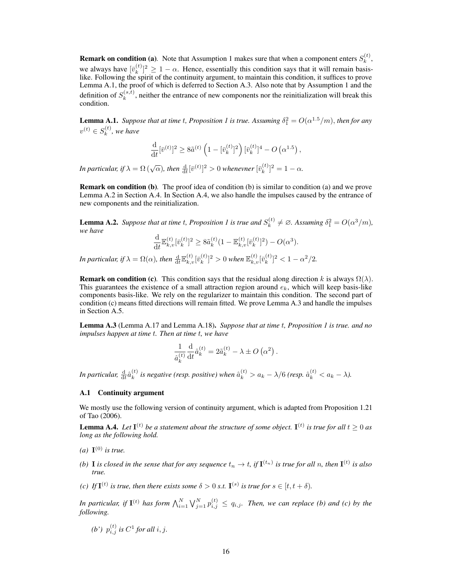**Remark on condition [\(a\)](#page--1-6)**. Note that Assumption [1](#page-1-0) makes sure that when a component enters  $S_k^{(t)}$  $\binom{\iota}{k}$ we always have  $[\bar{v}_k^{(t)}]$  $\binom{t}{k}^2 \geq 1 - \alpha$ . Hence, essentially this condition says that it will remain basislike. Following the spirit of the continuity argument, to maintain this condition, it suffices to prove Lemma [A.1,](#page-2-1) the proof of which is deferred to Section [A.3.](#page-8-0) Also note that by Assumption [1](#page-1-0) and the definition of  $S_k^{(s,t)}$  $k_k^{(s,t)}$ , neither the entrance of new components nor the reinitialization will break this condition.

<span id="page-2-1"></span>**Lemma A.[1](#page--1-1).** *Suppose that at time t, Proposition 1 is true. Assuming*  $\delta_1^2 = O(\alpha^{1.5}/m)$ , *then for any*  $v^{(t)} \in S_k^{(t)}$  $\binom{k}{k}$ , we have

$$
\frac{\mathrm{d}}{\mathrm{d}t} [\bar{v}^{(t)}]^2 \geq 8 \tilde{a}^{(t)} \left( 1 - [\bar{v}_k^{(t)}]^2 \right) [\bar{v}_k^{(t)}]^4 - O\left( \alpha^{1.5} \right),
$$

In particular, if  $\lambda = \Omega\left(\sqrt{\alpha}\right)$ , then  $\frac{d}{dt}[\bar{v}^{(t)}]^2 > 0$  whenevner  $[\bar{v}_k^{(t)}]$  ${k \choose k}^2 = 1 - \alpha.$ 

Remark on condition [\(b\)](#page--1-4)*.* The proof idea of condition [\(b\)](#page--1-4) is similar to condition [\(a\)](#page--1-6) and we prove Lemma [A.2](#page-2-2) in Section [A.4.](#page-8-1) In Section [A.4,](#page-8-1) we also handle the impulses caused by the entrance of new components and the reinitialization.

<span id="page-2-2"></span>**Lemma A.2.** Suppose that at time t, Proposition [1](#page--1-1) is true and  $S_k^{(t)}$  $\delta_k^{(t)} \neq \emptyset$ . Assuming  $\delta_1^2 = O(\alpha^3/m)$ , *we have*

$$
\frac{\mathrm{d}}{\mathrm{d}t} \mathbb{E}_{k,v}^{(t)} [\bar{v}_k^{(t)}]^2 \geq 8 \tilde{a}_k^{(t)} (1 - \mathbb{E}_{k,v}^{(t)} [\bar{v}_k^{(t)}]^2) - O(\alpha^3).
$$

In particular, if  $\lambda = \Omega(\alpha)$ , then  $\frac{\mathrm{d}}{\mathrm{d}t} \mathbb{E}_{k,v}^{(t)}[\bar{v}_k^{(t)}]$  $[\bar{v}_{k}^{(t)}]^{2}>0$  when  $\mathbb{E}_{k,v}^{(t)}[\bar{v}_{k}^{(t)}]$  $\binom{k}{k}^2 < 1 - \alpha^2/2.$ 

**Remark on condition [\(c\)](#page--1-5)**. This condition says that the residual along direction k is always  $\Omega(\lambda)$ . This guarantees the existence of a small attraction region around  $e_k$ , which will keep basis-like components basis-like. We rely on the regularizer to maintain this condition. The second part of condition [\(c\)](#page--1-5) means fitted directions will remain fitted. We prove Lemma [A.3](#page-2-3) and handle the impulses in Section [A.5.](#page-11-0)

<span id="page-2-3"></span>Lemma A.3 (Lemma [A.17](#page-12-0) and Lemma [A.18\)](#page-12-1). *Suppose that at time* t*, Proposition [1](#page--1-1) is true. and no impulses happen at time* t*. Then at time* t*, we have*

$$
\frac{1}{\hat{a}_{k}^{(t)}} \frac{\mathrm{d}}{\mathrm{d}t} \hat{a}_{k}^{(t)} = 2\tilde{a}_{k}^{(t)} - \lambda \pm O\left(\alpha^{2}\right).
$$

In particular,  $\frac{\mathrm{d}}{\mathrm{d}t} \hat{a}^{(t)}_k$  $\hat{a}_k^{(t)}$  is negative (resp. positive) when  $\hat{a}_k^{(t)} > a_k - \lambda/6$  (resp.  $\hat{a}_k^{(t)} < a_k - \lambda$ ).

### <span id="page-2-0"></span>A.1 Continuity argument

We mostly use the following version of continuity argument, which is adapted from Proposition 1.21 of [Tao](#page--1-2) [\(2006\)](#page--1-2).

<span id="page-2-4"></span>**Lemma A.4.** Let  $I^{(t)}$  be a statement about the structure of some object.  $I^{(t)}$  is true for all  $t \ge 0$  as *long as the following hold.*

- (*a*)  $\mathbf{I}^{(0)}$  *is true.*
- (b) **I** is closed in the sense that for any sequence  $t_n \to t$ , if  $\mathbf{I}^{(t_n)}$  is true for all n, then  $\mathbf{I}^{(t)}$  is also *true.*
- *(c)* If  $I<sup>(t)</sup>$  is true, then there exists some  $\delta > 0$  s.t.  $I<sup>(s)</sup>$  is true for  $s \in [t, t + \delta)$ .

In particular, if  $I^{(t)}$  has form  $\bigwedge_{i=1}^N \bigvee_{j=1}^N p_{i,j}^{(t)} \leq q_{i,j}$ . Then, we can replace (b) and (c) by the *following.*

*(b')*  $p_{i,j}^{(t)}$  *is*  $C^1$  *for all i, j.*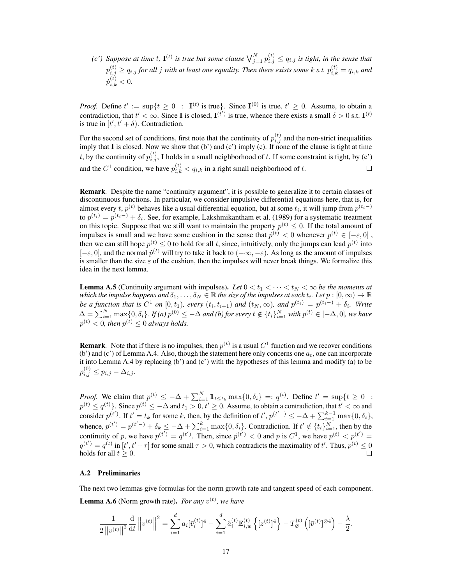*(c')* Suppose at time t,  $I^{(t)}$  is true but some clause  $\bigvee_{j=1}^{N} p_{i,j}^{(t)} \leq q_{i,j}$  is tight, in the sense that  $p_{i,j}^{(t)} \ge q_{i,j}$  for all j with at least one equality. Then there exists some k s.t.  $p_{i,k}^{(t)} = q_{i,k}$  and  $\dot{x}_{i}^{(t)} > 0$  $\dot{p}$  $\binom{u}{i,k} < 0.$ 

*Proof.* Define  $t' := \sup\{t \geq 0 : I^{(t)} \text{ is true}\}\$ . Since  $I^{(0)}$  is true,  $t' \geq 0$ . Assume, to obtain a contradiction, that  $t' < \infty$ . Since I is closed,  $I^{(t')}$  is true, whence there exists a small  $\delta > 0$  s.t.  $I^{(t)}$ is true in  $[t', t' + \delta)$ . Contradiction.

For the second set of conditions, first note that the continuity of  $p_{i,j}^{(t)}$  and the non-strict inequalities imply that I is closed. Now we show that  $(b')$  and  $(c')$  imply  $(c)$ . If none of the clause is tight at time t, by the continuity of  $p_{i,j}^{(t)}$ , I holds in a small neighborhood of t. If some constraint is tight, by (c') and the  $C^1$  condition, we have  $p_{i,k}^{(t)} < q_{i,k}$  in a right small neighborhood of t.  $\Box$ 

Remark*.* Despite the name "continuity argument", it is possible to generalize it to certain classes of discontinuous functions. In particular, we consider impulsive differential equations here, that is, for almost every  $t$ ,  $p^{(t)}$  behaves like a usual differential equation, but at some  $t_i$ , it will jump from  $p^{(t_i-)}$ to  $p^{(t_i)} = p^{(t_i-)} + \delta_i$ . See, for example, [Lakshmikantham et al.](#page--1-7) [\(1989\)](#page--1-7) for a systematic treatment on this topic. Suppose that we still want to maintain the property  $p^{(t)} \leq 0$ . If the total amount of impulses is small and we have some cushion in the sense that  $\dot{p}^{(t)} < 0$  whenever  $p^{(t)} \in [-\varepsilon, 0]$ , then we can still hope  $p^{(t)} \leq 0$  to hold for all t, since, intuitively, only the jumps can lead  $p^{(t)}$  into  $[-\epsilon, 0]$ , and the normal  $\dot{p}^{(t)}$  will try to take it back to  $(-\infty, -\epsilon)$ . As long as the amount of impulses is smaller than the size  $\varepsilon$  of the cushion, then the impulses will never break things. We formalize this idea in the next lemma.

<span id="page-3-1"></span>**Lemma A.5** (Continuity argument with impulses). Let  $0 < t_1 < \cdots < t_N < \infty$  be the moments at which the impulse happens and  $\delta_1,\ldots,\delta_N\in\mathbb R$  the size of the impulses at each  $t_i.$  Let  $p:[0,\infty)\to\mathbb R$ *be a function that is*  $C^1$  *on*  $[0,t_1)$ *, every*  $(t_i,t_{i+1})$  *and*  $(t_N,\infty)$ *, and*  $p^{(t_i)} = p^{(t_i-)} + \delta_i$ *. Write*  $\Delta = \sum_{i=1}^{N} \max\{0, \delta_i\}$ . If (a)  $p^{(0)} \le -\Delta$  and (b) for every  $t \notin \{t_i\}_{i=1}^{N}$  with  $p^{(t)} \in [-\Delta, 0]$ , we have  $\dot{p}^{(t)} < 0$ , then  $p^{(t)} \leq 0$  always holds.

**Remark**. Note that if there is no impulses, then  $p^{(t)}$  is a usual  $C^1$  function and we recover conditions (b') and (c') of Lemma [A.4.](#page-2-4) Also, though the statement here only concerns one  $a_t$ , one can incorporate it into Lemma [A.4](#page-2-4) by replacing (b') and (c') with the hypotheses of this lemma and modify (a) to be  $p_{i,j}^{(0)} \leq p_{i,j} - \Delta_{i,j}.$ 

*Proof.* We claim that  $p^{(t)} \leq -\Delta + \sum_{i=1}^{N} \mathbb{1}_{t \leq t_k} \max\{0, \delta_i\} =: q^{(t)}$ . Define  $t' = \sup\{t \geq 0 :$  $p^{(t)}\leq q^{(t)}\}$ . Since  $p^{(t)}\leq -\Delta$  and  $t_1>0, t'\geq 0$ . Assume, to obtain a contradiction, that  $t'<\infty$  and consider  $p^{(t')}$ . If  $t' = t_k$  for some k, then, by the definition of  $t', p^{(t'-)} \le -\Delta + \sum_{i=1}^{k-1} \max\{0, \delta_i\},$ whence,  $p^{(t')} = p^{(t'-)} + \delta_k \le -\Delta + \sum_{i=1}^k \max\{0, \delta_i\}$ . Contradiction. If  $t' \notin \{t_i\}_{i=1}^N$ , then by the continuity of p, we have  $p^{(t')} = q^{(t')}$ . Then, since  $p^{(t')} < 0$  and p is  $C^1$ , we have  $p^{(t)} < p^{(t')} = (p^{(t')} - p^{(t)})$  $q^{(t')} = q^{(t)}$  in  $[t', t' + \tau]$  for some small  $\tau > 0$ , which contradicts the maximality of  $t'$ . Thus,  $p^{(t)} \le 0$ holds for all  $t > 0$ .

### A.2 Preliminaries

<span id="page-3-0"></span>The next two lemmas give formulas for the norm growth rate and tangent speed of each component. **Lemma A.6** (Norm growth rate). *For any*  $v^{(t)}$ , we have

$$
\frac{1}{2\left\|v^{(t)}\right\|^2} \frac{\mathrm{d}}{\mathrm{d}t} \left\|v^{(t)}\right\|^2 = \sum_{i=1}^d a_i \left[\overline{v}_i^{(t)}\right]^4 - \sum_{i=1}^d \hat{a}_i^{(t)} \mathbb{E}_{i,w}^{(t)} \left\{\left[z^{(t)}\right]^4\right\} - T_{\varnothing}^{(t)} \left(\left[\overline{v}^{(t)}\right]^{\otimes 4}\right) - \frac{\lambda}{2}.
$$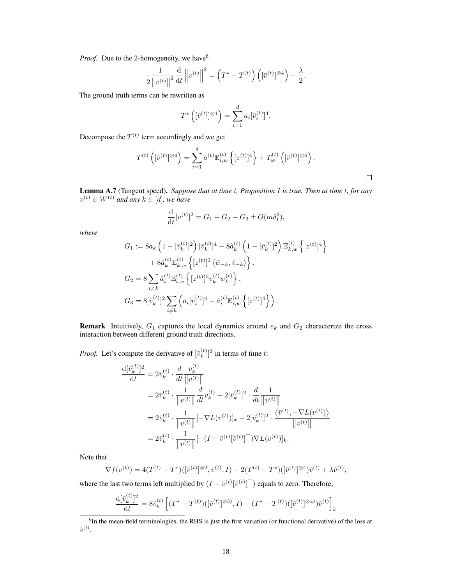*Proof.* Due to the 2-homogeneity, we have<sup>[6](#page-4-0)</sup>

$$
\frac{1}{2\left\|v^{(t)}\right\|^2} \frac{\mathrm{d}}{\mathrm{d}t} \left\|v^{(t)}\right\|^2 = \left(T^* - T^{(t)}\right) \left( [\bar{v}^{(t)}]^{\otimes 4} \right) - \frac{\lambda}{2}.
$$

The ground truth terms can be rewritten as

$$
T^* \left( [\bar{v}^{(t)}]^{\otimes 4} \right) = \sum_{i=1}^d a_i [\bar{v}_i^{(t)}]^4.
$$

Decompose the  $T^{(t)}$  term accordingly and we get

$$
T^{(t)}\left([\bar{v}^{(t)}]^{\otimes 4}\right) = \sum_{i=1}^d \hat{a}^{(t)} \mathbb{E}_{i,w}^{(t)} \left\{ [z^{(t)}]^4 \right\} + T_{\varnothing}^{(t)}\left( [\bar{v}^{(t)}]^{\otimes 4} \right).
$$

<span id="page-4-1"></span>Lemma A.7 (Tangent speed). *Suppose that at time* t*, Proposition [1](#page--1-1) is true. Then at time* t*, for any*  $v^{(t)} \in W^{(t)}$  and any  $k \in [d]$ , we have

$$
\frac{\mathrm{d}}{\mathrm{d}t}[\bar{v}^{(t)}]^2 = G_1 - G_2 - G_3 \pm O(m\delta_1^2),
$$

*where*

$$
G_1 := 8a_k \left(1 - [\bar{v}_k^{(t)}]^2\right) [\bar{v}_k^{(t)}]^4 - 8\hat{a}_k^{(t)} \left(1 - [\bar{v}_k^{(t)}]^2\right) \mathbb{E}_{k,w}^{(t)} \left\{ [z^{(t)}]^4 \right\} + 8\hat{a}_k^{(t)} \mathbb{E}_{k,w}^{(t)} \left\{ [z^{(t)}]^3 \left\langle \bar{w}_{-k}, \bar{v}_{-k} \right\rangle \right\}, G_2 = 8 \sum_{i \neq k} \hat{a}_i^{(t)} \mathbb{E}_{i,w}^{(t)} \left\{ [z^{(t)}]^3 v_k^{(t)} w_k^{(t)} \right\}, G_3 = 8 [\bar{v}_k^{(t)}]^2 \sum_{i \neq k} \left( a_i [\bar{v}_i^{(t)}]^4 - \hat{a}_i^{(t)} \mathbb{E}_{i,w}^{(t)} \left\{ [z^{(t)}]^4 \right\} \right).
$$

**Remark**. Intuitively,  $G_1$  captures the local dynamics around  $e_k$  and  $G_2$  characterize the cross interaction between different ground truth directions.

*Proof.* Let's compute the derivative of  $[\bar{v}_k^{(t)}]$  $\binom{k}{k}$ <sup>2</sup> in terms of time t:

$$
\frac{\mathrm{d}[\bar{v}_k^{(t)}]^2}{\mathrm{d}t} = 2\bar{v}_k^{(t)} \cdot \frac{d}{dt} \frac{v_k^{(t)}}{\|v^{(t)}\|} \n= 2\bar{v}_k^{(t)} \cdot \frac{1}{\|v^{(t)}\|} \frac{d}{dt} v_k^{(t)} + 2[\bar{v}_k^{(t)}]^2 \cdot \frac{d}{dt} \frac{1}{\|v^{(t)}\|} \n= 2\bar{v}_k^{(t)} \cdot \frac{1}{\|v^{(t)}\|} [-\nabla L(v^{(t)})]_k - 2[\bar{v}_k^{(t)}]^2 \cdot \frac{\langle \bar{v}^{(t)}, -\nabla L(v^{(t)}) \rangle}{\|v^{(t)}\|} \n= 2\bar{v}_k^{(t)} \cdot \frac{1}{\|v^{(t)}\|} [-(I - \bar{v}^{(t)}[\bar{v}^{(t)}]^{\top})\nabla L(v^{(t)})]_k.
$$

Note that

$$
\nabla f(v^{(t)}) = 4(T^{(t)} - T^*)([\bar{v}^{(t)}]^{\otimes 2}, \bar{v}^{(t)}, I) - 2(T^{(t)} - T^*)([\bar{v}^{(t)}]^{\otimes 4})\bar{v}^{(t)} + \lambda \bar{v}^{(t)},
$$

where the last two terms left multiplied by  $(I - \bar{v}^{(t)}[\bar{v}^{(t)}]^\top)$  equals to zero. Therefore,

$$
\frac{\mathrm{d}[\bar{v}_k^{(t)}]^2}{\mathrm{d}t} = 8\bar{v}_k^{(t)} \left[ (T^* - T^{(t)}) ([\bar{v}^{(t)}]^{\otimes 3)}, I) - (T^* - T^{(t)}) ([\bar{v}^{(t)}]^{\otimes 4)}) \bar{v}^{(t)} \right]_k
$$

<span id="page-4-0"></span> ${}^{6}$ In the mean-field terminologies, the RHS is just the first variation (or functional derivative) of the loss at  $\bar{v}^{(t)}.$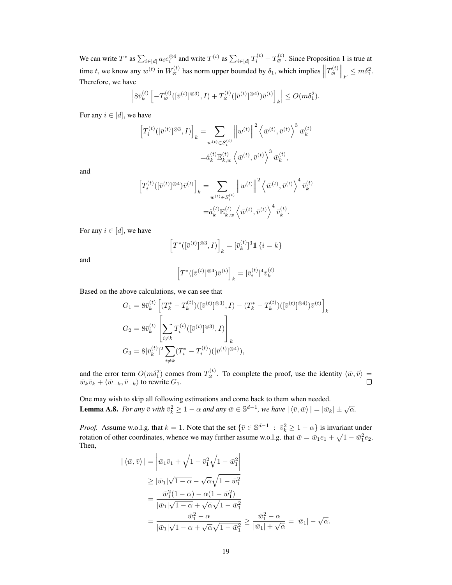We can write  $T^*$  as  $\sum_{i \in [d]} a_i e_i^{\otimes 4}$  and write  $T^{(t)}$  as  $\sum_{i \in [d]} T_i^{(t)} + T_{\varnothing}^{(t)}$ . Since Proposition [1](#page--1-1) is true at time t, we know any  $w^{(t)}$  in  $W_{\emptyset}^{(t)}$  has norm upper bounded by  $\delta_1$ , which implies  $||T_{\emptyset}^{(t)}||_F \leq m\delta_1^2$ . Therefore, we have

$$
\left|8\bar{v}_k^{(t)}\left[-T_{\varnothing}^{(t)}([\bar{v}^{(t)}]^{\otimes 3)},I\right)+T_{\varnothing}^{(t)}([\bar{v}^{(t)}]^{\otimes 4)})\bar{v}^{(t)}\right]_k\right|\leq O(m\delta_1^2).
$$

For any  $i \in [d]$ , we have

$$
\begin{aligned} \left[T_i^{(t)}([\bar{v}^{(t)}]^{\otimes 3}, I)\right]_k &= \sum_{w^{(t)} \in S_i^{(t)}} \left\|w^{(t)}\right\|^2 \left\langle \bar{w}^{(t)}, \bar{v}^{(t)} \right\rangle^3 \bar{w}_k^{(t)} \\ &= \hat{a}_k^{(t)} \mathbb{E}_{k,w}^{(t)} \left\langle \bar{w}^{(t)}, \bar{v}^{(t)} \right\rangle^3 \bar{w}_k^{(t)}, \end{aligned}
$$

and

$$
\label{eq:2} \begin{split} \left[T_i^{(t)}([\bar{v}^{(t)}]^{\otimes 4}) \bar{v}^{(t)}\right]_k = & \sum_{w^{(t)} \in S_i^{(t)}} \left\|w^{(t)}\right\|^2 \left\langle \bar{w}^{(t)}, \bar{v}^{(t)}\right\rangle^4 \bar{v}_k^{(t)} \\ = & \hat{a}_k^{(t)} \mathbb{E}_{k,w}^{(t)} \left\langle \bar{w}^{(t)}, \bar{v}^{(t)}\right\rangle^4 \bar{v}_k^{(t)}. \end{split}
$$

For any  $i \in [d]$ , we have

$$
\left[T^*([\bar{v}^{(t)}]^{\otimes 3},I)\right]_k = [\bar{v}_k^{(t)}]^3 \mathbbm{1}\left\{i=k\right\}
$$

and

$$
\Big[T^*([\bar{v}^{(t)}]^{\otimes 4}) \bar{v}^{(t)}\Big]_k = [\bar{v}^{(t)}_i]^4 \bar{v}^{(t)}_k
$$

Based on the above calculations, we can see that

$$
G_1 = 8\bar{v}_k^{(t)} \left[ (T_k^* - T_k^{(t)}) ([\bar{v}^{(t)}]^{\otimes 3)}, I) - (T_k^* - T_k^{(t)}) ([\bar{v}^{(t)}]^{\otimes 4}) \bar{v}^{(t)} \right]_k
$$
  
\n
$$
G_2 = 8\bar{v}_k^{(t)} \left[ \sum_{i \neq k} T_i^{(t)} ([\bar{v}^{(t)}]^{\otimes 3)}, I) \right]_k
$$
  
\n
$$
G_3 = 8[\bar{v}_k^{(t)}]^2 \sum_{i \neq k} (T_i^* - T_i^{(t)}) ([\bar{v}^{(t)}]^{\otimes 4}),
$$

and the error term  $O(m\delta_1^2)$  comes from  $T_{\varnothing}^{(t)}$ . To complete the proof, use the identity  $\langle \bar{w}, \bar{v} \rangle =$  $\bar{w}_k \bar{v}_k + \langle \bar{w}_{-k}, \bar{v}_{-k} \rangle$  to rewrite  $G_1$ .

<span id="page-5-0"></span>One may wish to skip all following estimations and come back to them when needed. **Lemma A.8.** *For any*  $\bar{v}$  *with*  $\bar{v}_k^2 \ge 1 - \alpha$  *and any*  $\bar{w} \in \mathbb{S}^{d-1}$ *, we have*  $|\langle \bar{v}, \bar{w} \rangle| = |\bar{w}_k| \pm \sqrt{\alpha}$ *.* 

*Proof.* Assume w.o.l.g. that  $k = 1$ . Note that the set  $\{\bar{v} \in \mathbb{S}^{d-1} : \bar{v}_k^2 \ge 1 - \alpha\}$  is invariant under rotation of other coordinates, whence we may further assume w.o.l.g. that  $\bar{w} = \bar{w}_1 e_1 + \sqrt{1 - \bar{w}_1^2} e_2$ . Then,

$$
\begin{aligned} |\langle \bar{w}, \bar{v} \rangle| &= \left| \bar{w}_1 \bar{v}_1 + \sqrt{1 - \bar{v}_1^2} \sqrt{1 - \bar{w}_1^2} \right| \\ &\geq |\bar{w}_1| \sqrt{1 - \alpha} - \sqrt{\alpha} \sqrt{1 - \bar{w}_1^2} \\ &= \frac{\bar{w}_1^2 (1 - \alpha) - \alpha (1 - \bar{w}_1^2)}{|\bar{w}_1| \sqrt{1 - \alpha} + \sqrt{\alpha} \sqrt{1 - \bar{w}_1^2}} \\ &= \frac{\bar{w}_1^2 - \alpha}{|\bar{w}_1| \sqrt{1 - \alpha} + \sqrt{\alpha} \sqrt{1 - \bar{w}_1^2}} \geq \frac{\bar{w}_1^2 - \alpha}{|\bar{w}_1| + \sqrt{\alpha}} = |\bar{w}_1| - \sqrt{\alpha}. \end{aligned}
$$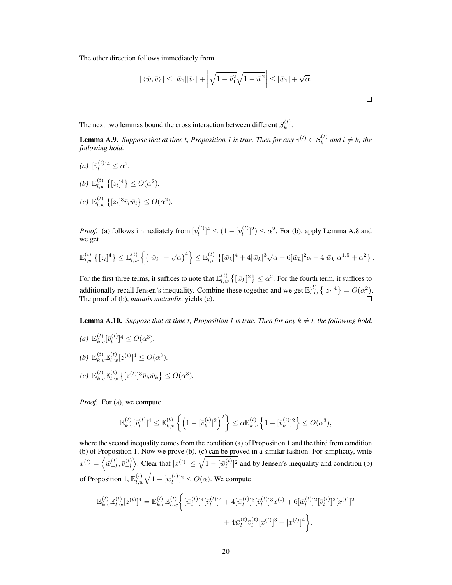The other direction follows immediately from

$$
|\langle \bar{w}, \bar{v} \rangle| \le |\bar{w}_1||\bar{v}_1| + \left| \sqrt{1 - \bar{v}_1^2} \sqrt{1 - \bar{w}_1^2} \right| \le |\bar{w}_1| + \sqrt{\alpha}.
$$

The next two lemmas bound the cross interaction between different  $S_k^{(t)}$  $\binom{u}{k}$ .

<span id="page-6-0"></span>**Lemma A.9.** Suppose that at time t, Proposition [1](#page--1-1) is true. Then for any  $v^{(t)} \in S_k^{(t)}$  $a_k^{(t)}$  and  $l \neq k$ , the *following hold.*

- $(a)$   $[\bar{v}_l^{(t)}]$  $\lbrack t^{(t)} \rbrack^4 \leq \alpha^2.$
- *(b)*  $\mathbb{E}_{l,w}^{(t)} \{ [z_t]^4 \} \le O(\alpha^2)$ *.*
- $(c) \mathbb{E}_{l,w}^{(t)} \{ [z_t]^3 \bar{v}_l \bar{w}_l \} \leq O(\alpha^2).$

*Proof.* (a) follows immediately from  $[v_l^{(t)}]$  $\binom{t}{l}^4 \leq (1 - \lfloor v_l^{(t)} \rfloor)$  $\binom{[t]}{[t]}^2 \leq \alpha^2$ . For (b), apply Lemma [A.8](#page-5-0) and we get

$$
\mathbb{E}_{l,w}^{(t)}\left\{[z_t]^4\right\} \leq \mathbb{E}_{l,w}^{(t)}\left\{\left(|\bar{w}_k|+\sqrt{\alpha}\right)^4\right\} \leq \mathbb{E}_{l,w}^{(t)}\left\{[\bar{w}_k]^4 + 4|\bar{w}_k|^3\sqrt{\alpha} + 6|\bar{w}_k|^2\alpha + 4|\bar{w}_k|\alpha^{1.5} + \alpha^2\right\}.
$$

For the first three terms, it suffices to note that  $\mathbb{E}_{l,w}^{(t)}\left\{[\bar{w}_k]^2\right\} \leq \alpha^2$ . For the fourth term, it suffices to additionally recall Jensen's inequality. Combine these together and we get  $\mathbb{E}_{l,w}^{(t)}\left\{[z_t]^4\right\} = O(\alpha^2)$ .  $\Box$ The proof of (b), *mutatis mutandis*, yields (c).

<span id="page-6-1"></span>**Lemma A.[1](#page--1-1)0.** *Suppose that at time t, Proposition 1 is true. Then for any*  $k \neq l$ *, the following hold.* 

*(a)*  $\mathbb{E}_{k,v}^{(t)}[\bar{v}_l^{(t)}]$  $\lbrack l^{(t)} \rbrack^4 \leq O(\alpha^3).$ *(b)*  $\mathbb{E}_{k,v}^{(t)} \mathbb{E}_{l,w}^{(t)} [z^{(t)}]^4 \le O(\alpha^3)$ *.*  $(c) \mathbb{E}_{k,v}^{(t)} \mathbb{E}_{l,w}^{(t)} \left\{ [z^{(t)}]^3 \bar{v}_k \bar{w}_k \right\} \leq O(\alpha^3).$ 

*Proof.* For (a), we compute

$$
\mathbb{E}_{k,v}^{(t)}[\bar{v}_l^{(t)}]^4 \leq \mathbb{E}_{k,v}^{(t)} \left\{ \left( 1 - [\bar{v}_k^{(t)}]^2 \right)^2 \right\} \leq \alpha \mathbb{E}_{k,v}^{(t)} \left\{ 1 - [\bar{v}_k^{(t)}]^2 \right\} \leq O(\alpha^3),
$$

where the second inequality comes from the condition [\(a\)](#page--1-6) of Proposition [1](#page--1-1) and the third from condition [\(b\)](#page--1-4) of Proposition [1.](#page--1-1) Now we prove (b). (c) can be proved in a similar fashion. For simplicity, write  $x^{(t)} = \left\langle \bar{w}_{-l}^{(t)} \right\rangle$  $\frac{(t)}{-l}, \bar{v}^{(t)}_{-l}$  $\binom{t}{-l}$ . Clear that  $|x^{(t)}| \leq \sqrt{1 - [\bar{w}_l^{(t)}]}$  $\binom{t}{l}$  and by Jensen's inequality and condition [\(b\)](#page--1-4) of Proposition [1,](#page--1-1)  $\mathbb{E}_{l, w}^{(t)} \sqrt{1 - [\bar{w}^{(t)}_l]}$  $\binom{t}{l}^2 \leq O(\alpha)$ . We compute

$$
\mathbb{E}_{k,v}^{(t)}\mathbb{E}_{l,w}^{(t)}[z^{(t)}]^4 = \mathbb{E}_{k,v}^{(t)}\mathbb{E}_{l,w}^{(t)} \bigg\{ [\bar{w}_l^{(t)}]^4 [\bar{v}_l^{(t)}]^4 + 4[\bar{w}_l^{(t)}]^3 [\bar{v}_l^{(t)}]^3 x^{(t)} + 6[\bar{w}_l^{(t)}]^2 [\bar{v}_l^{(t)}]^2 [x^{(t)}]^2 + 4\bar{w}_l^{(t)} \bar{v}_l^{(t)} [x^{(t)}]^3 + [x^{(t)}]^4 \bigg\}.
$$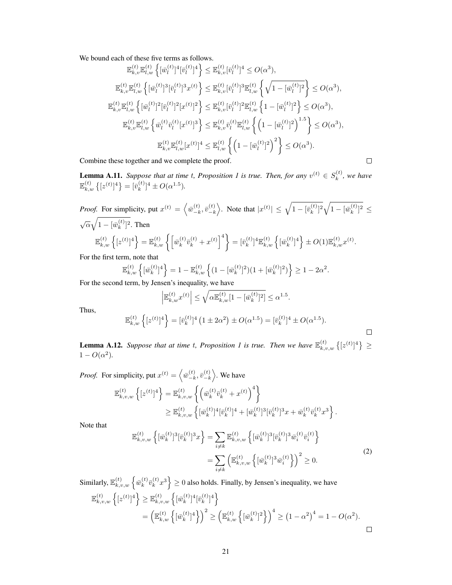We bound each of these five terms as follows.

$$
\mathbb{E}_{k,v}^{(t)}\mathbb{E}_{l,w}^{(t)}\left\{ [\bar{w}_{l}^{(t)}]^4[\bar{v}_{l}^{(t)}]^4 \right\} \leq \mathbb{E}_{k,v}^{(t)}[\bar{v}_{l}^{(t)}]^4 \leq O(\alpha^3),
$$
  
\n
$$
\mathbb{E}_{k,v}^{(t)}\mathbb{E}_{l,w}^{(t)}\left\{ [\bar{w}_{l}^{(t)}]^3[\bar{v}_{l}^{(t)}]^3 x^{(t)} \right\} \leq \mathbb{E}_{k,v}^{(t)}[\bar{v}_{l}^{(t)}]^3 \mathbb{E}_{l,w}^{(t)}\left\{ \sqrt{1 - [\bar{w}_{l}^{(t)}]^2} \right\} \leq O(\alpha^3),
$$
  
\n
$$
\mathbb{E}_{k,v}^{(t)}\mathbb{E}_{l,w}^{(t)}\left\{ [\bar{w}_{l}^{(t)}]^2[\bar{v}_{l}^{(t)}]^2[x^{(t)}]^2 \right\} \leq \mathbb{E}_{k,v}^{(t)}[\bar{v}_{l}^{(t)}]^2 \mathbb{E}_{l,w}^{(t)}\left\{ 1 - [\bar{w}_{l}^{(t)}]^2 \right\} \leq O(\alpha^3),
$$
  
\n
$$
\mathbb{E}_{k,v}^{(t)}\mathbb{E}_{l,w}^{(t)}\left\{ \bar{w}_{l}^{(t)}\bar{v}_{l}^{(t)}[x^{(t)}]^3 \right\} \leq \mathbb{E}_{k,v}^{(t)}\bar{v}_{l}^{(t)}\mathbb{E}_{l,w}^{(t)}\left\{ \left( 1 - [\bar{w}_{l}^{(t)}]^2 \right)^{1.5} \right\} \leq O(\alpha^3),
$$
  
\n
$$
\mathbb{E}_{k,v}^{(t)}\mathbb{E}_{l,w}^{(t)}[x^{(t)}]^4 \leq \mathbb{E}_{l,w}^{(t)}\left\{ \left( 1 - [\bar{w}_{l}^{(t)}]^2 \right)^2 \right\} \leq O(\alpha^3).
$$

Combine these together and we complete the proof.

<span id="page-7-0"></span>**Lemma A.[1](#page--1-1)1.** *Suppose that at time t, Proposition 1 is true. Then, for any*  $v^{(t)} \in S_k^{(t)}$  $\binom{k}{k}$ , we have  $\mathbb{E}_{k,w}^{(t)}\left\{[z^{(t)}]^4\right\}=[\bar{v}_k^{(t)}]$  ${k \choose k}^4 \pm O(\alpha^{1.5}).$ 

 $\Box$ 

 $\Box$ 

*Proof.* For simplicity, put  $x^{(t)} = \left\langle \overline{w}_{-k}^{(t)} \right\rangle$  $\left( \begin{smallmatrix} t\ \ \, -k\ \end{smallmatrix}\right)$  $\binom{t}{-k}$ . Note that  $|x^{(t)}| \leq \sqrt{1 - [\overline{v}_k^{(t)}]}$  $\sqrt{\frac{(t)}{k}}$ <sup>2</sup> $\sqrt{1 - [\bar{w}_k^{(t)}]}$  $_{k}^{(t)}$ ]<sup>2</sup>  $\leq$  $\sqrt{\alpha}\sqrt{1-[\bar{w}^{(t)}_k]}$  $\binom{t}{k}$ <sup>2</sup>. Then  $\mathbb{E}_{k, w}^{(t)} \left\{ [z^{(t)}]^4 \right\} = \mathbb{E}_{k, w}^{(t)} \left\{ \left[ \bar{w}_k^{(t)} \right] \right.$  $\left\{ \left. \begin{array}{c} (t) \\ \bar{v}_k^{(t)} + x^{(t)} \end{array} \right\}^4 \right\} = \left[ \bar{v}_k^{(t)} \right]$  ${}_{k}^{(t)}$ ]<sup>4</sup> $\mathbb{E}_{k,w}^{(t)}$   $\left\{ \left[ \bar{w}_{k}^{(t)} \right]$  ${k \choose k}^4$   $\} \pm O(1) \mathbb{E}_{k,w}^{(t)} x^{(t)}$ .

For the first term, note that

$$
\mathbb{E}_{k,w}^{(t)}\left\{[\bar{w}_k^{(t)}]^4\right\} = 1 - \mathbb{E}_{k,w}^{(t)}\left\{(1 - [\bar{w}_k^{(t)}]^2)(1 + [\bar{w}_k^{(t)}]^2)\right\} \ge 1 - 2\alpha^2.
$$

For the second term, by Jensen's inequality, we have

$$
\left| \mathbb{E}_{k,w}^{(t)} x^{(t)} \right| \leq \sqrt{\alpha \mathbb{E}_{k,w}^{(t)} [1 - [\bar{w}_k^{(t)}]^2]} \leq \alpha^{1.5}.
$$

Thus,

$$
\mathbb{E}_{k,w}^{(t)}\left\{ [z^{(t)}]^4 \right\} = [\bar{v}_k^{(t)}]^4 \left( 1 \pm 2\alpha^2 \right) \pm O(\alpha^{1.5}) = [\bar{v}_k^{(t)}]^4 \pm O(\alpha^{1.5}).
$$

<span id="page-7-2"></span>**Lemma A.[1](#page--1-1)2.** Suppose that at time t, Proposition 1 is true. Then we have  $\mathbb{E}_{k,v,w}^{(t)}\left\{z^{(t)}\right\}^4$   $\geq$  $1 - O(\alpha^2)$ .

*Proof.* For simplicity, put  $x^{(t)} = \left\langle \overline{w}^{(t)}_{-k} \right\rangle$  $\frac{(t)}{-k}, \bar{v}^{(t)}_{-k}$  $\binom{(t)}{-k}$ . We have

$$
\mathbb{E}_{k,v,w}^{(t)} \left\{ [z^{(t)}]^4 \right\} = \mathbb{E}_{k,v,w}^{(t)} \left\{ \left( \bar{w}_k^{(t)} \bar{v}_k^{(t)} + x^{(t)} \right)^4 \right\} \n\geq \mathbb{E}_{k,v,w}^{(t)} \left\{ [\bar{w}_k^{(t)}]^4 [\bar{v}_k^{(t)}]^4 + [\bar{w}_k^{(t)}]^3 [\bar{v}_k^{(t)}]^3 x + \bar{w}_k^{(t)} \bar{v}_k^{(t)} x^3 \right\}.
$$

Note that

<span id="page-7-1"></span>
$$
\mathbb{E}_{k,v,w}^{(t)} \left\{ [\bar{w}_k^{(t)}]^3 [\bar{v}_k^{(t)}]^3 x \right\} = \sum_{i \neq k} \mathbb{E}_{k,v,w}^{(t)} \left\{ [\bar{w}_k^{(t)}]^3 [\bar{v}_k^{(t)}]^3 \bar{w}_i^{(t)} \bar{v}_i^{(t)} \right\} \n= \sum_{i \neq k} \left( \mathbb{E}_{k,v,w}^{(t)} \left\{ [\bar{w}_k^{(t)}]^3 \bar{w}_i^{(t)} \right\} \right)^2 \geq 0.
$$
\n(2)

Similarly,  $\mathbb{E}_{k,v,w}^{(t)}$   $\left\{ \bar{w}_{k}^{(t)} \right\}$  $_{k}^{\left( t\right) }\bar{v}_{k}^{\left( t\right) }$  $\left\{\frac{t}{k}, x^3\right\} \ge 0$  also holds. Finally, by Jensen's inequality, we have  $\mathbb{E}_{k,v,w}^{(t)} \left\{ [z^{(t)}]^4 \right\} \geq \mathbb{E}_{k,v,w}^{(t)} \left\{ [\bar{w}_{k}^{(t)}] \right\}$  $[\bar{v}_k^{(t)}]^4[\bar{v}_k^{(t)}]$  $\begin{bmatrix} (t) \ k \end{bmatrix}^4$  $=\left( \mathbb{E}_{k,w}^{(t)}\left\{ \left[ \bar{w}_{k}^{(t)}\right] \right. \right.$  $\begin{pmatrix} (t) \ k \end{pmatrix}^4 \begin{pmatrix} \end{pmatrix}^2 \ge \left( \mathbb{E}_{k,w}^{(t)} \left\{ \left[ \bar{w}_k^{(t)} \right] \right.$  ${k \choose k}^2$   $\binom{k}{k}^4 \ge (1 - \alpha^2)^4 = 1 - O(\alpha^2).$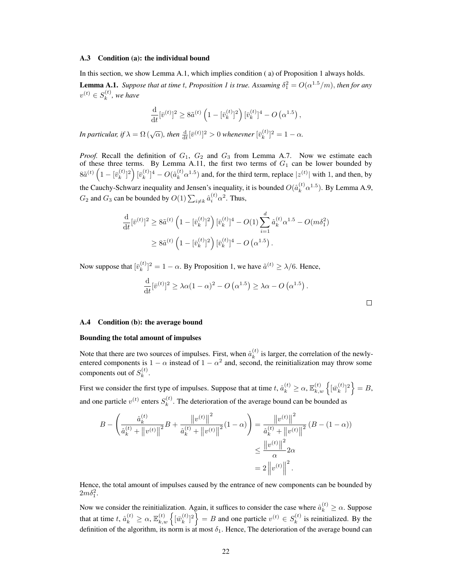#### <span id="page-8-0"></span>A.3 Condition [\(a\)](#page--1-6): the individual bound

In this section, we show Lemma [A.1,](#page-2-1) which implies condition ( [a\)](#page--1-6) of Proposition [1](#page--1-1) always holds. **Lemma A.[1](#page--1-1).** *Suppose that at time t, Proposition 1 is true. Assuming*  $\delta_1^2 = O(\alpha^{1.5}/m)$ , *then for any*  $v^{(t)} \in S_k^{(t)}$  $\binom{k}{k}$ , we have

$$
\frac{\mathrm{d}}{\mathrm{d}t} [\bar{v}^{(t)}]^2 \ge 8\tilde{a}^{(t)} \left( 1 - [\bar{v}_k^{(t)}]^2 \right) [\bar{v}_k^{(t)}]^4 - O\left( \alpha^{1.5} \right),
$$

In particular, if  $\lambda = \Omega\left(\sqrt{\alpha}\right)$ , then  $\frac{\mathrm{d}}{\mathrm{d}t}[\bar{v}^{(t)}]^2 > 0$  whenevner  $[\bar{v}_k^{(t)}]$  ${k \choose k}^2 = 1 - \alpha.$ 

*Proof.* Recall the definition of  $G_1$ ,  $G_2$  and  $G_3$  from Lemma [A.7.](#page-4-1) Now we estimate each of these three terms. By Lemma [A.11,](#page-7-0) the first two terms of  $G_1$  can be lower bounded by  $8\tilde{a}^{(t)}\left(1-[\bar{v}^{(t)}_k$  $[\bar{v}_k^{(t)}]^2 \Bigr) [\bar{v}_k^{(t)}$ k ] <sup>4</sup> − O(ˆa (t) <sup>k</sup> α 1.5 ) and, for the third term, replace |z (t) | with 1, and then, by the Cauchy-Schwarz inequality and Jensen's inequality, it is bounded  $O(\hat{a}_k^{(t)} \alpha^{1.5})$ . By Lemma [A.9,](#page-6-0)  $G_2$  and  $G_3$  can be bounded by  $O(1) \sum_{i \neq k} \hat{a}_i^{(t)} \alpha^2$ . Thus,

$$
\frac{\mathrm{d}}{\mathrm{d}t} [\bar{v}^{(t)}]^{2} \geq 8\tilde{a}^{(t)} \left(1 - [\bar{v}_{k}^{(t)}]^{2}\right) [\bar{v}_{k}^{(t)}]^{4} - O(1) \sum_{i=1}^{d} \hat{a}_{k}^{(t)} \alpha^{1.5} - O(m\delta_{1}^{2})
$$
\n
$$
\geq 8\tilde{a}^{(t)} \left(1 - [\bar{v}_{k}^{(t)}]^{2}\right) [\bar{v}_{k}^{(t)}]^{4} - O(\alpha^{1.5}).
$$

Now suppose that  $[\bar{v}_k^{(t)}]$  $\kappa_k^{(t)}$ ]<sup>2</sup> = 1 –  $\alpha$ . By Proposition [1,](#page--1-1) we have  $\tilde{a}^{(t)} \ge \lambda/6$ . Hence,

$$
\frac{\mathrm{d}}{\mathrm{d}t}[\bar{v}^{(t)}]^2 \ge \lambda \alpha (1-\alpha)^2 - O\left(\alpha^{1.5}\right) \ge \lambda \alpha - O\left(\alpha^{1.5}\right).
$$

#### <span id="page-8-1"></span>A.4 Condition [\(b\)](#page--1-4): the average bound

#### Bounding the total amount of impulses

Note that there are two sources of impulses. First, when  $\hat{a}_k^{(t)}$  $\kappa^{(t)}$  is larger, the correlation of the newlyentered components is  $1 - \alpha$  instead of  $1 - \alpha^2$  and, second, the reinitialization may throw some components out of  $S_k^{(t)}$  $\frac{k^{(t)}}{k}$ .

First we consider the first type of impulses. Suppose that at time  $t$ ,  $\hat{a}^{(t)}_k \geq \alpha, \mathbb{E}_{k,w}^{(t)}\left\{[\bar{w}^{(t)}_k$  ${k \choose k}^2 = B,$ and one particle  $v^{(t)}$  enters  $S_k^{(t)}$  $k<sup>(t)</sup>$ . The deterioration of the average bound can be bounded as

$$
B - \left(\frac{\hat{a}_{k}^{(t)}}{\hat{a}_{k}^{(t)} + \|v^{(t)}\|^{2}}B + \frac{\|v^{(t)}\|^{2}}{\hat{a}_{k}^{(t)} + \|v^{(t)}\|^{2}}(1-\alpha)\right) = \frac{\|v^{(t)}\|^{2}}{\hat{a}_{k}^{(t)} + \|v^{(t)}\|^{2}} (B - (1-\alpha))
$$

$$
\leq \frac{\|v^{(t)}\|^{2}}{\alpha} 2\alpha
$$

$$
= 2\left\|v^{(t)}\right\|^{2}.
$$

Hence, the total amount of impulses caused by the entrance of new components can be bounded by  $2m\delta_1^2$ .

Now we consider the reinitialization. Again, it suffices to consider the case where  $\hat{a}_k^{(t)} \ge \alpha$ . Suppose that at time  $t$ ,  $\hat{a}_k^{(t)} \ge \alpha$ ,  $\mathbb{E}_{k,w}^{(t)} \left\{ \left[ \bar{w}_k^{(t)} \right] \right\}$  ${k \choose k}^2$  = B and one particle  $v^{(t)} \in S_k^{(t)}$  $\kappa^{(t)}$  is reinitialized. By the definition of the algorithm, its norm is at most  $\delta_1$ . Hence, The deterioration of the average bound can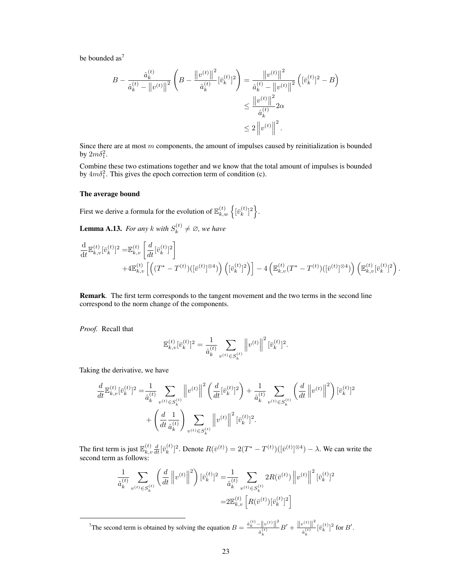be bounded as<sup>[7](#page-9-0)</sup>

$$
B - \frac{\hat{a}_k^{(t)}}{\hat{a}_k^{(t)} - ||v^{(t)}||^2} \left( B - \frac{||v^{(t)}||^2}{\hat{a}_k^{(t)}} [\bar{v}_k^{(t)}]^2 \right) = \frac{||v^{(t)}||^2}{\hat{a}_k^{(t)} - ||v^{(t)}||^2} \left( [\bar{v}_k^{(t)}]^2 - B \right)
$$
  

$$
\leq \frac{||v^{(t)}||^2}{\hat{a}_k^{(t)}} 2\alpha
$$
  

$$
\leq 2 ||v^{(t)}||^2.
$$

Since there are at most  $m$  components, the amount of impulses caused by reinitialization is bounded by  $2m\delta_1^2$ .

Combine these two estimations together and we know that the total amount of impulses is bounded by  $4m\delta_1^2$ . This gives the epoch correction term of condition (c).

#### The average bound

First we derive a formula for the evolution of  $\mathbb{E}_{k,w}^{(t)}\left\{\left[\bar{v}_k^{(t)}\right] \right\}$  $\binom{t}{k}$ <sup>2</sup>.

**Lemma A.13.** *For any k* with  $S_k^{(t)}$  $y_k^{(t)} \neq \emptyset$ , we have

$$
\frac{\mathrm{d}}{\mathrm{d}t} \mathbb{E}_{k,v}^{(t)} [\bar{v}_k^{(t)}]^2 = \mathbb{E}_{k,v}^{(t)} \left[ \frac{d}{dt} [\bar{v}_k^{(t)}]^2 \right] + 4 \mathbb{E}_{k,v}^{(t)} \left[ \left( (T^* - T^{(t)}) ([\bar{v}^{(t)}]^{\otimes 4}) \right) \left( [\bar{v}_k^{(t)}]^2 \right) \right] - 4 \left( \mathbb{E}_{k,v}^{(t)} (T^* - T^{(t)}) ([\bar{v}^{(t)}]^{\otimes 4}) \right) \left( \mathbb{E}_{k,v}^{(t)} [\bar{v}_k^{(t)}]^2 \right).
$$

Remark*.* The first term corresponds to the tangent movement and the two terms in the second line correspond to the norm change of the components.

*Proof.* Recall that

$$
\mathbb{E}_{k,v}^{(t)}[\bar{v}_k^{(t)}]^2 = \frac{1}{\hat{a}_k^{(t)}} \sum_{v^{(t)} \in S_k^{(t)}} \left\| v^{(t)} \right\|^2 [\bar{v}_k^{(t)}]^2.
$$

Taking the derivative, we have

$$
\frac{d}{dt} \mathbb{E}_{k,v}^{(t)} [\bar{v}_k^{(t)}]^2 = \frac{1}{\hat{a}_k^{(t)}} \sum_{v^{(t)} \in S_k^{(t)}} \left\| v^{(t)} \right\|^2 \left( \frac{d}{dt} [\bar{v}_k^{(t)}]^2 \right) + \frac{1}{\hat{a}_k^{(t)}} \sum_{v^{(t)} \in S_k^{(t)}} \left( \frac{d}{dt} \left\| v^{(t)} \right\|^2 \right) [\bar{v}_k^{(t)}]^2
$$

$$
+ \left( \frac{d}{dt} \frac{1}{\hat{a}_k^{(t)}} \right) \sum_{v^{(t)} \in S_k^{(t)}} \left\| v^{(t)} \right\|^2 [\bar{v}_k^{(t)}]^2.
$$

The first term is just  $\mathbb{E}_{k}^{(t)}$  $_{k,v}^{\left( t\right) }\frac{d}{dt}\lbrack\bar{v}_{k}^{\left( t\right) }% \frac{1}{2},\left( t_{k}\right) \rbrack\bar{v}_{k}^{\left( t\right) }$  ${k \choose k}^2$ . Denote  $R(\bar{v}^{(t)}) = 2(T^* - T^{(t)}) ([\bar{v}^{(t)}]^{\otimes 4}) - \lambda$ . We can write the second term as follows:

$$
\frac{1}{\hat{a}_{k}^{(t)}} \sum_{v^{(t)} \in S_{k}^{(t)}} \left(\frac{d}{dt} \left\|v^{(t)}\right\|^{2}\right) [\bar{v}_{k}^{(t)}]^{2} = \frac{1}{\hat{a}_{k}^{(t)}} \sum_{v^{(t)} \in S_{k}^{(t)}} 2R(\bar{v}^{(t)}) \left\|v^{(t)}\right\|^{2} [\bar{v}_{k}^{(t)}]^{2}
$$

$$
= 2\mathbb{E}_{k,v}^{(t)} \left[R(\bar{v}^{(t)})[\bar{v}_{k}^{(t)}]^{2}\right]
$$

<span id="page-9-0"></span><sup>7</sup>The second term is obtained by solving the equation  $B = \frac{\hat{a}_k^{(t)} - ||v^{(t)}||^2}{\hat{a}_k^{(t)}}$  $\frac{\|v^{(t)}\|^2}{\hat{a}_k^{(t)}} B' + \frac{\|v^{(t)}\|^2}{\hat{a}_k^{(t)}}$  $\frac{\partial}{\partial k} \left[ \bar{v}_k^{(t)} \right]$  [ $\bar{v}_k^{(t)}$ ]<sup>2</sup> for *B'*.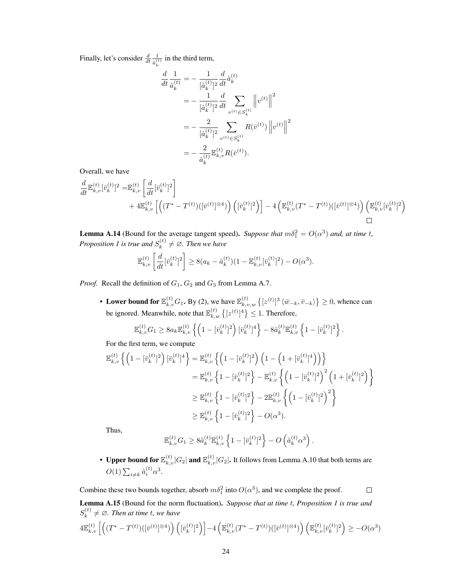Finally, let's consider  $\frac{d}{dt} \frac{1}{\hat{a}^{(i)}}$  $\frac{1}{\hat{a}_k^{(t)}}$  in the third term,

$$
\frac{d}{dt}\frac{1}{\hat{a}_k^{(t)}} = -\frac{1}{[\hat{a}_k^{(t)}]^2}\frac{d}{dt}\hat{a}_k^{(t)} \n= -\frac{1}{[\hat{a}_k^{(t)}]^2}\frac{d}{dt}\sum_{v^{(t)}\in S_k^{(t)}} \left\|v^{(t)}\right\|^2 \n= -\frac{2}{[\hat{a}_k^{(t)}]^2}\sum_{v^{(t)}\in S_k^{(t)}} R(\bar{v}^{(t)}) \left\|v^{(t)}\right\|^2 \n= -\frac{2}{\hat{a}_k^{(t)}} \mathbb{E}_{k,v}^{(t)} R(\bar{v}^{(t)}).
$$

Overall, we have

$$
\frac{d}{dt} \mathbb{E}_{k,v}^{(t)} [\bar{v}_k^{(t)}]^2 = \mathbb{E}_{k,v}^{(t)} \left[ \frac{d}{dt} [\bar{v}_k^{(t)}]^2 \right] \n+ 4 \mathbb{E}_{k,v}^{(t)} \left[ \left( (T^* - T^{(t)})([\bar{v}^{(t)}]^{\otimes 4}) \right) \left( [\bar{v}_k^{(t)}]^2 \right) \right] - 4 \left( \mathbb{E}_{k,v}^{(t)} (T^* - T^{(t)}) ([\bar{v}^{(t)}]^{\otimes 4}) \right) \left( \mathbb{E}_{k,v}^{(t)} [\bar{v}_k^{(t)}]^2 \right)
$$

**Lemma A.14** (Bound for the average tangent speed). *Suppose that*  $m\delta_1^2 = O(\alpha^3)$  *and, at time t, Proposition* [1](#page--1-1) is true and  $S_k^{(t)}$  $f_k^{(t)} \neq \emptyset$ . Then we have

$$
\mathbb{E}_{k,v}^{(t)}\left[\frac{d}{dt}[\bar{v}_k^{(t)}]^2\right] \ge 8(a_k - \hat{a}_k^{(t)})(1 - \mathbb{E}_{k,v}^{(t)}[\bar{v}_k^{(t)}]^2) - O(\alpha^3).
$$

*Proof.* Recall the definition of  $G_1$ ,  $G_2$  and  $G_3$  from Lemma [A.7.](#page-4-1)

• Lower bound for  $\mathbb{E}_{k,v}^{(t)} G_1$ . By [\(2\)](#page-7-1), we have  $\mathbb{E}_{k,v,w}^{(t)} \left\{ [z^{(t)}]^3 \langle \bar{w}_{-k}, \bar{v}_{-k} \rangle \right\} \geq 0$ , whence can be ignored. Meanwhile, note that  $\mathbb{E}_{k,w}^{(t)}\left\{[z^{(t)}]^4\right\} \leq 1$ . Therefore,

$$
\mathbb{E}_{k,v}^{(t)} G_1 \geq 8 a_k \mathbb{E}_{k,v}^{(t)} \left\{ \left( 1 - [\bar{v}_k^{(t)}]^2 \right) [\bar{v}_k^{(t)}]^4 \right\} - 8 \hat{a}_k^{(t)} \mathbb{E}_{k,v}^{(t)} \left\{ 1 - [\bar{v}_k^{(t)}]^2 \right\}.
$$

For the first term, we compute

$$
\mathbb{E}_{k,v}^{(t)} \left\{ \left( 1 - [\bar{v}_k^{(t)}]^2 \right) [\bar{v}_k^{(t)}]^4 \right\} = \mathbb{E}_{k,v}^{(t)} \left\{ \left( 1 - [\bar{v}_k^{(t)}]^2 \right) \left( 1 - \left( 1 + [\bar{v}_k^{(t)}]^4 \right) \right) \right\}
$$
\n
$$
= \mathbb{E}_{k,v}^{(t)} \left\{ 1 - [\bar{v}_k^{(t)}]^2 \right\} - \mathbb{E}_{k,v}^{(t)} \left\{ \left( 1 - [\bar{v}_k^{(t)}]^2 \right)^2 \left( 1 + [\bar{v}_k^{(t)}]^2 \right) \right\}
$$
\n
$$
\geq \mathbb{E}_{k,v}^{(t)} \left\{ 1 - [\bar{v}_k^{(t)}]^2 \right\} - 2 \mathbb{E}_{k,v}^{(t)} \left\{ \left( 1 - [\bar{v}_k^{(t)}]^2 \right)^2 \right\}
$$
\n
$$
\geq \mathbb{E}_{k,v}^{(t)} \left\{ 1 - [\bar{v}_k^{(t)}]^2 \right\} - O(\alpha^3).
$$

Thus,

$$
\mathbb{E}_{k,v}^{(t)} G_1 \geq 8 \tilde{a}_k^{(t)} \mathbb{E}_{k,v}^{(t)} \left\{ 1 - [\bar{v}_k^{(t)}]^2 \right\} - O\left(\hat{a}_k^{(t)} \alpha^3\right).
$$

• Upper bound for  $\mathbb{E}_{k,v}^{(t)}|G_2|$  and  $\mathbb{E}_{k,v}^{(t)}|G_2|$ . It follows from Lemma [A.10](#page-6-1) that both terms are  $O(1) \sum_{i \neq k} \hat{a}_i^{(t)} \alpha^3$ .

 $\Box$ 

Combine these two bounds together, absorb  $m\delta_1^2$  into  $O(\alpha^3)$ , and we complete the proof.

Lemma A.15 (Bound for the norm fluctuation). *Suppose that at time* t*, Proposition [1](#page--1-1) is true and*  $S_k^{(t)}$  $f_k^{(t)} \neq \emptyset$ . Then at time *t*, we have

$$
4\mathbb{E}_{k,v}^{(t)}\left[\left((T^*-T^{(t)})([\bar{v}^{(t)}]^{\otimes4})\right)\left([\bar{v}_k^{(t)}]^{2}\right)\right]-4\left(\mathbb{E}_{k,v}^{(t)}(T^*-T^{(t)})([\bar{v}^{(t)}]^{\otimes4})\right)\left(\mathbb{E}_{k,v}^{(t)}[\bar{v}_k^{(t)}]^{2}\right)\geq -O(\alpha^3)
$$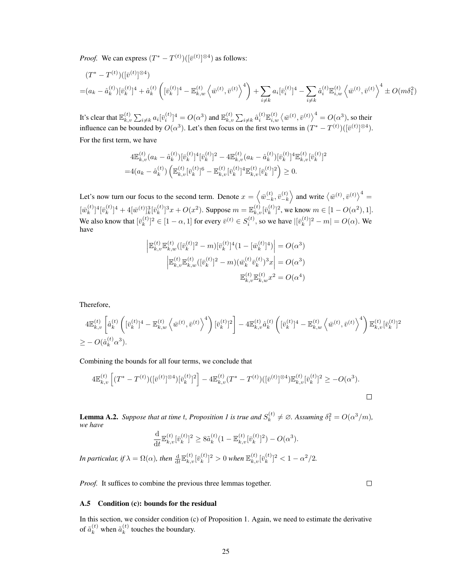*Proof.* We can express  $(T^* - T^{(t)}) ([\bar{v}^{(t)}]^{\otimes 4})$  as follows:

$$
(T^* - T^{(t)}) \left( [\bar{v}^{(t)}]^{\otimes 4} \right)
$$
  
=  $(a_k - \hat{a}_k^{(t)}) [\bar{v}_k^{(t)}]^4 + \hat{a}_k^{(t)} \left( [\bar{v}_k^{(t)}]^4 - \mathbb{E}_{k,w}^{(t)} \left\langle \bar{w}^{(t)}, \bar{v}^{(t)} \right\rangle^4 \right) + \sum_{i \neq k} a_i [\bar{v}_i^{(t)}]^4 - \sum_{i \neq k} \hat{a}_i^{(t)} \mathbb{E}_{i,w}^{(t)} \left\langle \bar{w}^{(t)}, \bar{v}^{(t)} \right\rangle^4 \pm O(m\delta_1^2)$ 

It's clear that  $\mathbb{E}_{k,i}^{(t)}$  $\sum_{k,v}^{(t)}\sum_{i\neq k}a_i[\bar{v}^{(t)}_i]^4=O(\alpha^3)$  and  $\mathbb{E}_{k,v}^{(t)}$  $\sum_{k,v}\sum_{i\neq k}\hat{a}_i^{(t)}\mathbb{E}_{i,w}^{(t)}\left\langle\bar{w}^{(t)},\bar{v}^{(t)}\right\rangle^4=O(\alpha^3),$  so their influence can be bounded by  $O(\alpha^3)$ . Let's then focus on the first two terms in  $(T^* - T^{(t)})([\bar{v}^{(t)}]^{\otimes 4})$ . For the first term, we have

$$
4\mathbb{E}_{k,v}^{(t)}(a_k - \hat{a}_k^{(t)})[\bar{v}_k^{(t)}]^4 [\bar{v}_k^{(t)}]^2 - 4\mathbb{E}_{k,v}^{(t)}(a_k - \hat{a}_k^{(t)})[\bar{v}_k^{(t)}]^4 \mathbb{E}_{k,v}^{(t)} [\bar{v}_k^{(t)}]^2
$$
  
=4(a\_k - \hat{a}\_k^{(t)}) \left(\mathbb{E}\_{k,v}^{(t)}[\bar{v}\_k^{(t)}]^6 - \mathbb{E}\_{k,v}^{(t)}[\bar{v}\_k^{(t)}]^4 \mathbb{E}\_{k,v}^{(t)}[\bar{v}\_k^{(t)}]^2\right) \ge 0.

Let's now turn our focus to the second term. Denote  $x = \left\langle \bar{w}_{-k}^{(t)} \right\rangle$  $\left( \frac{t}{-k}, \bar{v}^{(t)}_{-k} \right)$  $\begin{pmatrix} (t) \\ -k \end{pmatrix}$  and write  $\langle \bar{w}^{(t)}, \bar{v}^{(t)} \rangle^4 =$  $\overline{w}_k^{(t)}$  $\binom{t}{k}$ <sup>4</sup> $\left[\bar{v}_{k}^{(t)}\right]$  $[\bar{w}^{(t)}]^{4} + 4[\bar{w}^{(t)}]_{k}^{3}[\bar{v}_{k}^{(t)}]$  ${k \choose k}^3 x + O(x^2)$ . Suppose  $m = \mathbb{E}^{(t)}_{k,v} [\bar{v}^{(t)}_{k}]$  ${k^{(t)} \brack k}^2$ , we know  $m \in [1 - O(\alpha^2), 1]$ . We also know that  $[\bar{v}_k^{(t)}]$  $[k]_k^{(t)}]^2 \in [1 - \alpha, 1]$  for every  $\bar{v}^{(t)} \in S_i^{(t)}$ , so we have  $|[\bar{v}_k^{(t)}]$  ${k \choose k}^2 - m = O(\alpha)$ . We have

$$
\begin{aligned} \left| \mathbb{E}_{k,v}^{(t)} \mathbb{E}_{k,w}^{(t)} ([\bar{v}_k^{(t)}]^2 - m) [\bar{v}_k^{(t)}]^4 (1 - [\bar{w}_k^{(t)}]^4) \right| &= O(\alpha^3) \\ \left| \mathbb{E}_{k,v}^{(t)} \mathbb{E}_{k,w}^{(t)} ([\bar{v}_k^{(t)}]^2 - m) (\bar{w}_k^{(t)} \bar{v}_k^{(t)})^3 x \right| &= O(\alpha^3) \\ \mathbb{E}_{k,v}^{(t)} \mathbb{E}_{k,w}^{(t)} x^2 &= O(\alpha^4) \end{aligned}
$$

Therefore,

$$
4\mathbb{E}_{k,v}^{(t)}\left[\hat{a}_k^{(t)}\left([\bar{v}_k^{(t)}]^4 - \mathbb{E}_{k,w}^{(t)}\left\langle \bar{w}^{(t)}, \bar{v}^{(t)} \right\rangle^4\right) [\bar{v}_k^{(t)}]^2\right] - 4\mathbb{E}_{k,v}^{(t)}\hat{a}_k^{(t)}\left([\bar{v}_k^{(t)}]^4 - \mathbb{E}_{k,w}^{(t)}\left\langle \bar{w}^{(t)}, \bar{v}^{(t)} \right\rangle^4\right)\mathbb{E}_{k,v}^{(t)}[\bar{v}_k^{(t)}]^2
$$
  
\n
$$
\geq -O(\hat{a}_k^{(t)}\alpha^3).
$$

Combining the bounds for all four terms, we conclude that

$$
4\mathbb{E}_{k,v}^{(t)}\left[ (T^* - T^{(t)}) ([\bar{v}^{(t)}]^{\otimes 4}) [\bar{v}_k^{(t)}]^2 \right] - 4\mathbb{E}_{k,v}^{(t)} (T^* - T^{(t)}) ([\bar{v}^{(t)}]^{\otimes 4}) \mathbb{E}_{k,v}^{(t)} [\bar{v}_k^{(t)}]^2 \geq -O(\alpha^3).
$$

**Lemma A.2.** Suppose that at time t, Proposition [1](#page--1-1) is true and  $S_k^{(t)}$  $\delta_k^{(t)} \neq \emptyset$ . Assuming  $\delta_1^2 = O(\alpha^3/m)$ , *we have*

$$
\frac{\mathrm{d}}{\mathrm{d}t} \mathbb{E}_{k,v}^{(t)} [\bar{v}_k^{(t)}]^2 \geq 8 \tilde{a}_k^{(t)} (1 - \mathbb{E}_{k,v}^{(t)} [\bar{v}_k^{(t)}]^2) - O(\alpha^3).
$$

In particular, if  $\lambda = \Omega(\alpha)$ , then  $\frac{\mathrm{d}}{\mathrm{d}t} \mathbb{E}_{k,v}^{(t)}[\bar{v}_k^{(t)}]$  $[\bar{v}_k^{(t)}]^2>0$  when  $\mathbb{E}_{k,v}^{(t)}[\bar{v}_k^{(t)}]$  $\binom{(t)}{k}^2 < 1 - \alpha^2/2.$ 

*Proof.* It suffices to combine the previous three lemmas together.

 $\Box$ 

## <span id="page-11-0"></span>A.5 Condition [\(c\)](#page--1-5): bounds for the residual

In this section, we consider condition [\(c\)](#page--1-5) of Proposition [1.](#page--1-1) Again, we need to estimate the derivative of  $\tilde{a}_k^{(t)}$  when  $\tilde{a}_k^{(t)}$  $\kappa^{(t)}$  touches the boundary.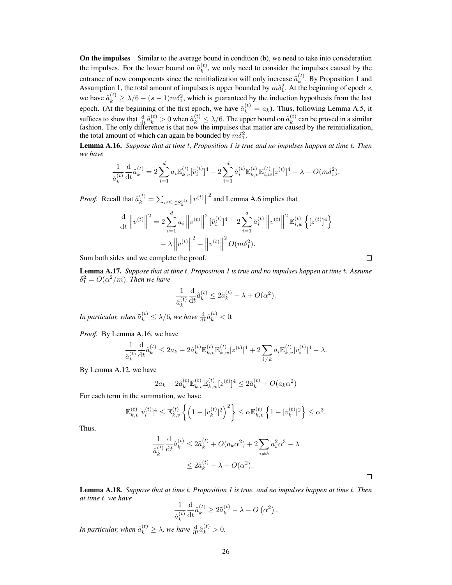On the impulses Similar to the average bound in condition [\(b\)](#page--1-4), we need to take into consideration the impulses. For the lower bound on  $\tilde{a}_k^{(t)}$  $\kappa_k^{(t)}$ , we only need to consider the impulses caused by the entrance of new components since the reinitialization will only increase  $\tilde{a}_k^{(t)}$  $k^{(i)}$ . By Proposition [1](#page--1-1) and Assumption [1,](#page-1-0) the total amount of impulses is upper bounded by  $m\delta_1^2$ . At the beginning of epoch s, we have  $\tilde{a}_k^{(t)} \ge \lambda/6 - (s-1)m\delta_1^2$ , which is guaranteed by the induction hypothesis from the last epoch. (At the beginning of the first epoch, we have  $\tilde{a}_k^{(t)} = a_k$ ). Thus, following Lemma [A.5,](#page-3-1) it suffices to show that  $\frac{d}{dt}\tilde{a}_k^{(t)} > 0$  when  $\tilde{a}_k^{(t)} \leq \lambda/6$ . The upper bound on  $\tilde{a}_k^{(t)}$  $k^{(i)}$  can be proved in a similar fashion. The only difference is that now the impulses that matter are caused by the reinitialization, the total amount of which can again be bounded by  $m\delta_1^2$ .

<span id="page-12-2"></span>Lemma A.16. *Suppose that at time* t*, Proposition [1](#page--1-1) is true and no impulses happen at time* t*. Then we have*

$$
\frac{1}{\hat{a}_{k}^{(t)}} \frac{d}{dt} \hat{a}_{k}^{(t)} = 2 \sum_{i=1}^{d} a_{i} \mathbb{E}_{k,v}^{(t)} [\bar{v}_{i}^{(t)}]^{4} - 2 \sum_{i=1}^{d} \hat{a}_{i}^{(t)} \mathbb{E}_{k,v}^{(t)} \mathbb{E}_{i,w}^{(t)} [z^{(t)}]^{4} - \lambda - O(m\delta_{1}^{2}).
$$

*Proof.* Recall that  $\hat{a}_k^{(t)} = \sum_{v^{(t)} \in S_k^{(t)}} ||v^{(t)}||$  $2<sup>2</sup>$  and Lemma [A.6](#page-3-0) implies that

$$
\frac{\mathrm{d}}{\mathrm{d}t} \|v^{(t)}\|^2 = 2 \sum_{i=1}^d a_i \|v^{(t)}\|^2 \left[\bar{v}_i^{(t)}\right]^4 - 2 \sum_{i=1}^d \hat{a}_i^{(t)} \|v^{(t)}\|^2 \mathbb{E}_{i,w}^{(t)} \left\{ [z^{(t)}]^4 \right\} \n- \lambda \left\| v^{(t)} \right\|^2 - \left\| v^{(t)} \right\|^2 O(m\delta_1^2).
$$

Sum both sides and we complete the proof.

<span id="page-12-0"></span>Lemma A.17. *Suppose that at time* t*, Proposition [1](#page--1-1) is true and no impulses happen at time* t*. Assume*  $\delta_1^2 = O(\alpha^2/m)$ . Then we have

$$
\frac{1}{\hat{a}_k^{(t)}} \frac{\mathrm{d}}{\mathrm{d}t} \hat{a}_k^{(t)} \le 2\tilde{a}_k^{(t)} - \lambda + O(\alpha^2).
$$

In particular, when  $\tilde{a}_k^{(t)} \leq \lambda/6$ , we have  $\frac{d}{dt} \hat{a}_k^{(t)} < 0$ .

*Proof.* By Lemma [A.16,](#page-12-2) we have

$$
\frac{1}{\hat{a}_{k}^{(t)}} \frac{\mathrm{d}}{\mathrm{d}t} \hat{a}_{k}^{(t)} \leq 2a_{k} - 2\hat{a}_{k}^{(t)} \mathbb{E}_{k,v}^{(t)} \mathbb{E}_{k,w}^{(t)} [z^{(t)}]^{4} + 2 \sum_{i \neq k} a_{i} \mathbb{E}_{k,v}^{(t)} [\bar{v}_{i}^{(t)}]^{4} - \lambda.
$$

By Lemma [A.12,](#page-7-2) we have

$$
2a_k - 2\hat{a}_k^{(t)} \mathbb{E}_{k,v}^{(t)} \mathbb{E}_{k,w}^{(t)} [z^{(t)}]^4 \le 2\tilde{a}_k^{(t)} + O(a_k \alpha^2)
$$

For each term in the summation, we have

$$
\mathbb{E}_{k,v}^{(t)}[\bar{v}_i^{(t)}]^4 \leq \mathbb{E}_{k,v}^{(t)}\left\{ \left(1 - [\bar{v}_k^{(t)}]^2\right)^2 \right\} \leq \alpha \mathbb{E}_{k,v}^{(t)}\left\{1 - [\bar{v}_k^{(t)}]^2 \right\} \leq \alpha^3.
$$

Thus,

$$
\frac{1}{\hat{a}_k^{(t)}} \frac{d}{dt} \hat{a}_k^{(t)} \le 2\tilde{a}_k^{(t)} + O(a_k \alpha^2) + 2 \sum_{i \ne k} a_i^2 \alpha^3 - \lambda
$$
  

$$
\le 2\tilde{a}_k^{(t)} - \lambda + O(\alpha^2).
$$

<span id="page-12-1"></span>Lemma A.18. *Suppose that at time* t*, Proposition [1](#page--1-1) is true. and no impulses happen at time* t*. Then at time* t*, we have*

$$
\frac{1}{\hat{a}_{k}^{(t)}} \frac{d}{dt} \hat{a}_{k}^{(t)} \ge 2\tilde{a}_{k}^{(t)} - \lambda - O\left(\alpha^{2}\right).
$$

In particular, when  $\tilde{a}_k^{(t)} \geq \lambda$ , we have  $\frac{d}{dt} \hat{a}_k^{(t)} > 0$ .

 $\Box$ 

 $\Box$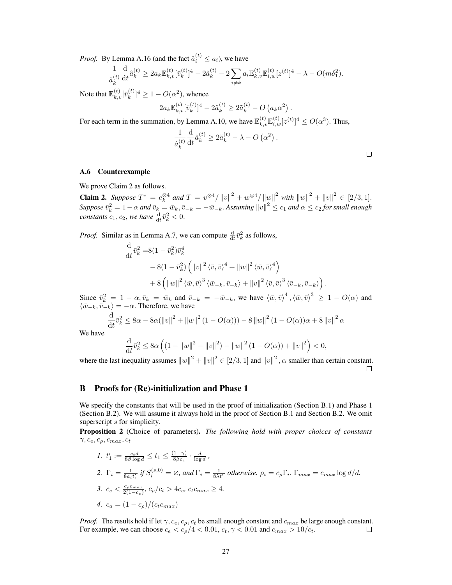*Proof.* By Lemma [A.16](#page-12-2) (and the fact  $\hat{a}_i^{(t)} \leq a_i$ ), we have

$$
\frac{1}{\hat{a}_{k}^{(t)}} \frac{\mathrm{d}}{\mathrm{d}t} \hat{a}_{k}^{(t)} \geq 2 a_{k} \mathbb{E}_{k,v}^{(t)} [\bar{v}_{k}^{(t)}]^{4} - 2 \hat{a}_{k}^{(t)} - 2 \sum_{i \neq k} a_{i} \mathbb{E}_{k,v}^{(t)} \mathbb{E}_{i,w}^{(t)} [z^{(t)}]^{4} - \lambda - O(m \delta_{1}^{2}).
$$

Note that  $\mathbb{E}_{k,v}^{(t)}[\bar{v}_k^{(t)}]$  $\binom{k}{k}$ <sup>4</sup>  $\geq 1 - O(\alpha^2)$ , whence

$$
2a_k \mathbb{E}_{k,v}^{(t)} [\bar{v}_k^{(t)}]^4 - 2\hat{a}_k^{(t)} \ge 2\tilde{a}_k^{(t)} - O\left(a_k \alpha^2\right).
$$

For each term in the summation, by Lemma [A.10,](#page-6-1) we have  $\mathbb{E}_{k,v}^{(t)} \mathbb{E}_{i,w}^{(t)} [z^{(t)}]^4 \le O(\alpha^3)$ . Thus,

$$
\frac{1}{\hat{a}_k^{(t)}} \frac{\mathrm{d}}{\mathrm{d}t} \hat{a}_k^{(t)} \ge 2\tilde{a}_k^{(t)} - \lambda - O\left(\alpha^2\right).
$$

### <span id="page-13-0"></span>A.6 Counterexample

We prove Claim [2](#page--1-3) as follows.

**Claim 2.** Suppose  $T^* = e_k^{\otimes 4}$  and  $T = v^{\otimes 4} / ||v||^2 + w^{\otimes 4} / ||w||^2$  with  $||w||^2 + ||v||^2 \in [2/3, 1]$ .  $Suppose \ \bar{v}_k^2 = 1-\alpha$  and  $\bar{v}_k = \bar{w}_k, \bar{v}_{-k} = -\bar{w}_{-k}.$  Assuming  $\|v\|^2 \le c_1$  and  $\alpha \le c_2$  for small enough *constants*  $c_1, c_2$ , we have  $\frac{d}{dt}\bar{v}_k^2 < 0$ .

*Proof.* Similar as in Lemma [A.7,](#page-4-1) we can compute  $\frac{d}{dt}\bar{v}_k^2$  as follows,

$$
\frac{\mathrm{d}}{\mathrm{d}t}\bar{v}_k^2 = 8(1 - \bar{v}_k^2)\bar{v}_k^4
$$
\n
$$
- 8(1 - \bar{v}_k^2) \left( \left\| v \right\|^2 \left\langle \bar{v}, \bar{v} \right\rangle^4 + \left\| w \right\|^2 \left\langle \bar{w}, \bar{v} \right\rangle^4 \right)
$$
\n
$$
+ 8 \left( \left\| w \right\|^2 \left\langle \bar{w}, \bar{v} \right\rangle^3 \left\langle \bar{w}_{-k}, \bar{v}_{-k} \right\rangle + \left\| v \right\|^2 \left\langle \bar{v}, \bar{v} \right\rangle^3 \left\langle \bar{v}_{-k}, \bar{v}_{-k} \right\rangle \right).
$$

Since  $\bar{v}_k^2 = 1 - \alpha$ ,  $\bar{v}_k = \bar{w}_k$  and  $\bar{v}_{-k} = -\bar{w}_{-k}$ , we have  $\langle \bar{w}, \bar{v} \rangle^4$ ,  $\langle \bar{w}, \bar{v} \rangle^3 \ge 1 - O(\alpha)$  and  $\langle \bar{w}_{-k}, \bar{v}_{-k} \rangle = -\alpha$ . Therefore, we have

$$
\frac{d}{dt}\bar{v}_k^2 \le 8\alpha - 8\alpha(||v||^2 + ||w||^2 (1 - O(\alpha))) - 8||w||^2 (1 - O(\alpha))\alpha + 8||v||^2 \alpha
$$

We have

$$
\frac{\mathrm{d}}{\mathrm{d}t}\bar{v}_k^2 \le 8\alpha \left( \left( 1 - \|w\|^2 - \|v\|^2 \right) - \|w\|^2 \left( 1 - O(\alpha) \right) + \|v\|^2 \right) < 0,
$$

where the last inequality assumes  $||w||^2 + ||v||^2 \in [2/3, 1]$  and  $||v||^2$ ,  $\alpha$  smaller than certain constant.  $\Box$ 

## <span id="page-13-1"></span>B Proofs for (Re)-initialization and Phase 1

We specify the constants that will be used in the proof of initialization (Section [B.1\)](#page-14-0) and Phase 1 (Section [B.2\)](#page-15-0). We will assume it always hold in the proof of Section [B.1](#page-14-0) and Section [B.2.](#page-15-0) We omit superscript s for simplicity.

<span id="page-13-2"></span>Proposition 2 (Choice of parameters). *The following hold with proper choices of constants*  $\gamma, c_e, c_\rho, c_{max}, c_t$ 

\n- $$
t_1 := \frac{c_t d}{8\beta \log d} \le t_1 \le \frac{(1-\gamma)}{8\beta c_e} \cdot \frac{d}{\log d}
$$
,
\n- $\Gamma_i = \frac{1}{8a_i t_1'} \text{ if } S_i^{(s,0)} = \emptyset$ , and  $\Gamma_i = \frac{1}{8\lambda t_1'}$  otherwise.  $\rho_i = c_\rho \Gamma_i$ .  $\Gamma_{\text{max}} = c_{\text{max}} \log d/d$ .
\n- $c_e < \frac{c_\rho c_{\text{max}}}{2(1-c_\rho)}, c_\rho/c_t > 4c_e, c_t c_{\text{max}} \ge 4.$
\n- $c_a = (1-c_\rho)/(c_t c_{\text{max}})$
\n

*Proof.* The results hold if let  $\gamma$ ,  $c_e$ ,  $c_\rho$ ,  $c_t$  be small enough constant and  $c_{max}$  be large enough constant. For example, we can choose  $c_e < c_\rho/4 < 0.01$ ,  $c_t$ ,  $\gamma < 0.01$  and  $c_{max} > 10/c_t$ .  $\Box$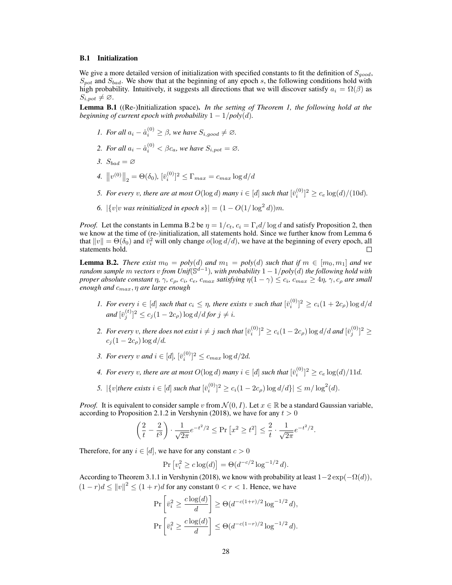#### <span id="page-14-0"></span>B.1 Initialization

We give a more detailed version of initialization with specified constants to fit the definition of  $S_{good}$ ,  $S_{pot}$  and  $S_{bad}$ . We show that at the beginning of any epoch s, the following conditions hold with high probability. Intuitively, it suggests all directions that we will discover satisfy  $a_i = \Omega(\beta)$  as  $S_{i, pot} \neq \emptyset$ .

<span id="page-14-2"></span>Lemma B.1 ((Re-)Initialization space). *In the setting of Theorem [1,](#page--1-0) the following hold at the beginning of current epoch with probability*  $1 - 1/poly(d)$ *.* 

- *1. For all*  $a_i \hat{a}_i^{(0)} \geq \beta$ , we have  $S_{i,good} \neq \emptyset$ .
- 2. For all  $a_i \hat{a}_i^{(0)} < \beta c_a$ , we have  $S_{i, pot} = \emptyset$ .
- 3.  $S_{bad} = \varnothing$
- 4.  $\|v^{(0)}\|_2 = \Theta(\delta_0)$ ,  $[\bar{v}_i^{(0)}]^2 \le \Gamma_{max} = c_{max} \log d/d$
- 5. For every v, there are at most  $O(\log d)$  many  $i \in [d]$  such that  $[\bar{v}_i^{(0)}]^2 \geq c_e \log(d)/(10d)$ .
- *6.*  $|\{v|v$  *was reinitialized in epoch*  $s\}| = (1 O(1/\log^2 d))m$ .

*Proof.* Let the constants in Lemma [B.2](#page-14-1) be  $\eta = 1/c_t$ ,  $c_i = \Gamma_i d / \log d$  and satisfy Proposition [2,](#page-13-2) then we know at the time of (re-)initialization, all statements hold. Since we further know from Lemma [6](#page--1-8) that  $||v|| = \Theta(\delta_0)$  and  $\bar{v}_i^2$  will only change  $o(\log d/d)$ , we have at the beginning of every epoch, all statements hold.

<span id="page-14-1"></span>**Lemma B.2.** *There exist*  $m_0 = poly(d)$  *and*  $m_1 = poly(d)$  *such that if*  $m \in [m_0, m_1]$  *and* we *random sample* m *vectors* v *from Unif*(S d−1 )*, with probability* 1 − 1/*poly*(d) *the following hold with proper absolute constant*  $\eta$ ,  $\gamma$ ,  $c_\rho$ ,  $c_i$ ,  $c_e$ ,  $c_{max}$  satisfying  $\eta(1-\gamma) \leq c_i$ ,  $c_{max} \geq 4\eta$ ,  $\gamma$ ,  $c_\rho$  are small *enough and* cmax, η *are large enough*

- 1. For every  $i \in [d]$  such that  $c_i \leq \eta$ , there exists v such that  $[\bar{v}_i^{(0)}]^2 \geq c_i(1+2c_\rho)\log d/d$  $and \ [\bar{v}^{(t)}_j]^2 \leq c_j (1-2c_\rho) \log d / d$  for  $j \neq i$ .
- 2. For every v, there does not exist  $i\neq j$  such that  $[\bar{v}^{(0)}_i]^2\geq c_i(1-2c_\rho)\log d/d$  and  $[\bar{v}^{(0)}_j]^2\geq$  $c_i(1-2c_o)\log d/d$ .
- *3. For every*  $v$  *and*  $i \in [d]$ ,  $[\bar{v}_i^{(0)}]^2 \leq c_{max} \log d/2d$ .
- 4. For every v, there are at most  $O(\log d)$  many  $i \in [d]$  such that  $[\bar{v}_i^{(0)}]^2 \ge c_e \log(d)/11d$ .
- *5.*  $|\{v | \text{there exists } i \in [d] \text{ such that } [\bar{v}_i^{(0)}]^2 \ge c_i(1 2c_\rho) \log d/d\}| \le m/\log^2(d)$ .

*Proof.* It is equivalent to consider sample v from  $\mathcal{N}(0, I)$ . Let  $x \in \mathbb{R}$  be a standard Gaussian variable, according to Proposition 2.1.2 in [Vershynin](#page--1-9) [\(2018\)](#page--1-9), we have for any  $t > 0$ 

$$
\left(\frac{2}{t} - \frac{2}{t^3}\right) \cdot \frac{1}{\sqrt{2\pi}} e^{-t^2/2} \le \Pr\left[x^2 \ge t^2\right] \le \frac{2}{t} \cdot \frac{1}{\sqrt{2\pi}} e^{-t^2/2}.
$$

Therefore, for any  $i \in [d]$ , we have for any constant  $c > 0$ 

$$
\Pr[v_i^2 \ge c \log(d)] = \Theta(d^{-c/2} \log^{-1/2} d).
$$

According to Theorem 3.1.1 in [Vershynin](#page--1-9) [\(2018\)](#page--1-9), we know with probability at least  $1-2 \exp(-\Omega(d))$ ,  $(1 - r)d \le ||v||^2 \le (1 + r)d$  for any constant  $0 < r < 1$ . Hence, we have

$$
\Pr\left[\bar{v}_i^2 \ge \frac{c \log(d)}{d}\right] \ge \Theta(d^{-c(1+r)/2} \log^{-1/2} d),
$$
  

$$
\Pr\left[\bar{v}_i^2 \ge \frac{c \log(d)}{d}\right] \le \Theta(d^{-c(1-r)/2} \log^{-1/2} d).
$$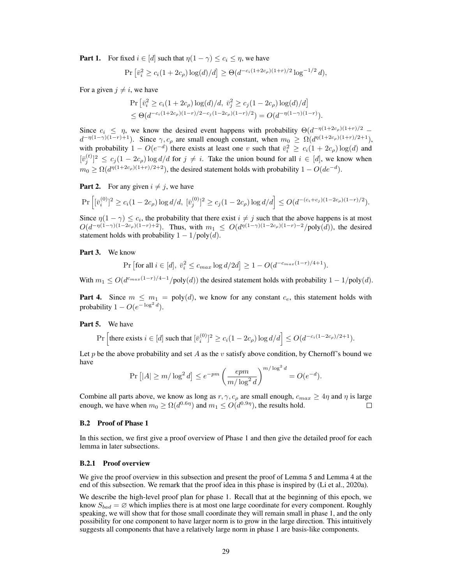**Part 1.** For fixed  $i \in [d]$  such that  $\eta(1 - \gamma) \leq c_i \leq \eta$ , we have

$$
\Pr\left[\bar{v}_i^2 \ge c_i(1+2c_\rho)\log(d)/d\right] \ge \Theta(d^{-c_i(1+2c_\rho)(1+r)/2}\log^{-1/2}d),
$$

For a given  $j \neq i$ , we have

$$
\Pr\left[\bar{v}_i^2 \ge c_i(1+2c_\rho)\log(d)/d, \ \bar{v}_j^2 \ge c_j(1-2c_\rho)\log(d)/d\right] \\
\le \Theta(d^{-c_i(1+2c_\rho)(1-r)/2-c_j(1-2c_\rho)(1-r)/2}) = O(d^{-\eta(1-\gamma)(1-r)}).
$$

Since  $c_i \leq \eta$ , we know the desired event happens with probability  $\Theta(d^{-\eta(1+2c_\rho)(1+r)/2}$  $d^{-\eta(1-\gamma)(1-r)+1}$ ). Since  $\gamma$ ,  $c_{\rho}$  are small enough constant, when  $m_0 \geq \Omega(d^{\eta(1+2c_{\rho})(1+r)/2+1})$ , with probability  $1 - O(e^{-d})$  there exists at least one v such that  $\bar{v}_i^2 \ge c_i(1 + 2c_\rho) \log(d)$  and  $[\bar{v}_j^{(t)}]^2 \leq c_j(1-2c_\rho)\log d/d$  for  $j \neq i$ . Take the union bound for all  $i \in [d]$ , we know when  $m_0 \ge \Omega(d^{\eta(1+2c_\rho)(1+r)/2+2})$ , the desired statement holds with probability  $1-O(de^{-d})$ .

**Part 2.** For any given  $i \neq j$ , we have

$$
\Pr\left[ [\bar{v}_i^{(0)}]^2 \ge c_i (1 - 2c_\rho) \log d/d, \; [\bar{v}_j^{(0)}]^2 \ge c_j (1 - 2c_\rho) \log d/d \right] \le O(d^{-(c_i + c_j)(1 - 2c_\rho)(1 - r)/2}).
$$

Since  $\eta(1-\gamma) \leq c_i$ , the probability that there exist  $i \neq j$  such that the above happens is at most  $O(d^{-\eta(1-\gamma)(1-2c_\rho)(1-r)+2})$ . Thus, with  $m_1 \leq O(d^{\eta(1-\gamma)(1-2c_\rho)(1-r)-2}/poly(d))$ , the desired statement holds with probability  $1 - 1/poly(d)$ .

Part 3. We know

$$
\Pr\left[\text{for all } i \in [d], \ \bar{v}_i^2 \le c_{max} \log d/2d\right] \ge 1 - O(d^{-c_{max}(1-r)/4+1}).
$$

With  $m_1 \leq O(d^{c_{max}(1-r)/4-1}/poly(d))$  the desired statement holds with probability  $1 - 1/poly(d)$ .

**Part 4.** Since  $m \leq m_1 = \text{poly}(d)$ , we know for any constant  $c_e$ , this statement holds with probability  $1 - O(e^{-\log^2 d}).$ 

Part 5. We have

$$
\Pr\left[\text{there exists } i \in [d] \text{ such that } [\bar{v}_i^{(0)}]^2 \ge c_i(1-2c_\rho)\log d/d\right] \le O(d^{-c_i(1-2c_\rho)/2+1}).
$$

Let p be the above probability and set A as the v satisfy above condition, by Chernoff's bound we have

$$
\Pr\left[|A| \ge m/\log^2 d\right] \le e^{-pm} \left(\frac{epm}{m/\log^2 d}\right)^{m/\log^2 d} = O(e^{-d}).
$$

Combine all parts above, we know as long as  $r, \gamma, c_\rho$  are small enough,  $c_{max} \geq 4\eta$  and  $\eta$  is large enough, we have when  $m_0 \ge \Omega(d^{0.6\eta})$  and  $m_1 \le O(d^{0.9\eta})$ , the results hold.  $\Box$ 

#### <span id="page-15-0"></span>B.2 Proof of Phase 1

In this section, we first give a proof overview of Phase 1 and then give the detailed proof for each lemma in later subsections.

### B.2.1 Proof overview

We give the proof overview in this subsection and present the proof of Lemma [5](#page--1-10) and Lemma [4](#page--1-11) at the end of this subsection. We remark that the proof idea in this phase is inspired by [\(Li et al.,](#page--1-12) [2020a\)](#page--1-12).

We describe the high-level proof plan for phase 1. Recall that at the beginning of this epoch, we know  $S_{bad} = \emptyset$  which implies there is at most one large coordinate for every component. Roughly speaking, we will show that for those small coordinate they will remain small in phase 1, and the only possibility for one component to have larger norm is to grow in the large direction. This intuitively suggests all components that have a relatively large norm in phase 1 are basis-like components.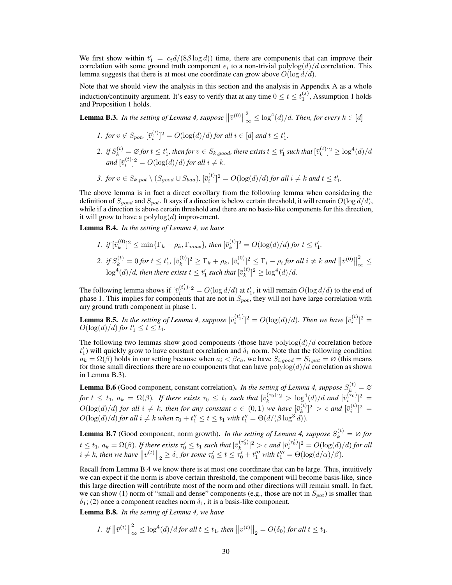We first show within  $t'_1 = c_t d/(8\beta \log d)$  time, there are components that can improve their correlation with some ground truth component  $e_i$  to a non-trivial  $\text{polylog}(d)/d$  correlation. This lemma suggests that there is at most one coordinate can grow above  $O(\log d/d)$ .

Note that we should view the analysis in this section and the analysis in Appendix [A](#page-0-0) as a whole induction/continuity argument. It's easy to verify that at any time  $0 \le t \le t_1^{(s)}$  $0 \le t \le t_1^{(s)}$  $0 \le t \le t_1^{(s)}$ , Assumption 1 holds and Proposition [1](#page--1-1) holds.

<span id="page-16-0"></span>**Lemma B.3.** *In the setting of Lemma [4,](#page--1-11) suppose*  $\|\bar{v}^{(0)}\|$ 2  $\int_{-\infty}^{2} \leq \log^{4}(d)/d$ *. Then, for every*  $k \in [d]$ 

- *1. for*  $v \notin S_{pot}$ ,  $[\bar{v}_i^{(t)}]^2 = O(\log(d)/d)$  *for all*  $i \in [d]$  *and*  $t \leq t'_1$ .
- 2. if  $S_k^{(t)} = \varnothing$  for  $t \leq t'_1$ , then for  $v \in S_{k,good}$ , there exists  $t \leq t'_1$  such that  $[\bar{v}_k^{(t)}]$  $\binom{t}{k}^2 \geq \log^4(d)/d$  $and \,[\bar{v}^{(t)}_i]^2 = O(\log(d)/d)$  *for all*  $i \neq k$ *.*
- 3. *for*  $v \in S_{k, pot} \setminus (S_{good} \cup S_{bad})$ ,  $[\bar{v}_i^{(t)}]^2 = O(\log(d)/d)$  *for all*  $i \neq k$  *and*  $t \leq t'_1$ .

The above lemma is in fact a direct corollary from the following lemma when considering the definition of  $S_{good}$  and  $S_{pot}$ . It says if a direction is below certain threshold, it will remain  $O(\log d/d)$ , while if a direction is above certain threshold and there are no basis-like components for this direction, it will grow to have a  $\text{polylog}(d)$  improvement.

<span id="page-16-1"></span>Lemma B.4. *In the setting of Lemma [4,](#page--1-11) we have*

- *1. if*  $[\bar{v}_k^{(0)}]$  $[\bar{v}_k^{(0)}]^2 \leq \min\{\Gamma_k - \rho_k, \Gamma_{max}\}$ , then  $[\bar{v}_k^{(t)}]$  $\int_{k}^{(t)}$ ]<sup>2</sup> =  $O(\log(d)/d)$  for  $t \leq t'_{1}$ .
- 2. *if*  $S_k^{(t)} = 0$  *for*  $t \le t'_1$ ,  $[\bar{v}_k^{(0)}]$  $\sum_{k=1}^{N} \sum_{k=1}^{N} |\bar{v}_{i}^{(0)}|^{2} \leq \Gamma_{i} - \rho_{i}$  for all  $i \neq k$  and  $\|\bar{v}^{(0)}\|$ 2  $\tilde{z}_{\infty} \leq$  $\log^4(d)/d$ , then there exists  $t\leq t'_1$  such that  $[\bar{v}_k^{(t)}]$  $\log^{(t)}{2} \geq \log^{4}(d)/d$ .

The following lemma shows if  $[\bar{v}_i^{(t_1')}]$  $\sum_{i=1}^{(t_1)}$ ]<sup>2</sup> =  $O(\log d/d)$  at  $t_1'$ , it will remain  $O(\log d/d)$  to the end of phase 1. This implies for components that are not in  $S_{pot}$ , they will not have large correlation with any ground truth component in phase 1.

<span id="page-16-2"></span>**Lemma B.5.** In the setting of Lemma [4,](#page--1-11) suppose  $[\bar{v}_i^{(t_1')}$  $\sum_{i=1}^{(t_1)}$ ]<sup>2</sup> =  $O(\log(d)/d)$ *. Then we have*  $[\bar{v}_i^{(t)}]$ <sup>2</sup> =  $O(\log(d)/d)$  *for*  $t'_1 \le t \le t_1$ *.* 

The following two lemmas show good components (those have  $polylog(d)/d$  correlation before  $t_1'$ ) will quickly grow to have constant correlation and  $\delta_1$  norm. Note that the following condition  $a_k = \Omega(\beta)$  holds in our setting because when  $a_i < \beta c_a$ , we have  $S_{i, good} = S_{i, pot} = \emptyset$  (this means for those small directions there are no components that can have  $\text{polylog}(d)/d$  correlation as shown in Lemma [B.3\)](#page-16-0).

<span id="page-16-4"></span>**Lemma B.6** (Good component, constant correlation). *In the setting of Lemma [4,](#page--1-11) suppose*  $S_k^{(t)} = \emptyset$ *for*  $t \le t_1$ ,  $a_k = \Omega(\beta)$ . If there exists  $\tau_0 \le t_1$  such that  $[\bar{v}_k^{(\tau_0)}]^2 > \log^4(d)/d$  and  $[\bar{v}_i^{(\tau_0)}]^2 =$  $O(\log(d)/d)$  *for all*  $i \neq k$ *, then for any constant*  $c \in (0,1)$  *we have*  $[\bar{v}_k^{(t)}]$  $\binom{t}{k}$ <sup>2</sup> > *c* and  $[\bar{v}_i^{(t)}]$ <sup>2</sup> =  $O(\log(d)/d)$  *for all*  $i \neq k$  *when*  $\tau_0 + t''_1 \leq t \leq t_1$  *with*  $t''_1 = \Theta(d/(\beta \log^3 d)).$ 

<span id="page-16-5"></span>**Lemma B.7** (Good component, norm growth). *In the setting of Lemma [4,](#page--1-11) suppose*  $S_k^{(t)} = \emptyset$  *for*  $t\leq t_1, a_k=\Omega(\beta).$  If there exists  $\tau_0'\leq t_1$  such that  $[\bar{v}_k^{(\tau_0')}]$  $\binom{(\tau_0')}{k}^2 > c$  and  $[\bar{v}_i^{(\tau_0')}$  $\int_{i}^{(\tau_0)}$ <sup>2</sup> =  $O(\log(d)/d)$  for all  $i \neq k$ , then we have  $||v^{(t)}||_2 \geq \delta_1$  for some  $\tau'_0 \leq t \leq \tau'_0 + t''_1$  with  $t'''_1 = \Theta(\log(d/\alpha)/\beta)$ .

Recall from Lemma [B.4](#page-16-1) we know there is at most one coordinate that can be large. Thus, intuitively we can expect if the norm is above certain threshold, the component will become basis-like, since this large direction will contribute most of the norm and other directions will remain small. In fact, we can show (1) norm of "small and dense" components (e.g., those are not in  $S_{pot}$ ) is smaller than  $\delta_1$ ; (2) once a component reaches norm  $\delta_1$ , it is a basis-like component.

<span id="page-16-3"></span>Lemma B.8. *In the setting of Lemma [4,](#page--1-11) we have*

$$
I. \text{ if } \left\|\bar{v}^{(t)}\right\|_{\infty}^{2} \le \log^{4}(d)/d \text{ for all } t \le t_1 \text{, then } \left\|v^{(t)}\right\|_{2} = O(\delta_0) \text{ for all } t \le t_1.
$$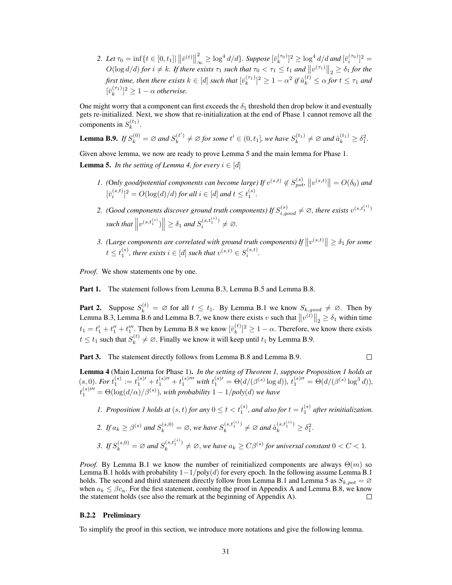2. Let  $\tau_0 = \inf\{t \in [0, t_1] | \|\bar{v}^{(t)}\|_{\infty}^2 \ge \log^4 d/d\}$ . Suppose  $[\bar{v}_k^{(\tau_0)}]^2 \ge \log^4 d/d$  and  $[\bar{v}_i^{(\tau_0)}]^2 =$  $D(\log d/d)$  *for*  $i \neq k$ *. If there exists*  $\tau_1$  *such that*  $\tau_0 < \tau_1 \leq t_1$  *and*  $||v^{(\tau_1)}||_2 \geq \delta_1$  *for the* first time, then there exists  $k\in[d]$  such that  $[\bar{v}_k^{(\tau_1)}]^2\geq 1-\alpha^2$  if  $\hat{a}_k^{(t)}\leq \alpha$  for  $t\leq \tau_1$  and  $[\bar{v}_k^{(\tau_1)}]^2 \geq 1 - \alpha$  *otherwise.* 

One might worry that a component can first exceeds the  $\delta_1$  threshold then drop below it and eventually gets re-initialized. Next, we show that re-initialization at the end of Phase 1 cannot remove all the components in  $S_k^{(t_1)}$ .

<span id="page-17-0"></span>**Lemma B.9.** If 
$$
S_k^{(0)} = \emptyset
$$
 and  $S_k^{(t')} \neq \emptyset$  for some  $t' \in (0, t_1]$ , we have  $S_k^{(t_1)} \neq \emptyset$  and  $\hat{a}_k^{(t_1)} \geq \delta_1^2$ .

Given above lemma, we now are ready to prove Lemma [5](#page--1-10) and the main lemma for Phase 1. **Lemma 5.** *In the setting of Lemma [4,](#page--1-11) for every*  $i \in [d]$ 

- *1.* (Only good/potential components can become large) If  $v^{(s,t)} \notin S_{pot}^{(s)}$ ,  $||v^{(s,t)}|| = O(\delta_0)$  and  $[\bar{v}_i^{(s,t)}]^2 = O(\log(d)/d)$  *for all*  $i \in [d]$  *and*  $t \le t_1^{(s)}$ *.*
- 2. (Good components discover ground truth components) If  $S_{i, good}^{(s)} \neq \emptyset$ , there exists  $v^{(s,t_1^{(s)})}$  $\text{such that } \left\| v^{(s,t_1^{(s)})} \right\| \geq \delta_1 \text{ and } S_i^{(s,t_1^{(s)})}$  $i^{(s,t_1^{(s)})} \neq \varnothing.$
- 3. (Large components are correlated with ground truth components) If  $||v^{(s,t)}|| \geq \delta_1$  for some  $t \leq t_1^{(s)}$ , there exists  $i \in [d]$  such that  $v^{(s,t)} \in S_i^{(s,t)}$ .

*Proof.* We show statements one by one.

Part 1. The statement follows from Lemma [B.3,](#page-16-0) Lemma [B.5](#page-16-2) and Lemma [B.8.](#page-16-3)

**Part 2.** Suppose  $S_k^{(t)} = \emptyset$  for all  $t \leq t_1$ . By Lemma [B.1](#page-14-2) we know  $S_{k,good} \neq \emptyset$ . Then by Lemma [B.3,](#page-16-0) Lemma [B.6](#page-16-4) and Lemma [B.7,](#page-16-5) we know there exists v such that  $||v^{(t)}||_2 \ge \delta_1$  within time  $t_1 = t_1' + t_1'' + t_1'''$ . Then by Lemma [B.8](#page-16-3) we know  $[\bar{v}_k^{(t)}]$  ${k \choose k}^2 \geq 1 - \alpha$ . Therefore, we know there exists  $t \leq t_1$  such that  $S_k^{(t)}$  $k_k^{(t)} \neq \emptyset$ . Finally we know it will keep until  $t_1$  by Lemma [B.9.](#page-17-0)

Part 3. The statement directly follows from Lemma [B.8](#page-16-3) and Lemma [B.9.](#page-17-0)

 $\Box$ 

Lemma 4 (Main Lemma for Phase 1). *In the setting of Theorem [1,](#page--1-0) suppose Proposition [1](#page--1-1) holds at*  $(s, 0)$ . For  $t_1^{(s)} := t_1^{(s)\prime\prime} + t_1^{(s)\prime\prime\prime}$  with  $t_1^{(s)\prime\prime} = \Theta(d/(\beta^{(s)}\log d))$ ,  $t_1^{(s)\prime\prime} = \Theta(d/(\beta^{(s)}\log^3 d))$ ,  $t_1^{(s) \prime \prime \prime} = \Theta(\log(d/\alpha)/\beta^{(s)}),$  with probability  $1 - 1/poly(d)$  we have

- [1](#page--1-1). Proposition 1 holds at  $(s, t)$  for any  $0 \le t < t_1^{(s)}$ , and also for  $t = t_1^{(s)}$  after reinitialization.
- 2. If  $a_k \geq \beta^{(s)}$  and  $S_k^{(s,0)} = \emptyset$ , we have  $S_k^{(s,t_1^{(s)})}$  $a_k^{(s,t_1^{(s)})} \neq \emptyset$  and  $\hat{a}_k^{(s,t_1^{(s)})} \geq \delta_1^2$ . 3. If  $S_k^{(s,0)} = \emptyset$  and  $S_k^{(s,t_1^{(s)})}$  $\mathcal{L}_{k}^{(s,t_1^{(s)})} \neq \emptyset$ , we have  $a_k \geq C\beta^{(s)}$  for universal constant  $0 < C < 1$ .

*Proof.* By Lemma [B.1](#page-14-2) we know the number of reinitialized components are always  $\Theta(m)$  so Lemma [B.1](#page-14-2) holds with probability  $1-\frac{1}{\text{poly}(d)}$  for every epoch. In the following assume Lemma B.1 holds. The second and third statement directly follow from Lemma [B.1](#page-14-2) and Lemma [5](#page--1-10) as  $S_{k,pot} = \emptyset$ when  $a_k \leq \beta c_a$ . For the first statement, combing the proof in [A](#page-0-0)ppendix A and Lemma [B.8,](#page-16-3) we know the statement holds (see also the remark at the beginning of Appendix [A\)](#page-0-0).  $\Box$ 

#### B.2.2 Preliminary

To simplify the proof in this section, we introduce more notations and give the following lemma.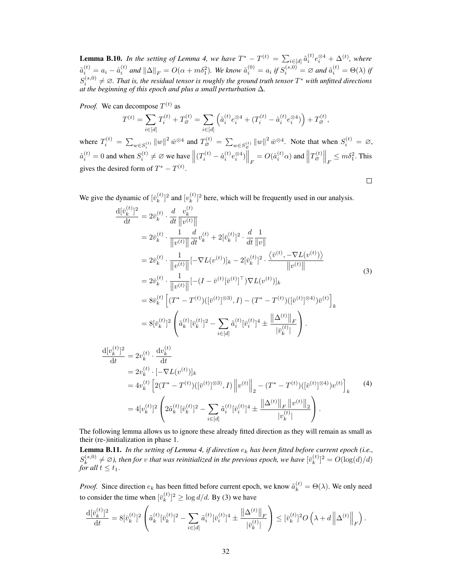**Lemma B.10.** In the setting of Lemma [4,](#page--1-11) we have  $T^* - T^{(t)} = \sum_{i \in [d]} \tilde{a}_i^{(t)} e_i^{\otimes 4} + \Delta^{(t)}$ , where  $\tilde{a}_i^{(t)} = a_i - \hat{a}_i^{(t)}$  and  $\|\Delta\|_F = O(\alpha + m\delta_1^2)$ . We know  $\tilde{a}_i^{(0)} = a_i$  if  $S_i^{(s,0)} = \varnothing$  and  $\tilde{a}_i^{(t)} = \Theta(\lambda)$  if  $S_i^{(s,0)} \neq \emptyset$ . That is, the residual tensor is roughly the ground truth tensor  $T^*$  with unfitted directions *at the beginning of this epoch and plus a small perturbation* ∆*.*

*Proof.* We can decompose  $T^{(t)}$  as

$$
T^{(t)} = \sum_{i \in [d]} T_i^{(t)} + T_{\varnothing}^{(t)} = \sum_{i \in [d]} \left( \hat{a}_i^{(t)} e_i^{\otimes 4} + (T_i^{(t)} - \hat{a}_i^{(t)} e_i^{\otimes 4}) \right) + T_{\varnothing}^{(t)},
$$
  

$$
\sum_{\substack{\|\cdot\| = 1^2 \cdot \bar{\mathcal{A}} \text{ and } T^{(t)} \\ \sum_{\substack{\text{if } \|\cdot\| = 1^2 \cdot \bar{\mathcal{A}} \\ \text{if } \|\cdot\| = 1^2 \cdot \bar{\mathcal{A}}}} \mathbb{E}[A] \cdot \sum_{\substack{\|\cdot\| = 1^2 \cdot \bar{\mathcal{A}} \\ \text{if } \|\cdot\| = 1^2 \cdot \bar{\mathcal{A}}}} \mathbb{E}[A] \cdot \sum_{\substack{\|\cdot\| = 1^2 \cdot \bar{\mathcal{A}} \\ \text{if } \|\cdot\| = 1^2 \cdot \bar{\mathcal{A}}}} \mathbb{E}[A] \cdot \sum_{\substack{\|\cdot\| = 1^2 \cdot \bar{\mathcal{A}} \\ \text{if } \|\cdot\| = 1^2 \cdot \bar{\mathcal{A}}}} \mathbb{E}[A] \cdot \sum_{\substack{\|\cdot\| = 1^2 \cdot \bar{\mathcal{A}} \\ \text{if } \|\cdot\| = 1^2 \cdot \bar{\mathcal{A}}}} \mathbb{E}[A] \cdot \sum_{\substack{\|\cdot\| = 1^2 \cdot \bar{\mathcal{A}} \\ \text{if } \|\cdot\| = 1^2 \cdot \bar{\mathcal{A}}}} \mathbb{E}[A] \cdot \sum_{\substack{\|\cdot\| = 1^2 \cdot \bar{\mathcal{A}} \\ \text{if } \|\cdot\| = 1^2 \cdot \bar{\mathcal{A}} \\ \text{if } \|\cdot\| = 1^2 \cdot \bar{\mathcal{A}}}} \mathbb{E}[A] \cdot \sum_{\substack{\|\cdot\| = 1^2 \cdot \bar{\mathcal{A}} \\ \text{if } \|\cdot\| = 1^2 \cdot \bar{\mathcal{A}} \\ \text{if } \|\cdot\| = 1^2 \cdot \bar{\mathcal{A}}}} \mathbb{E}[A] \cdot \sum_{\substack{\|\cdot\| = 1^2 \cdot \bar{\mathcal{A}} \\ \text{if } \|\cdot\| = 1^2 \cdot \bar
$$

where  $T_i^{(t)} = \sum_{w \in S_i^{(t)}} ||w||^2 \bar{w}^{\otimes 4}$  and  $T_{\varnothing}^{(t)} = \sum_{w \in S_{\varnothing}^{(t)}} ||w||^2 \bar{w}^{\otimes 4}$ . Note that when  $S_i^{(t)} = \varnothing$ ,  $\hat{a}_i^{(t)} = 0$  and when  $S_i^{(t)} \neq \emptyset$  we have  $\left\| (T_i^{(t)} - \hat{a}_i^{(t)} e_i^{\otimes 4}) \right\|_F = O(\hat{a}_i^{(t)} \alpha)$  and  $\left\| T_{\emptyset}^{(t)} \right\|_F \leq m \delta_1^2$ . This gives the desired form of  $T^* - T^{(t)}$ .

<span id="page-18-0"></span> $\Box$ 

We give the dynamic of  $\overline{v}_k^{(t)}$  $\binom{t}{k}$ <sup>2</sup> and  $\binom{v}{k}$  ${k \choose k}^2$  here, which will be frequently used in our analysis.

$$
\frac{d[\bar{v}_{k}^{(t)}]^{2}}{dt} = 2\bar{v}_{k}^{(t)} \cdot \frac{d}{dt} \frac{v_{k}^{(t)}}{\|v^{(t)}\|} \n= 2\bar{v}_{k}^{(t)} \cdot \frac{1}{\|v^{(t)}\|} \frac{d}{dt} v_{k}^{(t)} + 2[\bar{v}_{k}^{(t)}]^{2} \cdot \frac{d}{dt} \frac{1}{\|v\|} \n= 2\bar{v}_{k}^{(t)} \cdot \frac{1}{\|v^{(t)}\|} [-\nabla L(v^{(t)})]_{k} - 2[\bar{v}_{k}^{(t)}]^{2} \cdot \frac{\langle \bar{v}^{(t)}, -\nabla L(v^{(t)}) \rangle}{\|v^{(t)}\|} \n= 2\bar{v}_{k}^{(t)} \cdot \frac{1}{\|v^{(t)}\|} [-(I - \bar{v}^{(t)}[\bar{v}^{(t)}]^{T})\nabla L(v^{(t)})]_{k} \n= 8\bar{v}_{k}^{(t)} \left[ (T^{*} - T^{(t)})([\bar{v}^{(t)}]^{\otimes 3}), I) - (T^{*} - T^{(t)})([\bar{v}^{(t)}]^{\otimes 4})\bar{v}^{(t)} \right]_{k} \n= 8[\bar{v}_{k}^{(t)}]^{2} \left( \tilde{a}_{k}^{(t)}[\bar{v}_{k}^{(t)}]^{2} - \sum_{i \in [d]} \tilde{a}_{i}^{(t)}[\bar{v}_{i}^{(t)}]^{4} \pm \frac{\|\Delta^{(t)}\|_{F}}{|\bar{v}_{k}^{(t)}|} \right).
$$
\n(3)

$$
\frac{d[v_k^{(t)}]^2}{dt} = 2v_k^{(t)} \cdot \frac{dv_k^{(t)}}{dt}
$$
\n
$$
= 2v_k^{(t)} \cdot [-\nabla L(v^{(t)})]_k
$$
\n
$$
= 4v_k^{(t)} \left[ 2(T^* - T^{(t)}) ([\bar{v}^{(t)}]^{\otimes 3}), I) \left\| v^{(t)} \right\|_2 - (T^* - T^{(t)}) ([\bar{v}^{(t)}]^{\otimes 4}) v^{(t)} \right]_k
$$
\n
$$
= 4[v_k^{(t)}]^2 \left( 2\tilde{a}_k^{(t)} [\bar{v}_k^{(t)}]^2 - \sum_{i \in [d]} \tilde{a}_i^{(t)} [\bar{v}_i^{(t)}]^4 \pm \frac{\left\| \Delta^{(t)} \right\|_F \left\| v^{(t)} \right\|_2}{|v_k^{(t)}|} \right).
$$
\n(4)

The following lemma allows us to ignore these already fitted direction as they will remain as small as their (re-)initialization in phase 1.

<span id="page-18-1"></span>**Lemma B.11.** *In the setting of Lemma [4,](#page--1-11) if direction*  $e_k$  *has been fitted before current epoch (i.e.,*  $S_k^{(s,0)}$  $\hat{f}_k^{(s,0)} \neq \emptyset$ ), then for *v* that was reinitialized in the previous epoch, we have  $[\bar{v}_k^{(t)}]$  ${k^{(t)} \choose k}^2 = O(\log(d)/d)$ *for all*  $t \leq t_1$ .

*Proof.* Since direction  $e_k$  has been fitted before current epoch, we know  $\tilde{a}_k^{(t)} = \Theta(\lambda)$ . We only need to consider the time when  $[\bar{v}_k^{(t)}]$  $\binom{k}{k}^2 \geq \log d/d$ . By [\(3\)](#page-18-0) we have

$$
\frac{\mathrm{d}[\bar{v}_k^{(t)}]^2}{\mathrm{d}t} = 8[\bar{v}_k^{(t)}]^2 \left( \tilde{a}_k^{(t)}[\bar{v}_k^{(t)}]^2 - \sum_{i \in [d]} \tilde{a}_i^{(t)}[\bar{v}_i^{(t)}]^4 \pm \frac{\left\| \Delta^{(t)} \right\|_F}{|\bar{v}_k^{(t)}|} \right) \leq [\bar{v}_k^{(t)}]^2 O\left(\lambda + d \left\| \Delta^{(t)} \right\|_F\right).
$$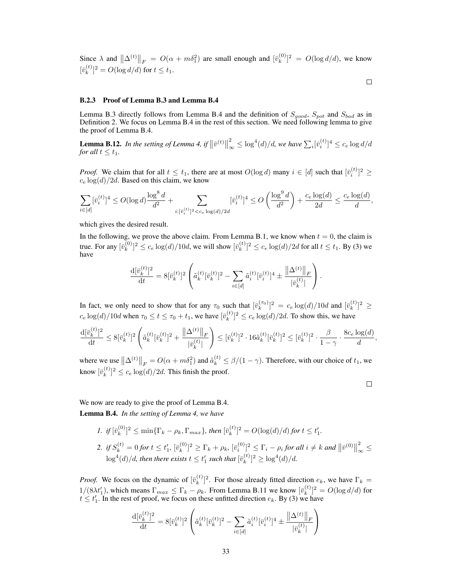Since  $\lambda$  and  $\|\Delta^{(t)}\|_F = O(\alpha + m\delta_1^2)$  are small enough and  $[\bar{v}_k^{(0)}]$  ${k^{(0)} \choose k}^2 = O(\log d/d)$ , we know  $\overline{v}_k^{(t)}$  ${k \choose k}^2 = O(\log d/d)$  for  $t \le t_1$ .

#### $\Box$

#### B.2.3 Proof of Lemma [B.3](#page-16-0) and Lemma [B.4](#page-16-1)

Lemma [B.3](#page-16-0) directly follows from Lemma [B.4](#page-16-1) and the definition of  $S_{good}$ ,  $S_{pot}$  and  $S_{bad}$  as in Definition [2.](#page--1-13) We focus on Lemma [B.4](#page-16-1) in the rest of this section. We need following lemma to give the proof of Lemma [B.4.](#page-16-1)

<span id="page-19-0"></span>**Lemma B.12.** *In the setting of Lemma [4,](#page--1-11) if*  $\|\bar{v}^{(t)}\|$ 2  $\int_{\infty}^2 \leq \log^4(d)/d$ , we have  $\sum_i [\bar{v}^{(t)}_i]^4 \leq c_e \log d/d$ *for all*  $t \leq t_1$ *.* 

*Proof.* We claim that for all  $t \leq t_1$ , there are at most  $O(\log d)$  many  $i \in [d]$  such that  $[\bar{v}_i^{(t)}]^2 \geq$  $c_e \log(d)/2d$ . Based on this claim, we know

$$
\sum_{i\in [d]} [\bar{v}^{(t)}_i]^4 \leq O(\log d) \frac{\log^8 d}{d^2} + \sum_{i: [\bar{v}^{(t)}_i]^2 < c_e \log(d)/2d} [\bar{v}^{(t)}_i]^4 \leq O\left(\frac{\log^9 d}{d^2}\right) + \frac{c_e \log(d)}{2d} \leq \frac{c_e \log(d)}{d},
$$

which gives the desired result.

In the following, we prove the above claim. From Lemma [B.1,](#page-14-2) we know when  $t = 0$ , the claim is true. For any  $[\bar{v}_k^{(0)}]$  $[k]_k^{(0)}]^2 \leq c_e \log(d)/10d$ , we will show  $[\bar{v}_k^{(t)}]$  $[k]_k^{(t)}]^2 \leq c_e \log(d)/2d$  for all  $t \leq t_1$ . By [\(3\)](#page-18-0) we have

$$
\frac{\mathrm{d}[\bar{v}_k^{(t)}]^2}{\mathrm{d}t} = 8[\bar{v}_k^{(t)}]^2 \left( \tilde{a}_k^{(t)}[\bar{v}_k^{(t)}]^2 - \sum_{i \in [d]} \tilde{a}_i^{(t)}[\bar{v}_i^{(t)}]^4 \pm \frac{\|\Delta^{(t)}\|_F}{|\bar{v}_k^{(t)}|} \right).
$$

In fact, we only need to show that for any  $\tau_0$  such that  $[\bar{v}_k^{(\tau_0)}]^2 = c_e \log(d)/10d$  and  $[\bar{v}_k^{(t)}]$  $\binom{t}{k}$ <sup>2</sup>  $\geq$  $c_e \log(d) / 10d$  when  $\tau_0 \le t \le \tau_0 + t_1$ , we have  $[\bar{v}_k^{(t)}]$  ${k^{(t)} \choose k}^2 \leq c_e \log(d)/2d$ . To show this, we have

$$
\frac{\mathrm{d}[\bar{v}_k^{(t)}]^2}{\mathrm{d}t} \le 8[\bar{v}_k^{(t)}]^2 \left( \tilde{a}_k^{(t)}[\bar{v}_k^{(t)}]^2 + \frac{\|\Delta^{(t)}\|_F}{|\bar{v}_k^{(t)}|} \right) \le [\bar{v}_k^{(t)}]^2 \cdot 16\tilde{a}_k^{(t)}[\bar{v}_k^{(t)}]^2 \le [\bar{v}_k^{(t)}]^2 \cdot \frac{\beta}{1-\gamma} \cdot \frac{8c_e \log(d)}{d},
$$

where we use  $\left\|\Delta^{(t)}\right\|_F = O(\alpha + m\delta_1^2)$  and  $\tilde{a}_k^{(t)} \leq \beta/(1-\gamma)$ . Therefore, with our choice of  $t_1$ , we know  $[\bar{v}_k^{(t)}]$  ${k^{(t)} \choose k}^2 \leq c_e \log(d)/2d$ . This finish the proof.

 $\Box$ 

We now are ready to give the proof of Lemma [B.4.](#page-16-1) Lemma B.4. *In the setting of Lemma [4,](#page--1-11) we have*

> *1. if*  $[\bar{v}_k^{(0)}]$  $[\bar{v}_k^{(0)}]^2 \leq \min\{\Gamma_k - \rho_k, \Gamma_{max}\}$ , then  $[\bar{v}_k^{(t)}]$  $\int_{k}^{(t)}$ ]<sup>2</sup> =  $O(\log(d)/d)$  for  $t \leq t'_{1}$ . 2. *if*  $S_k^{(t)} = 0$  *for*  $t \le t'_1$ ,  $[\bar{v}_k^{(0)}]$  $\sum_{k=1}^{N} \sum_{k=1}^{N} \sum_{k=1}^{N} |\bar{v}_{i}^{(0)}|^{2} \leq \Gamma_{i} - \rho_{i}$  for all  $i \neq k$  and  $\|\bar{v}^{(0)}\|$ 2  $\frac{2}{\infty}$   $\leq$  $\log^4(d)/d$ , then there exists  $t\leq t'_1$  such that  $[\bar{v}_k^{(t)}]$  $\int_{k}^{(t)}]^{2} \geq \log^{4}(d)/d.$

*Proof.* We focus on the dynamic of  $[\bar{v}_k^{(t)}]$  $\binom{k}{k}$ <sup>2</sup>. For those already fitted direction  $e_k$ , we have  $\Gamma_k =$  $1/(8\lambda t_1')$ , which means  $\Gamma_{max} \leq \Gamma_k - \rho_k$ . From Lemma [B.11](#page-18-1) we know  $[\bar{v}_k^{(t)}]$  $[k]_k^{(t)}]^2 = O(\log d/d)$  for  $t \leq t'_1$ . In the rest of proof, we focus on these unfitted direction  $e_k$ . By [\(3\)](#page-18-0) we have

$$
\frac{\mathrm{d}[\bar{v}_k^{(t)}]^2}{\mathrm{d}t} = 8[\bar{v}_k^{(t)}]^2 \left( \tilde{a}_k^{(t)}[\bar{v}_k^{(t)}]^2 - \sum_{i \in [d]} \tilde{a}_i^{(t)}[\bar{v}_i^{(t)}]^4 \pm \frac{\|\Delta^{(t)}\|_F}{|\bar{v}_k^{(t)}|} \right)
$$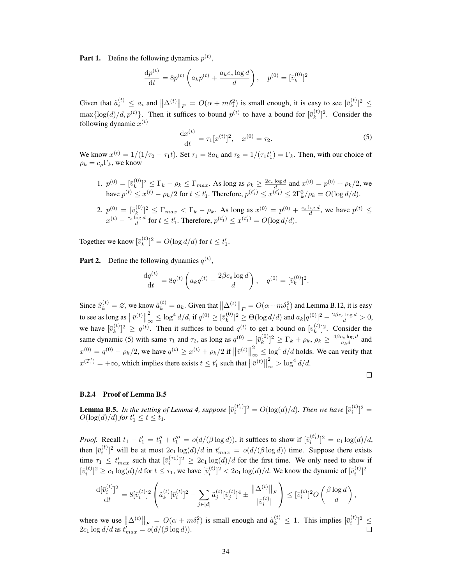**Part 1.** Define the following dynamics  $p^{(t)}$ ,

$$
\frac{\mathrm{d}p^{(t)}}{\mathrm{d}t} = 8p^{(t)}\left(a_k p^{(t)} + \frac{a_k c_e \log d}{d}\right), \quad p^{(0)} = [\bar{v}_k^{(0)}]^2
$$

Given that  $\tilde{a}_i^{(t)} \le a_i$  and  $\|\Delta^{(t)}\|_F = O(\alpha + m\delta_1^2)$  is small enough, it is easy to see  $[\bar{v}_k^{(t)}]$  $\binom{k}{k}^2 \leq$  $\max\{\log(d)/d, p^{(t)}\}\.$  Then it suffices to bound  $p^{(t)}$  to have a bound for  $[\bar{v}_k^{(t)}]$  $\binom{k}{k}$ <sup>2</sup>. Consider the following dynamic  $x^{(t)}$ 

<span id="page-20-0"></span>
$$
\frac{\mathrm{d}x^{(t)}}{\mathrm{d}t} = \tau_1[x^{(t)}]^2, \quad x^{(0)} = \tau_2. \tag{5}
$$

We know  $x^{(t)} = 1/(1/\tau_2 - \tau_1 t)$ . Set  $\tau_1 = 8a_k$  and  $\tau_2 = 1/(\tau_1 t_1') = \Gamma_k$ . Then, with our choice of  $\rho_k = c_\rho \Gamma_k$ , we know

1.  $p^{(0)} = [\bar{v}_k^{(0)}]$  ${k^{(0)}\choose k}^2 \leq \Gamma_k - \rho_k \leq \Gamma_{max}$ . As long as  $\rho_k \geq \frac{2c_e \log d}{d}$  and  $x^{(0)} = p^{(0)} + \rho_k/2$ , we have  $p^{(t)} \leq x^{(t)} - \rho_k/2$  for  $t \leq t'_1$ . Therefore,  $p^{(t'_1)} \leq x^{(\bar{t}'_1)} \leq 2\Gamma_k^2/\rho_k = O(\log d/d)$ .

2. 
$$
p^{(0)} = [\bar{v}_k^{(0)}]^2 \le \Gamma_{max} < \Gamma_k - \rho_k
$$
. As long as  $x^{(0)} = p^{(0)} + \frac{c_e \log d}{d}$ , we have  $p^{(t)} \le x^{(t)} - \frac{c_e \log d}{d}$  for  $t \le t'_1$ . Therefore,  $p^{(t'_1)} \le x^{(t'_1)} = O(\log d/d)$ .

Together we know  $[\bar{v}_k^{(t)}]$  ${k \choose k}^2 = O(\log d/d)$  for  $t \leq t'_1$ .

**Part 2.** Define the following dynamics  $q^{(t)}$ ,

$$
\frac{\mathrm{d}q^{(t)}}{\mathrm{d}t} = 8q^{(t)} \left( a_k q^{(t)} - \frac{2\beta c_e \log d}{d} \right), \quad q^{(0)} = [\overline{v}_k^{(0)}]^2.
$$

Since  $S_k^{(t)} = \emptyset$ , we know  $\tilde{a}_k^{(t)} = a_k$ . Given that  $\left\| \Delta^{(t)} \right\|_F = O(\alpha + m\delta_1^2)$  and Lemma [B.12,](#page-19-0) it is easy to see as long as  $\left\|\bar{v}^{(t)}\right\|$ 2  $\int_{\infty}^{2} \leq \log^4 d/d$ , if  $q^{(0)} \geq [\bar{v}_k^{(0)}]$  $\int_{k}^{(0)}]^{2} \geq \Theta(\log d/d)$  and  $a_{k}[q^{(0)}]^{2} - \frac{2\beta c_{e} \log d}{d} > 0$ , we have  $[\bar{v}_k^{(t)}]$  $\binom{t}{k}^2 \ge q^{(t)}$ . Then it suffices to bound  $q^{(t)}$  to get a bound on  $[v_k^{(t)}]$  $\binom{k}{k}$ <sup>2</sup>. Consider the same dynamic [\(5\)](#page-20-0) with same  $\tau_1$  and  $\tau_2$ , as long as  $q^{(0)} = [\bar{v}_k^{(0)}]$  $[\hat{k}^{(0)}_k]^2 \ge \Gamma_k + \rho_k$ ,  $\rho_k \ge \frac{4\beta c_e \log d}{a_k d}$  and  $x^{(0)} = q^{(0)} - \rho_k/2$ , we have  $q^{(t)} \ge x^{(t)} + \rho_k/2$  if  $\|\bar{v}^{(t)}\|$ 2  $\int_{\infty}^{2} \leq \log^4 d/d$  holds. We can verify that  $x^{(T_1')} = +\infty$ , which implies there exists  $t \leq t_1'$  such that  $\|\bar{v}^{(t)}\|$ 2  $\int_{\infty}^{2}$  > log<sup>4</sup>  $d/d$ .

$$
\Box
$$

## B.2.4 Proof of Lemma [B.5](#page-16-2)

**Lemma B.5.** In the setting of Lemma [4,](#page--1-11) suppose  $[\bar{v}_i^{(t_1')}$  $\sum_{i}^{(t'_1)}$ ]<sup>2</sup> =  $O(\log(d)/d)$ *. Then we have*  $[\bar{v}_i^{(t)}]$ <sup>2</sup> =  $O(\log(d)/d)$  *for*  $t'_{1} \leq t \leq t_{1}$ *.* 

*Proof.* Recall  $t_1 - t_1' = t_1'' + t_1''' = o(d/(\beta \log d))$ , it suffices to show if  $\overline{v}_i^{(t_1')}$  $\binom{(t_1)}{i}^2 = c_1 \log(d)/d,$ then  $[\bar{v}_i^{(t)}]^2$  will be at most  $2c_1 \log(d)/d$  in  $t'_{max} = o(d/(\beta \log d))$  time. Suppose there exists time  $\tau_1 \leq t'_{max}$  such that  $[\bar{v}_i^{(\tau_1)}]^2 \geq 2c_1 \log(d)/d$  for the first time. We only need to show if  $[\bar{v}_i^{(t)}]^2 \ge c_1 \log(d)/d$  for  $t \le \tau_1$ , we have  $[\bar{v}_i^{(t)}]^2 < 2c_1 \log(d)/d$ . We know the dynamic of  $[\bar{v}_i^{(t)}]^2$ 

$$
\frac{\mathrm{d} [\bar{v}^{(t)}_i]^2}{\mathrm{d} t} = 8 [\bar{v}^{(t)}_i]^2 \left( \tilde{a}^{(t)}_{k} [\bar{v}^{(t)}_i]^2 - \sum_{j \in [d]} \tilde{a}^{(t)}_j [\bar{v}^{(t)}_j]^4 \pm \frac{\left\| \Delta^{(t)} \right\|_F}{|\bar{v}^{(t)}_i|} \right) \leq [\bar{v}^{(t)}_i]^2 O\left( \frac{\beta \log d}{d} \right),
$$

where we use  $\|\Delta^{(t)}\|_F = O(\alpha + m\delta_1^2)$  is small enough and  $\tilde{a}_k^{(t)} \leq 1$ . This implies  $[\bar{v}_i^{(t)}]^2 \leq$  $2c_1 \log d/d$  as  $t'_{max} = o(d/(\beta \log d)).$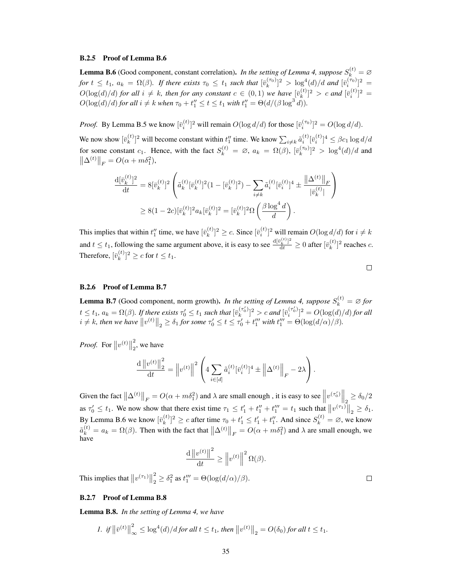#### B.2.5 Proof of Lemma [B.6](#page-16-4)

**Lemma B.6** (Good component, constant correlation). *In the setting of Lemma [4,](#page--1-11) suppose*  $S_k^{(t)} = \emptyset$ *for*  $t \le t_1$ ,  $a_k = \Omega(\beta)$ . If there exists  $\tau_0 \le t_1$  such that  $[\bar{v}_k^{(\tau_0)}]^2 > \log^4(d)/d$  and  $[\bar{v}_i^{(\tau_0)}]^2 =$  $O(\log(d)/d)$  *for all*  $i \neq k$ *, then for any constant*  $c \in (0,1)$  *we have*  $[\bar{v}_k^{(t)}]$  $\binom{t}{k}$ <sup>2</sup> > *c* and  $[\bar{v}_i^{(t)}]$ <sup>2</sup> =  $O(\log(d)/d)$  *for all*  $i \neq k$  *when*  $\tau_0 + t''_1 \leq t \leq t_1$  *with*  $t''_1 = \Theta(d/(\beta \log^3 d)).$ 

*Proof.* By Lemma [B.5](#page-16-2) we know  $[\bar{v}_i^{(t)}]^2$  will remain  $O(\log d/d)$  for those  $[\bar{v}_i^{(\tau_0)}]^2 = O(\log d/d)$ .

We now show  $[\bar{v}_k^{(t)}]$  $\sum_{i \neq k}^{(t)} [i]$ <sup>2</sup> will become constant within  $t''_1$  time. We know  $\sum_{i \neq k} \tilde{a}_i^{(t)} [\bar{v}_i^{(t)}]^4 \leq \beta c_1 \log d/d$ for some constant  $c_1$ . Hence, with the fact  $S_k^{(t)} = \emptyset$ ,  $a_k = \Omega(\beta)$ ,  $[\bar{v}_k^{(\tau_0)}]^2 > \log^4(d)/d$  and  $\|\Delta^{(t)}\|_F = O(\alpha + m\delta_1^2),$ 

$$
\frac{\mathrm{d}[\bar{v}_k^{(t)}]^2}{\mathrm{d}t} = 8[\bar{v}_k^{(t)}]^2 \left( \tilde{a}_k^{(t)}[\bar{v}_k^{(t)}]^2 (1 - [\bar{v}_k^{(t)}]^2) - \sum_{i \neq k} \tilde{a}_i^{(t)}[\bar{v}_i^{(t)}]^4 \pm \frac{\|\Delta^{(t)}\|_F}{|\bar{v}_k^{(t)}|} \right)
$$
  
\n
$$
\geq 8(1 - 2c)[\bar{v}_k^{(t)}]^2 a_k[\bar{v}_k^{(t)}]^2 = [\bar{v}_k^{(t)}]^2 \Omega \left( \frac{\beta \log^4 d}{d} \right).
$$

This implies that within  $t_1''$  time, we have  $[\bar{v}_k^{(t)}]$  ${k \choose k}^2 \ge c$ . Since  $[\bar{v}_i^{(t)}]^2$  will remain  $O(\log d/d)$  for  $i \ne k$ and  $t \le t_1$ , following the same argument above, it is easy to see  $\frac{d[\bar{v}_k^{(t)}]^2}{dt} \ge 0$  after  $[\bar{v}_k^{(t)}]$  $\binom{k}{k}$ <sup>2</sup> reaches *c*. Therefore,  $[\bar{v}_k^{(t)}]$  ${k \choose k}^2 \ge c$  for  $t \le t_1$ .

| ۰ | ۰ |  |
|---|---|--|
|   |   |  |
|   |   |  |

#### B.2.6 Proof of Lemma [B.7](#page-16-5)

**Lemma B.7** (Good component, norm growth). *In the setting of Lemma [4,](#page--1-11) suppose*  $S_k^{(t)} = \emptyset$  *for*  $t\leq t_1, a_k=\Omega(\beta).$  If there exists  $\tau_0'\leq t_1$  such that  $[\bar{v}_k^{(\tau_0')}]$  $\binom{(\tau_0')}{k}^2 > c$  and  $[\bar{v}_i^{(\tau_0')}$  $\int_{i}^{(\tau_0)}$ <sup>2</sup> =  $O(\log(d)/d)$  for all  $i \neq k$ , then we have  $||v^{(t)}||_2 \geq \delta_1$  for some  $\tau'_0 \leq t \leq \tau'_0 + t''_1$  with  $t'''_1 = \Theta(\log(d/\alpha)/\beta)$ .

*Proof.* For  $||v^{(t)}||$ 2  $\frac{1}{2}$ , we have

$$
\frac{\mathrm{d} \left\|v^{(t)}\right\|_2^2}{\mathrm{d} t} = \left\|v^{(t)}\right\|^2 \left(4 \sum_{i \in [d]} \tilde{a}_i^{(t)} [\bar{v}_i^{(t)}]^4 \pm \left\|\Delta^{(t)}\right\|_F - 2\lambda\right).
$$

Given the fact  $\left\| \Delta^{(t)} \right\|_F = O(\alpha + m\delta_1^2)$  and  $\lambda$  are small enough, it is easy to see  $\left\| v^{(\tau_0')} \right\|_2 \ge \delta_0/2$ as  $\tau'_0 \leq t_1$ . We now show that there exist time  $\tau_1 \leq t'_1 + t''_1 + t'''_1 = t_1$  such that  $||v^{(\tau_1)}||_2 \geq \delta_1$ . By Lemma [B.6](#page-16-4) we know  $[\bar{v}_k^{(t)}]$  $\binom{t}{k}^2 \ge c$  after time  $\tau_0 + t'_1 \le t'_1 + t''_1$ . And since  $S_k^{(t)} = \emptyset$ , we know  $\tilde{a}_{k}^{(t)} = a_k = \Omega(\beta)$ . Then with the fact that  $\left\| \Delta^{(t)} \right\|_F = O(\alpha + m\delta_1^2)$  and  $\lambda$  are small enough, we have

$$
\frac{\mathrm{d} \left\|v^{(t)}\right\|^2}{\mathrm{d} t} \ge \left\|v^{(t)}\right\|^2 \Omega(\beta).
$$

This implies that  $||v^{(\tau_1)}||$ 2  $\frac{2}{2} \geq \delta_1^2$  as  $t_1''' = \Theta(\log(d/\alpha)/\beta)$ .

### B.2.7 Proof of Lemma [B.8](#page-16-3)

Lemma B.8. *In the setting of Lemma [4,](#page--1-11) we have*

$$
I. \text{ if } \left\|\bar{v}^{(t)}\right\|_{\infty}^{2} \le \log^{4}(d)/d \text{ for all } t \le t_1 \text{, then } \left\|v^{(t)}\right\|_{2} = O(\delta_{0}) \text{ for all } t \le t_1.
$$

 $\Box$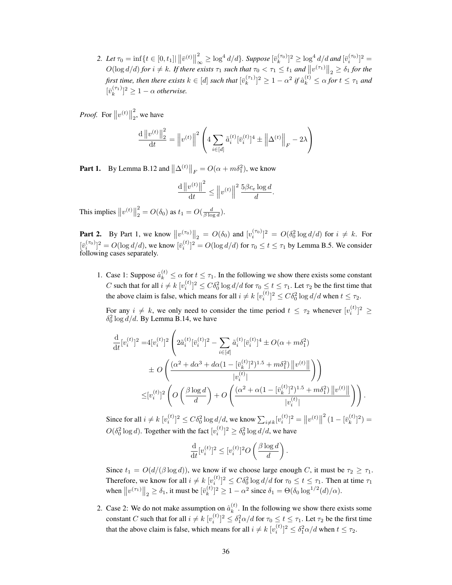2. Let  $\tau_0 = \inf\{t \in [0, t_1] | \|\bar{v}^{(t)}\|$ 2  $\int_{-\infty}^2 \geq \log^4 d/d$ }. Suppose  $[\bar{v}_k^{(\tau_0)}]^2 \geq \log^4 d/d$  and  $[\bar{v}_i^{(\tau_0)}]^2 =$  $O(\log d/d)$  *for*  $i \neq k$ *. If there exists*  $\tau_1$  *such that*  $\tau_0 < \tau_1 \leq t_1$  *and*  $||v^{(\tau_1)}||_2 \geq \delta_1$  *for the* first time, then there exists  $k\in[d]$  such that  $[\bar{v}_k^{(\tau_1)}]^2\geq 1-\alpha^2$  if  $\hat{a}_k^{(t)}\leq \alpha$  for  $t\leq \tau_1$  and  $[\bar{v}_k^{(\tau_1)}]^2 \geq 1 - \alpha$  *otherwise.* 

*Proof.* For  $||v^{(t)}||$ 2  $\frac{2}{2}$ , we have

$$
\frac{d ||v^{(t)}||_2^2}{dt} = ||v^{(t)}||^2 \left( 4 \sum_{i \in [d]} \tilde{a}_i^{(t)} [\bar{v}_i^{(t)}]^4 \pm ||\Delta^{(t)}||_F - 2\lambda \right)
$$

**Part 1.** By Lemma [B.12](#page-19-0) and  $\|\Delta^{(t)}\|_F = O(\alpha + m\delta_1^2)$ , we know

$$
\frac{\mathrm{d} \left\|v^{(t)}\right\|^2}{\mathrm{d} t} \le \left\|v^{(t)}\right\|^2 \frac{5\beta c_e \log d}{d}.
$$

This implies  $||v^{(t)}||$ 2  $\frac{2}{2} = O(\delta_0)$  as  $t_1 = O(\frac{d}{\beta \log d}).$ 

**Part 2.** By Part 1, we know  $||v^{(\tau_0)}||_2 = O(\delta_0)$  and  $[v^{(\tau_0)}_i]^2 = O(\delta_0^2 \log d/d)$  for  $i \neq k$ . For  $[\bar{v}_i^{(\tau_0)}]^2 = O(\log d/d)$ , we know  $[\bar{v}_i^{(t)}]^2 = O(\log d/d)$  for  $\tau_0 \le t \le \tau_1$  by Lemma [B.5.](#page-16-2) We consider following cases separately.

1. Case 1: Suppose  $\hat{a}_k^{(t)} \leq \alpha$  for  $t \leq \tau_1$ . In the following we show there exists some constant C such that for all  $i \neq k$   $[v_i^{(t)}]^2 \leq C \delta_0^2 \log d/d$  for  $\tau_0 \leq t \leq \tau_1$ . Let  $\tau_2$  be the first time that the above claim is false, which means for all  $i \neq k$   $[v_i^{(t)}]^2 \leq C \delta_0^2 \log d/d$  when  $t \leq \tau_2$ .

For any  $i \neq k$ , we only need to consider the time period  $t \leq \tau_2$  whenever  $[v_i^{(t)}]^2 \geq$  $\delta_0^2 \log d/d$ . By Lemma [B.14,](#page-24-0) we have

$$
\frac{d}{dt}[v_i^{(t)}]^2 = 4[v_i^{(t)}]^2 \left( 2\tilde{a}_i^{(t)}[\bar{v}_i^{(t)}]^2 - \sum_{i \in [d]} \tilde{a}_i^{(t)}[\bar{v}_i^{(t)}]^4 \pm O(\alpha + m\delta_1^2) \right.\n\pm O\left(\frac{(\alpha^2 + d\alpha^3 + d\alpha(1 - [\bar{v}_k^{(t)}]^2)^{1.5} + m\delta_1^2) ||v^{(t)}||}{|v_i^{(t)}|}\right)\right)\n\leq [v_i^{(t)}]^2 \left( O\left(\frac{\beta \log d}{d}\right) + O\left(\frac{(\alpha^2 + \alpha(1 - [\bar{v}_k^{(t)}]^2)^{1.5} + m\delta_1^2) ||v^{(t)}||}{|v_i^{(t)}|}\right) \right).
$$

Since for all  $i \neq k \ [v_i^{(t)}]^2 \leq C \delta_0^2 \log d/d$ , we know  $\sum_{i \neq k} [v_i^{(t)}]^2 = ||v^{(t)}||$  $2^{2} (1 - |\bar{v}_k^{(t)}|)$  $\binom{t}{k}^2 =$  $O(\delta_0^2 \log d)$ . Together with the fact  $[v_i^{(t)}]^2 \geq \delta_0^2 \log d/d$ , we have

$$
\frac{\mathrm{d}}{\mathrm{d}t} [v_i^{(t)}]^2 \le [v_i^{(t)}]^2 O\left(\frac{\beta \log d}{d}\right).
$$

Since  $t_1 = O(d/(\beta \log d))$ , we know if we choose large enough C, it must be  $\tau_2 \geq \tau_1$ . Therefore, we know for all  $i \neq k$   $[v_i^{(t)}]^2 \leq C \delta_0^2 \log d/d$  for  $\tau_0 \leq t \leq \tau_1$ . Then at time  $\tau_1$ when  $||v^{(\tau_1)}||_2 \ge \delta_1$ , it must be  $[\bar{v}_k^{(t)}]$  ${k \choose k}^2 \ge 1 - \alpha^2$  since  $\delta_1 = \Theta(\delta_0 \log^{1/2}(d)/\alpha)$ .

2. Case 2: We do not make assumption on  $\hat{a}_k^{(t)}$  $k^{(l)}$ . In the following we show there exists some constant C such that for all  $i \neq k$   $[v_i^{(t)}]^2 \leq \delta_1^2 \alpha/d$  for  $\tau_0 \leq t \leq \tau_1$ . Let  $\tau_2$  be the first time that the above claim is false, which means for all  $i \neq k$   $[v_i^{(t)}]^2 \leq \delta_1^2 \alpha / d$  when  $t \leq \tau_2$ .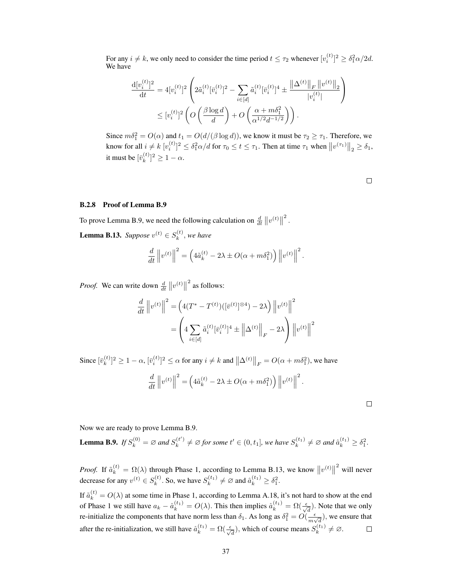For any  $i \neq k$ , we only need to consider the time period  $t \leq \tau_2$  whenever  $[v_i^{(t)}]^2 \geq \delta_1^2 \alpha/2d$ . We have

$$
\frac{\mathrm{d}[v_i^{(t)}]^2}{\mathrm{d}t} = 4[v_i^{(t)}]^2 \left( 2\tilde{a}_i^{(t)}[\bar{v}_i^{(t)}]^2 - \sum_{i \in [d]} \tilde{a}_i^{(t)}[\bar{v}_i^{(t)}]^4 \pm \frac{\|\Delta^{(t)}\|_F \, \|v^{(t)}\|_2}{|v_i^{(t)}|} \right)
$$

$$
\leq [v_i^{(t)}]^2 \left( O\left(\frac{\beta \log d}{d}\right) + O\left(\frac{\alpha + m\delta_1^2}{\alpha^{1/2}d^{-1/2}}\right) \right).
$$

Since  $m\delta_1^2 = O(\alpha)$  and  $t_1 = O(d/(\beta \log d))$ , we know it must be  $\tau_2 \ge \tau_1$ . Therefore, we know for all  $i \neq k$   $[v_i^{(t)}]^2 \leq \delta_1^2 \alpha/d$  for  $\tau_0 \leq t \leq \tau_1$ . Then at time  $\tau_1$  when  $||v^{(\tau_1)}||_2 \geq \delta_1$ , it must be  $[\bar{v}_k^{(t)}]$  ${k \choose k}^2 \geq 1 - \alpha.$ 

 $\Box$ 

### B.2.8 Proof of Lemma [B.9](#page-17-0)

To prove Lemma [B.9,](#page-17-0) we need the following calculation on  $\frac{d}{dt} \|v^{(t)}\|$ 2 .

<span id="page-23-0"></span>**Lemma B.13.** *Suppose*  $v^{(t)} \in S_k^{(t)}$  $\mathbf{r}_k^{(t)}$ , we have

$$
\frac{d}{dt}\left\|v^{(t)}\right\|^2 = \left(4\tilde{a}_k^{(t)} - 2\lambda \pm O(\alpha + m\delta_1^2)\right)\left\|v^{(t)}\right\|^2.
$$

*Proof.* We can write down  $\frac{d}{dt} ||v^{(t)}||$ 2 as follows:

$$
\frac{d}{dt} \|v^{(t)}\|^2 = \left(4(T^* - T^{(t)}) ([\bar{v}^{(t)}]^{\otimes 4}) - 2\lambda\right) \|v^{(t)}\|^2
$$

$$
= \left(4 \sum_{i \in [d]} \tilde{a}_i^{(t)} [\bar{v}_i^{(t)}]^4 \pm \left\|\Delta^{(t)}\right\|_F - 2\lambda\right) \|v^{(t)}\|^2
$$

Since  $[\bar{v}_k^{(t)}]$  $\lfloor k^{(t)} \rfloor^2 \ge 1 - \alpha$ ,  $[\bar{v}_i^{(t)}]^2 \le \alpha$  for any  $i \neq k$  and  $\|\Delta^{(t)}\|_F = O(\alpha + m\delta_1^2)$ , we have

$$
\frac{d}{dt}\left\|v^{(t)}\right\|^2 = \left(4\tilde{a}_k^{(t)} - 2\lambda \pm O(\alpha + m\delta_1^2)\right)\left\|v^{(t)}\right\|^2.
$$

 $\Box$ 

Now we are ready to prove Lemma [B.9.](#page-17-0)

**Lemma B.9.** *If*  $S_k^{(0)} = \emptyset$  *and*  $S_k^{(t')}$  $S_k^{(t')} \neq \emptyset$  for some  $t' \in (0, t_1]$ , we have  $S_k^{(t_1)} \neq \emptyset$  and  $\hat{a}_k^{(t_1)} \geq \delta_1^2$ .

*Proof.* If  $\tilde{a}_k^{(t)} = \Omega(\lambda)$  through Phase 1, according to Lemma [B.13,](#page-23-0) we know  $||v^{(t)}||$ 2 will never decrease for any  $v^{(t)} \in S_k^{(t)}$  $S_k^{(t)}$ . So, we have  $S_k^{(t_1)} \neq \emptyset$  and  $\hat{a}_k^{(t_1)} \geq \delta_1^2$ .

If  $\tilde{a}_k^{(t)} = O(\lambda)$  at some time in Phase 1, according to Lemma [A.18,](#page-12-1) it's not hard to show at the end of Phase 1 we still have  $a_k - \hat{a}_k^{(t_1)} = O(\lambda)$ . This then implies  $\hat{a}_k^{(t_1)} = \Omega(\frac{\epsilon}{\sqrt{d}})$ . Note that we only re-initialize the components that have norm less than  $\delta_1$ . As long as  $\delta_1^2 = O(\frac{\epsilon}{m_1})$  $\frac{\epsilon}{m\sqrt{d}}$ ), we ensure that after the re-initialization, we still have  $\hat{a}_k^{(t_1)} = \Omega(\frac{\epsilon}{\sqrt{d}})$ , which of course means  $S_k^{(t_1)} \neq \emptyset$ .  $\Box$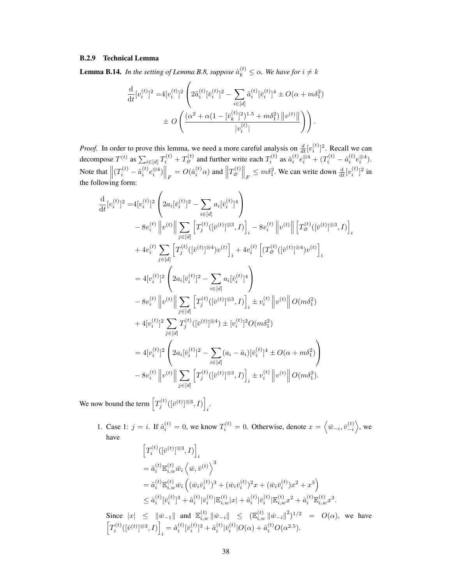## B.2.9 Technical Lemma

<span id="page-24-0"></span>**Lemma B.14.** *In the setting of Lemma [B.8,](#page-16-3) suppose*  $\hat{a}_k^{(t)} \leq \alpha$ . We have for  $i \neq k$ 

$$
\frac{\mathrm{d}}{\mathrm{d}t} [v_i^{(t)}]^2 = 4[v_i^{(t)}]^2 \left( 2\tilde{a}_i^{(t)} [\bar{v}_i^{(t)}]^2 - \sum_{i \in [d]} \tilde{a}_i^{(t)} [\bar{v}_i^{(t)}]^4 \pm O(\alpha + m\delta_1^2) \right. \\
\left. + O\left( \frac{(\alpha^2 + \alpha(1 - [\bar{v}_k^{(t)}]^2)^{1.5} + m\delta_1^2) ||v^{(t)}||}{|v_i^{(t)}|} \right) \right).
$$

*Proof.* In order to prove this lemma, we need a more careful analysis on  $\frac{d}{dt} [v_i^{(t)}]^2$ . Recall we can decompose  $T^{(t)}$  as  $\sum_{i \in [d]} T_i^{(t)} + T_{\varnothing}^{(t)}$  and further write each  $T_i^{(t)}$  as  $\hat{a}_i^{(t)} e_i^{\otimes 4} + (T_i^{(t)} - \hat{a}_i^{(t)} e_i^{\otimes 4})$ . Note that  $\left\| (T_i^{(t)} - \hat{a}_i^{(t)} e_i^{\otimes 4}) \right\|_F = O(\hat{a}_i^{(t)} \alpha)$  and  $\left\| T_{\varnothing}^{(t)} \right\|_F \leq m \delta_1^2$ . We can write down  $\frac{d}{dt} [v_i^{(t)}]^2$  in the following form:

$$
\frac{d}{dt}[v_i^{(t)}]^2 = 4[v_i^{(t)}]^2 \left( 2a_i[\bar{v}_i^{(t)}]^2 - \sum_{i \in [d]} a_i[\bar{v}_i^{(t)}]^4 \right) \n- 8v_i^{(t)} ||v^{(t)} || \sum_{j \in [d]} [\overline{T}_j^{(t)}([\bar{v}^{(t)}]^{\otimes 3}, I)]]_i - 8v_i^{(t)} ||v^{(t)} || [\overline{T}_\mathscr{B}^{(t)}([\bar{v}^{(t)}]^{\otimes 3}, I)]]_i \n+ 4v_i^{(t)} \sum_{j \in [d]} [\overline{T}_j^{(t)}([\bar{v}^{(t)}]^{\otimes 4})v^{(t)}]_i + 4v_i^{(t)} [(\overline{T}_\mathscr{B}^{(t)}([\bar{v}^{(t)}]^{\otimes 4})v^{(t)}]_i \n= 4[v_i^{(t)}]^2 \left( 2a_i[\bar{v}_i^{(t)}]^2 - \sum_{i \in [d]} a_i[\bar{v}_i^{(t)}]^4 \right) \n- 8v_i^{(t)} ||v^{(t)} || \sum_{j \in [d]} [\overline{T}_j^{(t)}([\bar{v}^{(t)}]^{\otimes 3}, I)]_i \pm v_i^{(t)} ||v^{(t)} || O(m\delta_1^2) \n+ 4[v_i^{(t)}]^2 \sum_{j \in [d]} \overline{T}_j^{(t)}([\bar{v}^{(t)}]^{\otimes 4}) \pm [v_i^{(t)}]^2 O(m\delta_1^2) \n= 4[v_i^{(t)}]^2 \left( 2a_i[\bar{v}_i^{(t)}]^2 - \sum_{i \in [d]} (a_i - \hat{a}_i)[\bar{v}_i^{(t)}]^4 \pm O(\alpha + m\delta_1^2) \right) \n- 8v_i^{(t)} ||v^{(t)} || \sum_{j \in [d]} [\overline{T}_j^{(t)}([\bar{v}^{(t)}]^{\otimes 3}, I)]_i \pm v_i^{(t)} ||v^{(t)} || O(m\delta_1^2).
$$

We now bound the term  $\left[T_j^{(t)}([\bar{v}^{(t)}]^{\otimes 3}, I)\right]$ i .

> 1. Case 1:  $j = i$ . If  $\hat{a}_i^{(t)} = 0$ , we know  $T_i^{(t)} = 0$ . Otherwise, denote  $x = \langle \bar{w}_{-i}, \bar{v}_{-i}^{(t)} \rangle$ , we have

$$
\begin{split} &\left[T_i^{(t)}([\bar{v}^{(t)}]^{\otimes 3}, I)\right]_i\\ &=\hat{a}_i^{(t)}\mathbb{E}_{i,w}^{(t)}\bar{w}_i \left\langle \bar{w}, \bar{v}^{(t)} \right\rangle^3\\ &=\hat{a}_i^{(t)}\mathbb{E}_{i,w}^{(t)}\bar{w}_i \left( (\bar{w}_i \bar{v}_i^{(t)})^3 + (\bar{w}_i \bar{v}_i^{(t)})^2 x + (\bar{w}_i \bar{v}_i^{(t)}) x^2 + x^3 \right)\\ &\leq \hat{a}_i^{(t)}[\bar{v}_i^{(t)}]^3 + \hat{a}_i^{(t)}|\bar{v}_i^{(t)}|\mathbb{E}_{i,w}^{(t)}|x| + \hat{a}_i^{(t)}|\bar{v}_i^{(t)}|\mathbb{E}_{i,w}^{(t)}x^2 + \hat{a}_i^{(t)}\mathbb{E}_{i,w}^{(t)}x^3. \end{split}
$$

Since  $|x| \leq ||\bar{w}_{-1}||$  and  $\mathbb{E}_{i,w}^{(t)} ||\bar{w}_{-i}|| \leq (\mathbb{E}_{i,w}^{(t)} ||\bar{w}_{-i}||^2)^{1/2} = O(\alpha)$ , we have  $\left[T_i^{(t)}([\bar{v}^{(t)}]^{\otimes 3}, I)\right]$  $\hat{a}_i = \hat{a}_i^{(t)} [\bar{v}_i^{(t)}]^3 + \hat{a}_i^{(t)} |\bar{v}_i^{(t)}| O(\alpha) + \hat{a}_i^{(t)} O(\alpha^{2.5}).$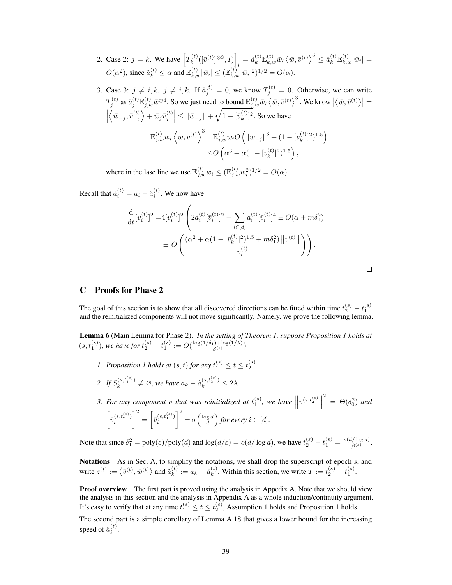- 2. Case 2:  $j = k$ . We have  $T_k^{(t)}$  $\mathcal{R}_k^{(t)}([ \bar v^{(t)} ]^{\otimes 3}, I ) \Big]$  $\hat{a}_{k}^{(t)}\mathbb{E}_{k,w}^{(t)}\bar{w}_{i}\left\langle \bar{w}, \bar{v}^{(t)} \right\rangle^{3} \leq \hat{a}_{k}^{(t)}\mathbb{E}_{k,w}^{(t)}|\bar{w}_{i}| =$  $O(\alpha^2)$ , since  $\hat{a}_k^{(t)} \le \alpha$  and  $\mathbb{E}_{k,w}^{(t)} |\bar{w}_i| \le (\mathbb{E}_{k,w}^{(t)} |\bar{w}_i|^2)^{1/2} = O(\alpha)$ .
- 3. Case 3:  $j \neq i, k$ .  $j \neq i, k$ . If  $\hat{a}_j^{(t)} = 0$ , we know  $T_j^{(t)} = 0$ . Otherwise, we can write  $T_j^{(t)}$  as  $\hat{a}_j^{(t)} \mathbb{E}_{j,w}^{(t)} \bar{w}^{\otimes 4}$ . So we just need to bound  $\mathbb{E}_{j,w}^{(t)} \bar{w}_i \langle \bar{w}, \bar{v}^{(t)} \rangle^3$ . We know  $|\langle \bar{w}, \bar{v}^{(t)} \rangle|$  =  $\left\langle \bar{w}_{-j}, \bar{v}_{-j}^{(t)} \right\rangle + \bar{w}_{j} \bar{v}_{j}^{(t)} \Big| \leq \|\bar{w}_{-j}\| + \sqrt{1 - [\bar{v}_{k}^{(t)}]}$  $\binom{k}{k}$ <sup>2</sup>. So we have  $\mathbb{E}_{j,w}^{(t)} \bar{w}_i \left\langle \bar{w}, \bar{v}^{(t)} \right\rangle^3 = \mathbb{E}_{j,w}^{(t)} \bar{w}_i O\left( \left\| \bar{w}_{-j} \right\|^3 + (1 - \left[\bar{v}_k^{(t)}\right]\right)^3$  $\binom{(t)}{k}^2$ <sup>1.5</sup>  $\leq$ O  $\left(\alpha^3 + \alpha(1 - \bar{v}_k^{(t)})\right)$  $\binom{(t)}{k}^2$ <sup>1.5</sup>,

where in the lase line we use  $\mathbb{E}_{j,w}^{(t)}\bar{w}_i \leq (\mathbb{E}_{j,w}^{(t)}\bar{w}_i^2)^{1/2} = O(\alpha)$ .

Recall that  $\tilde{a}_i^{(t)} = a_i - \hat{a}_i^{(t)}$ . We now have

$$
\frac{\mathrm{d}}{\mathrm{d}t} [v_i^{(t)}]^2 = 4 [v_i^{(t)}]^2 \left( 2\tilde{a}_i^{(t)} [\bar{v}_i^{(t)}]^2 - \sum_{i \in [d]} \tilde{a}_i^{(t)} [\bar{v}_i^{(t)}]^4 \pm O(\alpha + m\delta_1^2) \right) \n\pm O\left( \frac{(\alpha^2 + \alpha(1 - [\bar{v}_k^{(t)}]^2)^{1.5} + m\delta_1^2) ||v^{(t)}||}{|v_i^{(t)}|} \right) \right).
$$

# <span id="page-25-0"></span>C Proofs for Phase 2

The goal of this section is to show that all discovered directions can be fitted within time  $t_2^{(s)} - t_1^{(s)}$  and the reinitialized components will not move significantly. Namely, we prove the following lemma.

Lemma 6 (Main Lemma for Phase 2). *In the setting of Theorem [1,](#page--1-0) suppose Proposition [1](#page--1-1) holds at*  $(s, t_1^{(s)}),$  we have for  $t_2^{(s)} - t_1^{(s)} := O(\frac{\log(1/\delta_1) + \log(1/\lambda)}{\beta^{(s)}})$ 

- *[1](#page--1-1).* Proposition 1 holds at  $(s, t)$  for any  $t_1^{(s)} \le t \le t_2^{(s)}$ .
- 2. *If*  $S_k^{(s,t_1^{(s)})}$  $\hat{a}_k^{(s,t_1^{(s)})} \neq \emptyset$ , we have  $a_k - \hat{a}_k^{(s,t_2^{(s)})} \leq 2\lambda$ .

3. For any component v that was reinitialized at  $t_1^{(s)}$ , we have  $\left\| v^{(s,t_2^{(s)}} \right\|$ <sup>2</sup> =  $\Theta(\delta_0^2)$  and  $\left[\overline{v}_i^{(s,t_2^{(s)})}\right]$ i  $\left[\bar{v}_{i}^{(s,t_{1}^{(s)})}\right]$ i  $\int_0^2 \pm o\left(\frac{\log d}{d}\right)$  for every  $i \in [d]$ .

Note that since  $\delta_1^2 = \text{poly}(\varepsilon)/\text{poly}(d)$  and  $\log(d/\varepsilon) = o(d/\log d)$ , we have  $t_2^{(s)} - t_1^{(s)} = \frac{o(d/\log d)}{\beta^{(s)}}$  $\frac{\beta^{(s)}}{\beta^{(s)}}$ .

Notations As in Sec. [A,](#page-0-0) to simplify the notations, we shall drop the superscript of epoch s, and write  $z^{(t)} := \langle \bar{v}^{(t)}, \bar{w}^{(t)} \rangle$  and  $\tilde{a}_k^{(t)}$  $k^{(t)} := a_k - \hat{a}_k^{(t)}$  $k^{(t)}$ . Within this section, we write  $T := t_2^{(s)} - t_1^{(s)}$ .

**Proof overview** The first part is proved using the analysis in Appedix [A.](#page-0-0) Note that we should view the analysis in this section and the analysis in Appendix [A](#page-0-0) as a whole induction/continuity argument. It's easy to verify that at any time  $t_1^{(s)} \le t \le t_2^{(s)}$  $t_1^{(s)} \le t \le t_2^{(s)}$  $t_1^{(s)} \le t \le t_2^{(s)}$ , Assumption 1 holds and Proposition 1 holds.

The second part is a simple corollary of Lemma [A.18](#page-12-1) that gives a lower bound for the increasing speed of  $\hat{a}_k^{(t)}$  $\binom{l}{k}$ .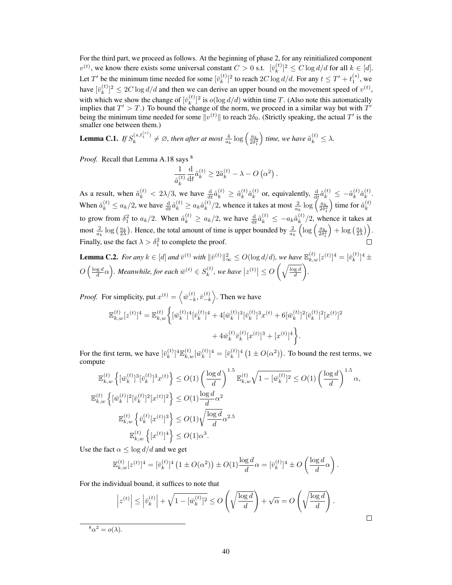For the third part, we proceed as follows. At the beginning of phase 2, for any reinitialized component  $v^{(t)}$ , we know there exists some universal constant  $C > 0$  s.t.  $[\bar{v}_k^{(t)}]$  $\binom{k}{k}^2 \leq C \log d/d$  for all  $k \in [d]$ . Let T' be the minimum time needed for some  $[\bar{v}_k^{(t)}]$  $\int_k^{(t)}$ ]<sup>2</sup> to reach 2C log d/d. For any  $t \leq T' + t_1^{(s)}$ , we have  $[\bar{v}_k^{(t)}]$  $(k)$ <sub>k</sub> $(k)$ <sup>2</sup>  $\leq$  2*C* log *d*/*d* and then we can derive an upper bound on the movement speed of  $v^{(t)}$ , with which we show the change of  $[\bar{v}_k^{(t)}]$  $\binom{[t]}{k}$ <sup>2</sup> is  $o(\log d/d)$  within time T. (Also note this automatically implies that  $T' > T$ .) To bound the change of the norm, we proceed in a similar way but with  $T'$ being the minimum time needed for some  $\|v^{(t)}\|$  to reach  $2\delta_0$ . (Strictly speaking, the actual  $T'$  is the smaller one between them.)

**Lemma C.1.** *If*  $S_k^{(s,t_1^{(s)})}$  $\binom{(s,t_1^{(s)})}{k} \neq \emptyset$ , then after at most  $\frac{4}{a_k} \log \left( \frac{a_k}{2 \delta_1^2} \right)$ *time, we have*  $\tilde{a}_k^{(t)} \leq \lambda$ .

*Proof.* Recall that Lemma [A.18](#page-12-1) says <sup>[8](#page-26-0)</sup>

$$
\frac{1}{\hat{a}_{k}^{\left(t\right)}}\frac{\mathrm{d}}{\mathrm{d}t}\hat{a}_{k}^{\left(t\right)}\geq2\tilde{a}_{k}^{\left(t\right)}-\lambda-O\left(\alpha^{2}\right).
$$

As a result, when  $\tilde{a}_k^{(t)} < 2\lambda/3$ , we have  $\frac{d}{dt}\hat{a}_k^{(t)} \geq \tilde{a}_k^{(t)}$  $_{k}^{\left( t\right) }\hat{a}_{k}^{\left( t\right) }$  $\mathbf{z}_k^{(t)}$  or, equivalently,  $\frac{d}{dt} \tilde{a}_k^{(t)} \leq -\tilde{a}_k^{(t)}$  $_{k}^{\left( t\right) }\hat{a}_{k}^{\left( t\right) }$  $\binom{u}{k}$ . When  $\hat{a}_k^{(t)} \le a_k/2$ , we have  $\frac{d}{dt} \hat{a}_k^{(t)} \ge a_k \hat{a}_k^{(t)}$  $\binom{t}{k}$ /2, whence it takes at most  $\frac{2}{a_k} \log \left( \frac{a_k}{2\delta_1^2} \right)$ ) time for  $\hat{a}_k^{(t)}$ k to grow from  $\delta_1^2$  to  $a_k/2$ . When  $\hat{a}_k^{(t)} \ge a_k/2$ , we have  $\frac{d}{dt} \hat{a}_k^{(t)} \le -a_k \tilde{a}_k^{(t)}$  $\binom{k}{k}$ /2, whence it takes at most  $\frac{2}{a_k} \log \left( \frac{a_k}{2\lambda} \right)$ . Hence, the total amount of time is upper bounded by  $\frac{2}{a_k} \left( \log \left( \frac{a_k}{2\delta_1^2} \right) \right)$  $\Big) + \log\left(\frac{a_k}{2\lambda}\right) \Big).$ Finally, use the fact  $\lambda > \delta_1^2$  to complete the proof.

<span id="page-26-1"></span>**Lemma C.2.** For any  $k \in [d]$  and  $\bar{v}^{(t)}$  with  $\|\bar{v}^{(t)}\|_{\infty}^2 \le O(\log d/d)$ , we have  $\mathbb{E}_{k,w}^{(t)}[z^{(t)}]^4 = [\bar{v}_k^{(t)}]$  $\binom{t}{k}$ <sup>4</sup> ±  $O\left(\frac{\log d}{d}\alpha\right)$ . Meanwhile, for each  $\bar{w}^{(t)}\in S_k^{(t)}$  $\left| \begin{array}{c} (t), \, \textit{we have} \, |z^{(t)}| \le O\left(\sqrt{\frac{\log d}{d}}\right) \end{array} \right|$ *.*

*Proof.* For simplicity, put  $x^{(t)} = \left\langle \overline{w}^{(t)}_{-k} \right\rangle$  $\left( t\right) _{-k},\bar{v}_{-k}^{\left( t\right) }$  $\binom{(t)}{-k}$ . Then we have

$$
\mathbb{E}_{k,w}^{(t)}[z^{(t)}]^4 = \mathbb{E}_{k,w}^{(t)} \bigg\{ [\bar{w}_k^{(t)}]^4 [\bar{v}_k^{(t)}]^4 + 4 [\bar{w}_k^{(t)}]^3 [\bar{v}_k^{(t)}]^3 x^{(t)} + 6 [\bar{w}_k^{(t)}]^2 [\bar{v}_k^{(t)}]^2 [x^{(t)}]^2 + 4 \bar{w}_k^{(t)} \bar{v}_k^{(t)} [x^{(t)}]^3 + [x^{(t)}]^4 \bigg\}.
$$

For the first term, we have  $[\bar{v}_k^{(t)}]$  $[\bar{k}^{(t)}_{k}]^4 \mathbb{E}^{(t)}_{k,w} [\bar{w}^{(t)}_{k}]$  $[k]_k^{(t)}]$ <sup>4</sup> =  $[\bar{v}_k^{(t)}]$  $\binom{[t]}{k}$ <sup>4</sup>  $(1 \pm O(\alpha^2))$ . To bound the rest terms, we compute

$$
\mathbb{E}_{k,w}^{(t)} \left\{ [\bar{w}_k^{(t)}]^3 [\bar{v}_k^{(t)}]^3 x^{(t)} \right\} \le O(1) \left( \frac{\log d}{d} \right)^{1.5} \mathbb{E}_{k,w}^{(t)} \sqrt{1 - [\bar{w}_k^{(t)}]^2} \le O(1) \left( \frac{\log d}{d} \right)^{1.5} \alpha,
$$
  

$$
\mathbb{E}_{k,w}^{(t)} \left\{ [\bar{w}_k^{(t)}]^2 [\bar{v}_k^{(t)}]^2 [x^{(t)}]^2 \right\} \le O(1) \frac{\log d}{d} \alpha^2
$$
  

$$
\mathbb{E}_{k,w}^{(t)} \left\{ \bar{v}_k^{(t)} [x^{(t)}]^3 \right\} \le O(1) \sqrt{\frac{\log d}{d}} \alpha^{2.5}
$$
  

$$
\mathbb{E}_{k,w}^{(t)} \left\{ [x^{(t)}]^4 \right\} \le O(1) \alpha^3.
$$

Use the fact  $\alpha \leq \log d/d$  and we get

$$
\mathbb{E}_{k,w}^{(t)}[z^{(t)}]^4 = [\bar{v}_k^{(t)}]^4 \left(1 \pm O(\alpha^2)\right) \pm O(1) \frac{\log d}{d} \alpha = [\bar{v}_k^{(t)}]^4 \pm O\left(\frac{\log d}{d} \alpha\right)
$$

.

 $\Box$ 

For the individual bound, it suffices to note that

$$
\left| z^{(t)} \right| \le \left| \bar{v}_k^{(t)} \right| + \sqrt{1 - [\bar{w}_k^{(t)}]^2} \le O\left(\sqrt{\frac{\log d}{d}}\right) + \sqrt{\alpha} = O\left(\sqrt{\frac{\log d}{d}}\right).
$$
  
=  $o(\lambda)$ 

<span id="page-26-0"></span> ${}^8\alpha^2 = o(\lambda).$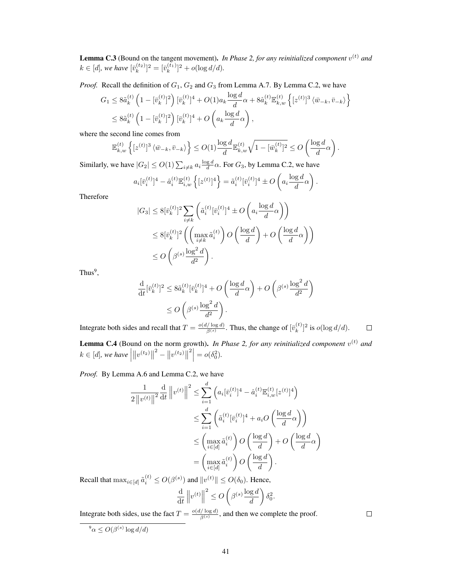**Lemma C.3** (Bound on the tangent movement). In Phase 2, for any reinitialized component  $v^{(t)}$  and  $k \in [d]$ , we have  $[\bar{v}_k^{(t_2)}]^2 = [\bar{v}_k^{(t_1)}]^2 + o(\log d/d)$ .

*Proof.* Recall the definition of  $G_1$ ,  $G_2$  and  $G_3$  from Lemma [A.7.](#page-4-1) By Lemma [C.2,](#page-26-1) we have

$$
G_1 \leq 8 \tilde{a}_k^{(t)} \left( 1 - [\bar{v}_k^{(t)}]^2 \right) [\bar{v}_k^{(t)}]^4 + O(1) a_k \frac{\log d}{d} \alpha + 8 \hat{a}_k^{(t)} \mathbb{E}_{k,w}^{(t)} \left\{ [z^{(t)}]^3 \langle \bar{w}_{-k}, \bar{v}_{-k} \rangle \right\}
$$
  

$$
\leq 8 \tilde{a}_k^{(t)} \left( 1 - [\bar{v}_k^{(t)}]^2 \right) [\bar{v}_k^{(t)}]^4 + O\left( a_k \frac{\log d}{d} \alpha \right),
$$

where the second line comes from

$$
\mathbb{E}_{k,w}^{(t)}\left\{ [z^{(t)}]^3 \left\langle \bar{w}_{-k}, \bar{v}_{-k} \right\rangle \right\} \leq O(1) \frac{\log d}{d} \mathbb{E}_{k,w}^{(t)} \sqrt{1 - [\bar{w}_k^{(t)}]^2} \leq O\left( \frac{\log d}{d} \alpha \right).
$$

Similarly, we have  $|G_2| \le O(1) \sum_{i \neq k} a_i \frac{\log d}{d} \alpha$ . For  $G_3$ , by Lemma [C.2,](#page-26-1) we have

$$
a_i[\bar{v}_i^{(t)}]^4 - \hat{a}_i^{(t)} \mathbb{E}_{i,w}^{(t)} \left\{ [z^{(t)}]^4 \right\} = \tilde{a}_i^{(t)} [\bar{v}_i^{(t)}]^4 \pm O\left(a_i \frac{\log d}{d} \alpha\right).
$$

Therefore

$$
|G_3| \leq 8[\bar{v}_k^{(t)}]^2 \sum_{i \neq k} \left( \tilde{a}_i^{(t)} [\bar{v}_i^{(t)}]^4 \pm O\left(a_i \frac{\log d}{d} \alpha\right) \right)
$$
  

$$
\leq 8[\bar{v}_k^{(t)}]^2 \left( \left( \max_{i \neq k} \tilde{a}_i^{(t)} \right) O\left(\frac{\log d}{d}\right) + O\left(\frac{\log d}{d} \alpha\right) \right)
$$
  

$$
\leq O\left( \beta^{(s)} \frac{\log^2 d}{d^2} \right).
$$

 $Thus<sup>9</sup>$  $Thus<sup>9</sup>$  $Thus<sup>9</sup>$ ,

$$
\frac{\mathrm{d}}{\mathrm{d}t} [\bar{v}_k^{(t)}]^2 \le 8 \tilde{a}_k^{(t)} [\bar{v}_k^{(t)}]^4 + O\left(\frac{\log d}{d} \alpha\right) + O\left(\beta^{(s)} \frac{\log^2 d}{d^2}\right)
$$
  

$$
\le O\left(\beta^{(s)} \frac{\log^2 d}{d^2}\right).
$$

Integrate both sides and recall that  $T = \frac{o(d/\log d)}{g(s)}$  $\frac{E[\log d]}{\beta^{(s)}}$ . Thus, the change of  $[\bar{v}_k^{(t)}]$  $\binom{k}{k}$ <sup>2</sup> is  $o(\log d/d)$ .  $\Box$ 

**Lemma C.4** (Bound on the norm growth). In Phase 2, for any reinitialized component  $v^{(t)}$  and  $k \in [d]$ *, we have*  $\Big|$  $||v^{(t_2)}||$  $2 - ||v^{(t_2)}||$  $2 \Big| = o(\delta_0^2).$ 

*Proof.* By Lemma [A.6](#page-3-0) and Lemma [C.2,](#page-26-1) we have

$$
\frac{1}{2\left\|v^{(t)}\right\|^2} \frac{d}{dt} \left\|v^{(t)}\right\|^2 \le \sum_{i=1}^d \left(a_i \left[\bar{v}_i^{(t)}\right]^4 - \hat{a}_i^{(t)} \mathbb{E}_{i,w}^{(t)} \left[z^{(t)}\right]^4\right)
$$
  

$$
\le \sum_{i=1}^d \left(\tilde{a}_i^{(t)} \left[\bar{v}_i^{(t)}\right]^4 + a_i O\left(\frac{\log d}{d}\alpha\right)\right)
$$
  

$$
\le \left(\max_{i \in [d]} \tilde{a}_i^{(t)}\right) O\left(\frac{\log d}{d}\right) + O\left(\frac{\log d}{d}\alpha\right)
$$
  

$$
= \left(\max_{i \in [d]} \tilde{a}_i^{(t)}\right) O\left(\frac{\log d}{d}\right).
$$

Recall that  $\max_{i \in [d]} \tilde{a}_i^{(t)} \le O(\beta^{(s)})$  and  $||v^{(t)}|| \le O(\delta_0)$ . Hence,

$$
\frac{\mathrm{d}}{\mathrm{d}t} \left\| v^{(t)} \right\|^2 \le O\left( \beta^{(s)} \frac{\log d}{d} \right) \delta_0^2.
$$

Integrate both sides, use the fact  $T = \frac{o(d/\log d)}{g(s)}$  $\frac{f/\log a}{\beta^{(s)}}$ , and then we complete the proof.

<span id="page-27-0"></span> $\int^9 \alpha \leq O(\beta^{(s)} \log d/d)$ 

 $\Box$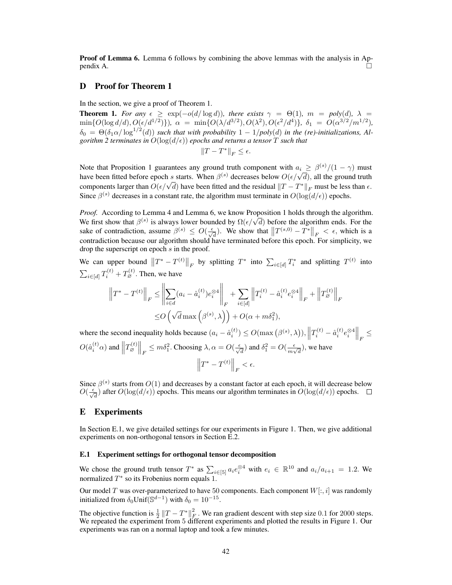Proof of Lemma [6.](#page--1-8) Lemma [6](#page--1-8) follows by combining the above lemmas with the analysis in Ap $p$ endix [A.](#page-0-0)

# <span id="page-28-0"></span>D Proof for Theorem [1](#page--1-0)

In the section, we give a proof of Theorem [1.](#page--1-0)

**Theorem 1.** For any  $\epsilon \geq \exp(-o(d/\log d))$ , there exists  $\gamma = \Theta(1)$ ,  $m = poly(d)$ ,  $\lambda =$  $\min\{O(\log d/d), O(\epsilon/d^{1/2})\}), \alpha = \min\{O(\lambda/d^{3/2}), O(\lambda^2), O(\epsilon^2/d^4)\}, \delta_1 = O(\alpha^{3/2}/m^{1/2}),$  $\delta_0 = \Theta(\delta_1 \alpha / \log^{1/2}(d))$  such that with probability  $1 - 1/poly(d)$  in the (re)-initializations, Al*gorithm* [2](#page--1-14) *terminates in*  $O(\log(d/\epsilon))$  *epochs and returns a tensor* T *such that* 

$$
\|T-T^*\|_F\leq \epsilon.
$$

Note that Proposition [1](#page--1-1) guarantees any ground truth component with  $a_i \geq \beta^{(s)}/(1-\gamma)$  must Note that Proposition 1 guarantees any ground truth component with  $a_i \geq \frac{\beta^{(k)}}{k!} (1 - \gamma)$  must<br>have been fitted before epoch s starts. When  $\beta^{(s)}$  decreases below  $O(\epsilon/\sqrt{d})$ , all the ground truth rave been fitted before epoch s starts. When  $p^{k-1}$  decreases below  $O(\epsilon/\sqrt{a})$ , and the ground truth components larger than  $O(\epsilon/\sqrt{d})$  have been fitted and the residual  $||T - T^*||_F$  must be less than  $\epsilon$ . Since  $\beta^{(s)}$  decreases in a constant rate, the algorithm must terminate in  $O(\log(d/\epsilon))$  epochs.

*Proof.* According to Lemma [4](#page--1-11) and Lemma [6,](#page--1-8) we know Proposition [1](#page--1-1) holds through the algorithm. *Proof.* According to Lemma 4 and Lemma 6, we know Proposition 1 notics through the algorithm<br>We first show that  $\beta^{(s)}$  is always lower bounded by  $\Omega(\epsilon/\sqrt{d})$  before the algorithm ends. For the sake of contradiction, assume  $\beta^{(s)} \le O(\frac{\epsilon}{\sqrt{d}})$ . We show that  $||T^{(s,0)} - T^*||_F < \epsilon$ , which is a contradiction because our algorithm should have terminated before this epoch. For simplicity, we drop the superscript on epoch s in the proof.

We can upper bound  $||T^* - T^{(t)}||_F$  by splitting  $T^*$  into  $\sum_{i \in [d]} T_i^*$  and splitting  $T^{(t)}$  into  $\sum_{i \in [d]} T_i^{(t)} + T_{\varnothing}^{(t)}$ . Then, we have

$$
\left\|T^* - T^{(t)}\right\|_F \le \left\|\sum_{i \in d} (a_i - \hat{a}_i^{(t)})e_i^{\otimes 4}\right\|_F + \sum_{i \in [d]} \left\|T_i^{(t)} - \hat{a}_i^{(t)}e_i^{\otimes 4}\right\|_F + \left\|T_{\varnothing}^{(t)}\right\|_F
$$
  

$$
\le O\left(\sqrt{d}\max\left(\beta^{(s)}, \lambda\right)\right) + O(\alpha + m\delta_1^2),
$$

where the second inequality holds because  $(a_i - \hat{a}_i^{(t)}) \leq O(\max(\beta^{(s)}, \lambda)), \left\|T_i^{(t)} - \hat{a}_i^{(t)}e_i^{\otimes 4}\right\|_F \leq$  $O(\hat{a}_i^{(t)}\alpha)$  and  $||T_{\emptyset}^{(t)}||_F \leq m\delta_1^2$ . Choosing  $\lambda, \alpha = O(\frac{\epsilon}{\sqrt{d}})$  and  $\delta_1^2 = O(\frac{\epsilon}{m\sqrt{d}})$  $\frac{\epsilon}{m\sqrt{d}}$ ), we have  $\left\|T^* - T^{(t)}\right\|_F < \epsilon.$ 

Since  $\beta^{(s)}$  starts from  $O(1)$  and decreases by a constant factor at each epoch, it will decrease below  $O(\frac{\epsilon}{\sqrt{d}})$  after  $O(\log(d/\epsilon))$  epochs. This means our algorithm terminates in  $O(\log(d/\epsilon))$  epochs.

# E Experiments

In Section [E.1,](#page-28-1) we give detailed settings for our experiments in Figure [1.](#page--1-15) Then, we give additional experiments on non-orthogonal tensors in Section [E.2.](#page-29-0)

## <span id="page-28-1"></span>E.1 Experiment settings for orthogonal tensor decomposition

We chose the ground truth tensor  $T^*$  as  $\sum_{i \in [5]} a_i e_i^{\otimes 4}$  with  $e_i \in \mathbb{R}^{10}$  and  $a_i/a_{i+1} = 1.2$ . We normalized  $T^*$  so its Frobenius norm equals 1.

Our model T was over-parameterized to have 50 components. Each component  $W[:, i]$  was randomly initialized from  $\delta_0$ Unif $(\mathbb{S}^{d-1})$  with  $\delta_0 = 10^{-15}$ .

The objective function is  $\frac{1}{2} ||T - T^*||_F^2$ . We ran gradient descent with step size 0.1 for 2000 steps. We repeated the experiment from 5 different experiments and plotted the results in Figure [1.](#page--1-15) Our experiments was ran on a normal laptop and took a few minutes.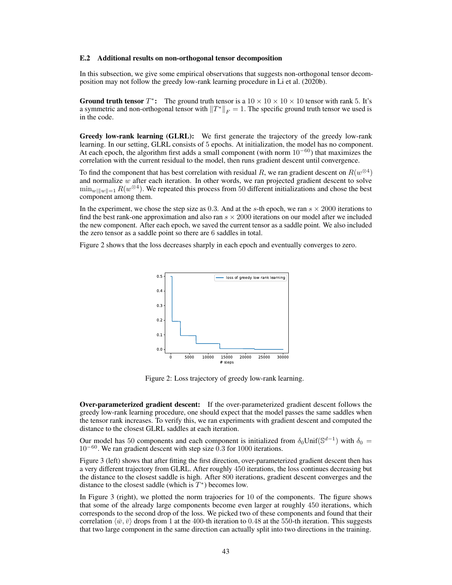#### <span id="page-29-0"></span>E.2 Additional results on non-orthogonal tensor decomposition

In this subsection, we give some empirical observations that suggests non-orthogonal tensor decomposition may not follow the greedy low-rank learning procedure in [Li et al.](#page--1-16) [\(2020b\)](#page--1-16).

**Ground truth tensor**  $T^*$ : The ground truth tensor is a  $10 \times 10 \times 10 \times 10$  tensor with rank 5. It's a symmetric and non-orthogonal tensor with  $||T^*||_F = 1$ . The specific ground truth tensor we used is in the code.

Greedy low-rank learning (GLRL): We first generate the trajectory of the greedy low-rank learning. In our setting, GLRL consists of 5 epochs. At initialization, the model has no component. At each epoch, the algorithm first adds a small component (with norm  $10^{-60}$ ) that maximizes the correlation with the current residual to the model, then runs gradient descent until convergence.

To find the component that has best correlation with residual R, we ran gradient descent on  $R(w^{\otimes 4})$ and normalize w after each iteration. In other words, we ran projected gradient descent to solve  $\min_{w||w||=1} R(w^{\otimes 4})$ . We repeated this process from 50 different initializations and chose the best component among them.

In the experiment, we chose the step size as 0.3. And at the s-th epoch, we ran  $s \times 2000$  iterations to find the best rank-one approximation and also ran  $s \times 2000$  iterations on our model after we included the new component. After each epoch, we saved the current tensor as a saddle point. We also included the zero tensor as a saddle point so there are 6 saddles in total.

Figure [2](#page-29-1) shows that the loss decreases sharply in each epoch and eventually converges to zero.



<span id="page-29-1"></span>Figure 2: Loss trajectory of greedy low-rank learning.

Over-parameterized gradient descent: If the over-parameterized gradient descent follows the greedy low-rank learning procedure, one should expect that the model passes the same saddles when the tensor rank increases. To verify this, we ran experiments with gradient descent and computed the distance to the closest GLRL saddles at each iteration.

Our model has 50 components and each component is initialized from  $\delta_0$ Unif( $\mathbb{S}^{d-1}$ ) with  $\delta_0 =$ 10<sup>−</sup><sup>60</sup> . We ran gradient descent with step size 0.3 for 1000 iterations.

Figure [3](#page-30-0) (left) shows that after fitting the first direction, over-parameterized gradient descent then has a very different trajectory from GLRL. After roughly 450 iterations, the loss continues decreasing but the distance to the closest saddle is high. After 800 iterations, gradient descent converges and the distance to the closest saddle (which is  $T^*$ ) becomes low.

In Figure [3](#page-30-0) (right), we plotted the norm trajoeries for 10 of the components. The figure shows that some of the already large components become even larger at roughly 450 iterations, which corresponds to the second drop of the loss. We picked two of these components and found that their correlation  $\langle \bar{w}, \bar{v} \rangle$  drops from 1 at the 400-th iteration to 0.48 at the 550-th iteration. This suggests that two large component in the same direction can actually split into two directions in the training.